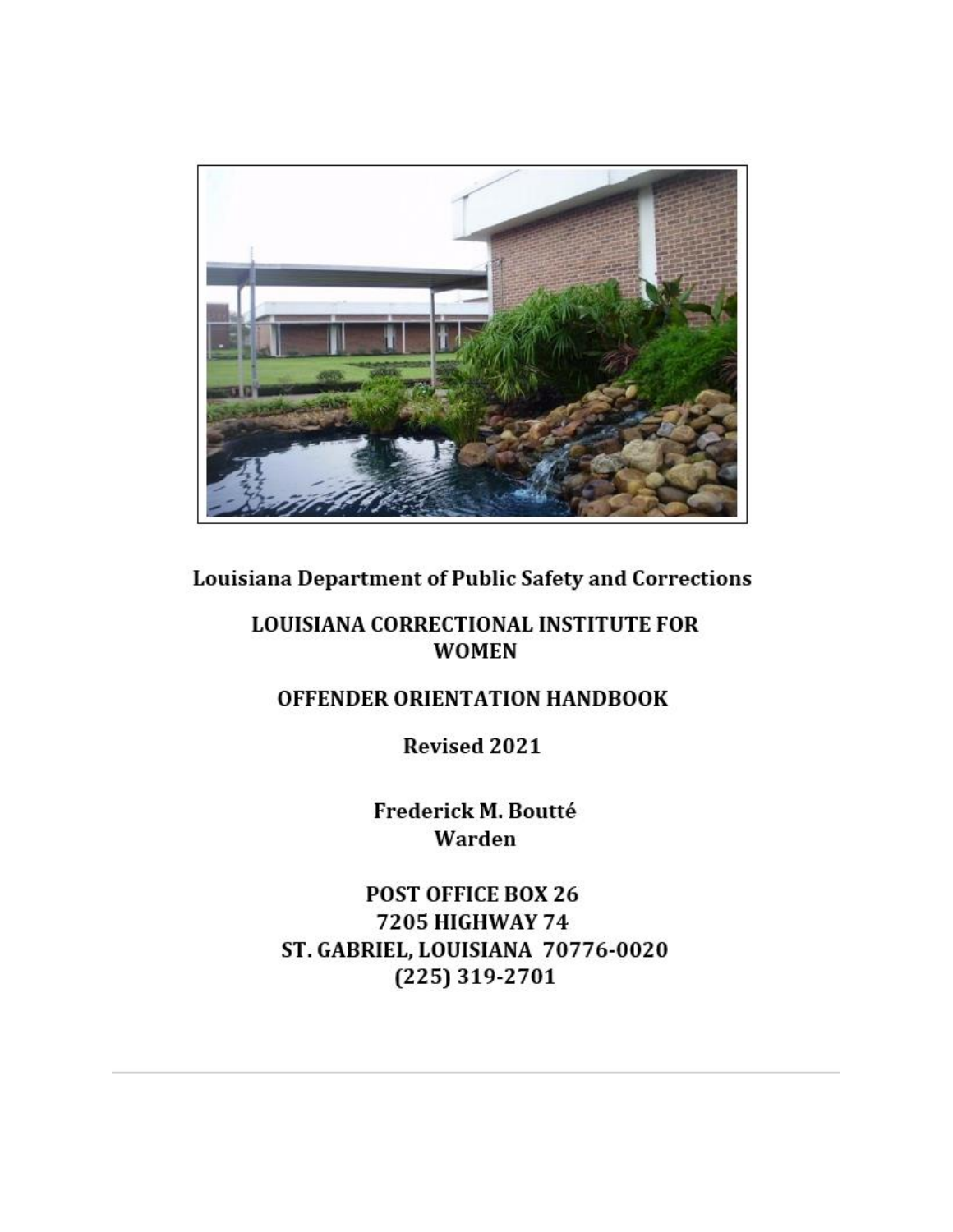

**Louisiana Department of Public Safety and Corrections** 

## **LOUISIANA CORRECTIONAL INSTITUTE FOR WOMEN**

# OFFENDER ORIENTATION HANDBOOK

**Revised 2021** 

Frederick M. Boutté Warden

POST OFFICE BOX 26 7205 HIGHWAY 74 ST. GABRIEL, LOUISIANA 70776-0020 (225) 319-2701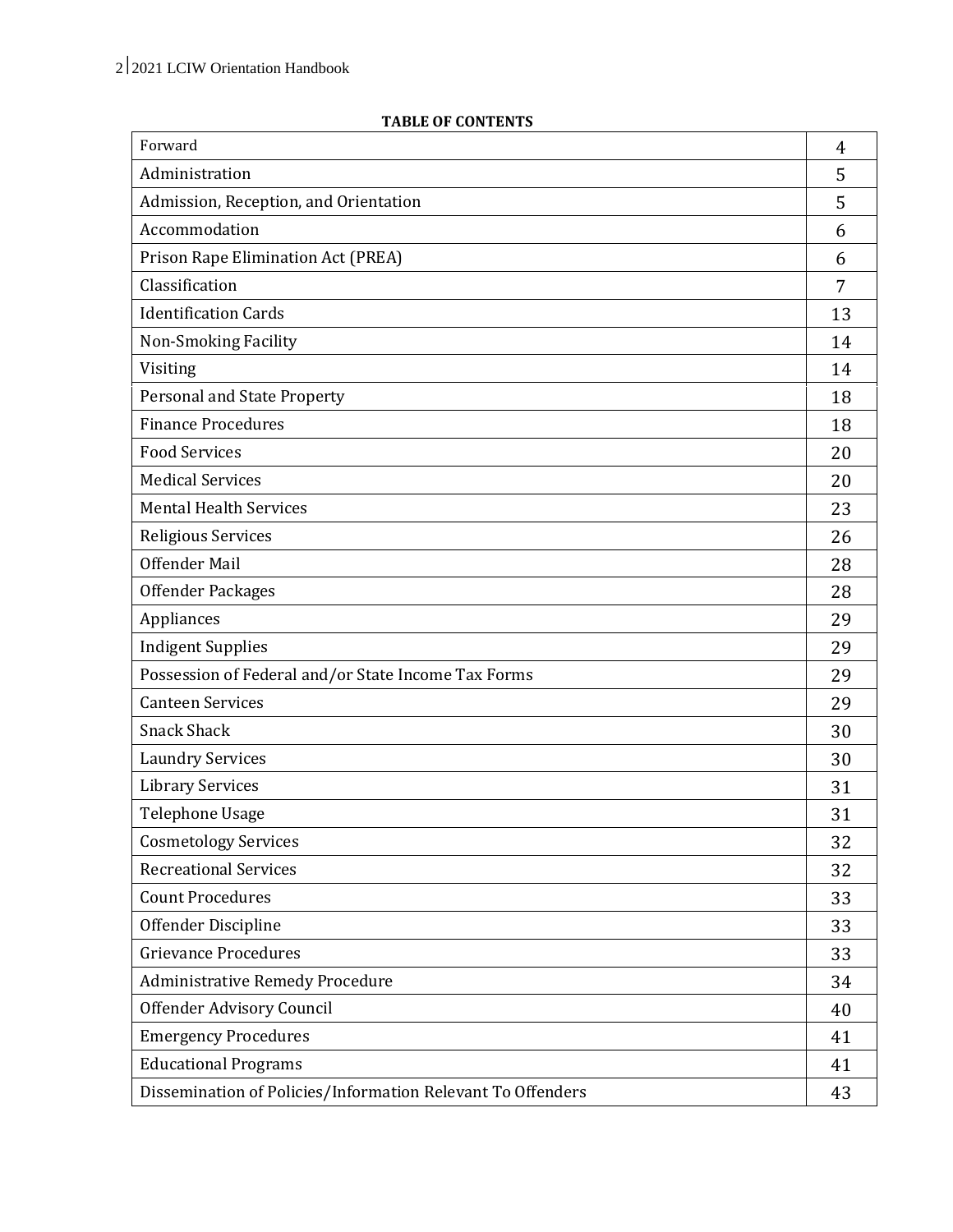#### **TABLE OF CONTENTS**

| Forward                                                     |    |  |
|-------------------------------------------------------------|----|--|
| Administration                                              | 5  |  |
| Admission, Reception, and Orientation                       | 5  |  |
| Accommodation                                               | 6  |  |
| Prison Rape Elimination Act (PREA)                          | 6  |  |
| Classification                                              | 7  |  |
| <b>Identification Cards</b>                                 | 13 |  |
| Non-Smoking Facility                                        | 14 |  |
| Visiting                                                    | 14 |  |
| Personal and State Property                                 | 18 |  |
| <b>Finance Procedures</b>                                   | 18 |  |
| <b>Food Services</b>                                        | 20 |  |
| <b>Medical Services</b>                                     | 20 |  |
| <b>Mental Health Services</b>                               | 23 |  |
| Religious Services                                          | 26 |  |
| <b>Offender Mail</b>                                        | 28 |  |
| Offender Packages                                           | 28 |  |
| Appliances                                                  | 29 |  |
| <b>Indigent Supplies</b>                                    | 29 |  |
| Possession of Federal and/or State Income Tax Forms         | 29 |  |
| <b>Canteen Services</b>                                     | 29 |  |
| <b>Snack Shack</b>                                          | 30 |  |
| <b>Laundry Services</b>                                     | 30 |  |
| <b>Library Services</b>                                     | 31 |  |
| <b>Telephone Usage</b>                                      | 31 |  |
| <b>Cosmetology Services</b>                                 | 32 |  |
| <b>Recreational Services</b>                                | 32 |  |
| <b>Count Procedures</b>                                     | 33 |  |
| Offender Discipline                                         | 33 |  |
| <b>Grievance Procedures</b>                                 | 33 |  |
| <b>Administrative Remedy Procedure</b>                      | 34 |  |
| Offender Advisory Council                                   | 40 |  |
| <b>Emergency Procedures</b>                                 | 41 |  |
| <b>Educational Programs</b>                                 | 41 |  |
| Dissemination of Policies/Information Relevant To Offenders | 43 |  |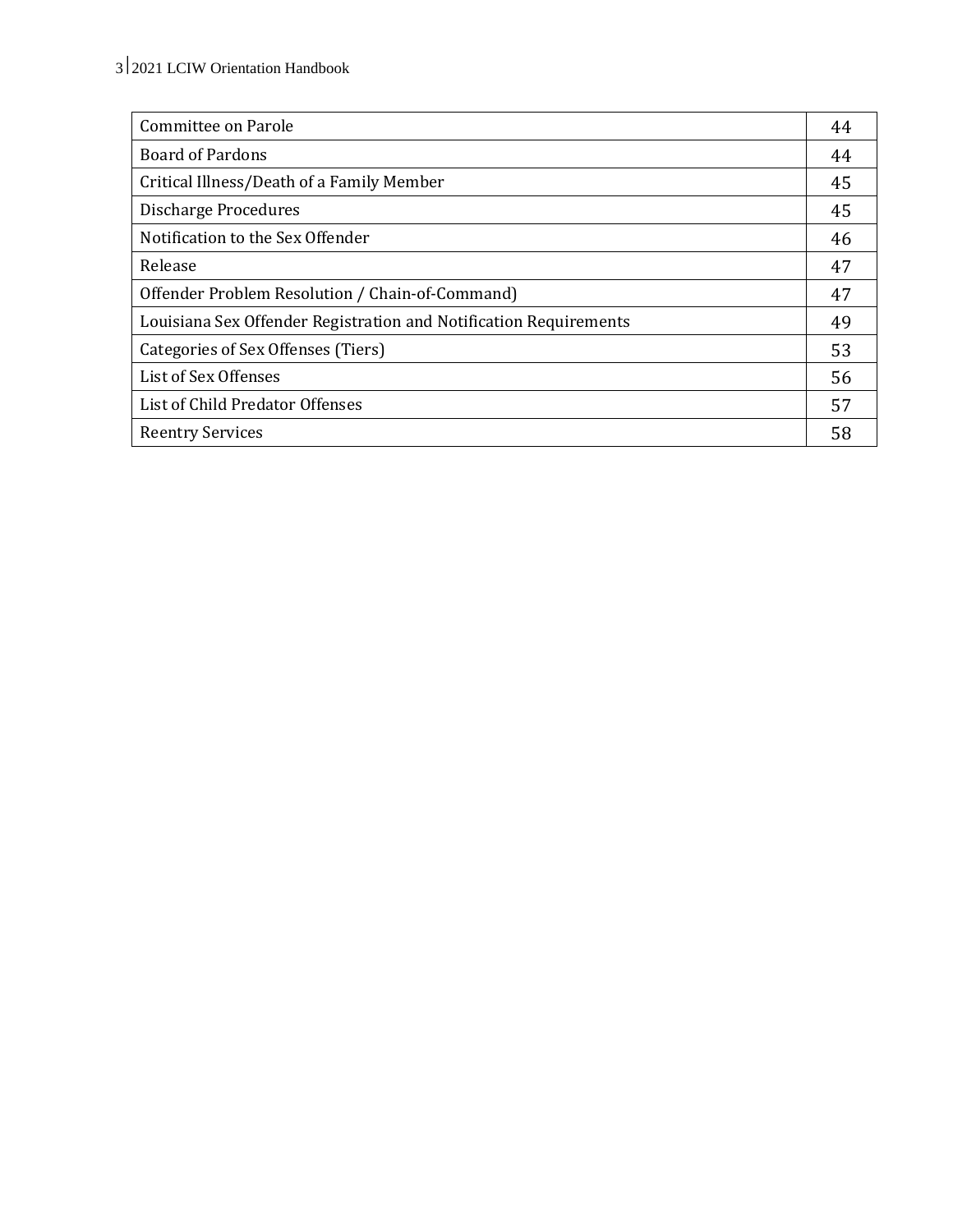| Committee on Parole                                               | 44 |
|-------------------------------------------------------------------|----|
| <b>Board of Pardons</b>                                           | 44 |
| Critical Illness/Death of a Family Member                         | 45 |
| <b>Discharge Procedures</b>                                       | 45 |
| Notification to the Sex Offender                                  | 46 |
| Release                                                           |    |
| Offender Problem Resolution / Chain-of-Command)                   | 47 |
| Louisiana Sex Offender Registration and Notification Requirements | 49 |
| Categories of Sex Offenses (Tiers)                                | 53 |
| List of Sex Offenses                                              | 56 |
| List of Child Predator Offenses                                   | 57 |
| <b>Reentry Services</b>                                           | 58 |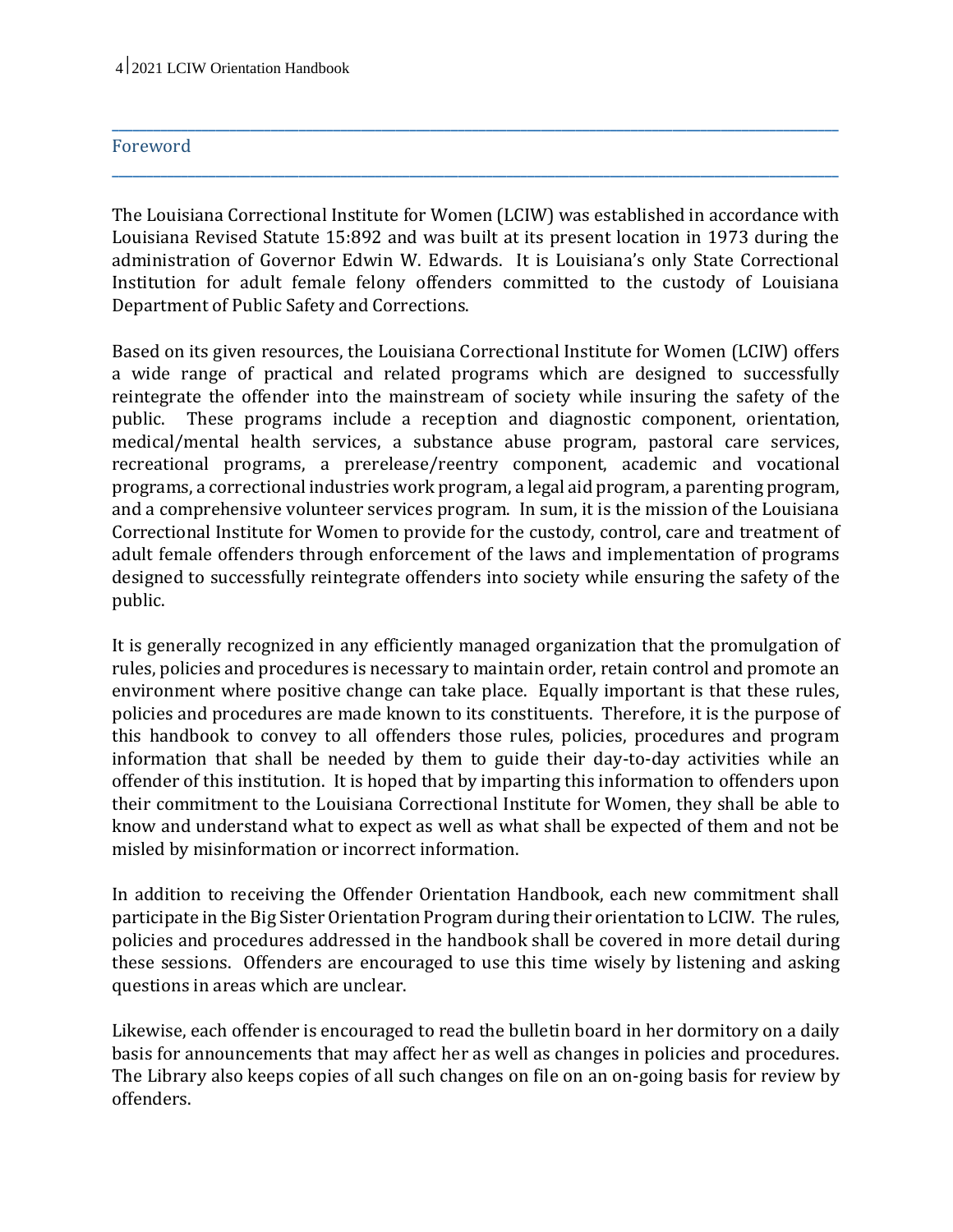#### Foreword

The Louisiana Correctional Institute for Women (LCIW) was established in accordance with Louisiana Revised Statute 15:892 and was built at its present location in 1973 during the administration of Governor Edwin W. Edwards. It is Louisiana's only State Correctional Institution for adult female felony offenders committed to the custody of Louisiana Department of Public Safety and Corrections.

**\_\_\_\_\_\_\_\_\_\_\_\_\_\_\_\_\_\_\_\_\_\_\_\_\_\_\_\_\_\_\_\_\_\_\_\_\_\_\_\_\_\_\_\_\_\_\_\_\_\_\_\_\_\_\_\_\_\_\_\_\_\_\_\_\_\_\_\_\_\_\_\_\_\_\_\_\_\_\_\_\_\_\_\_\_\_\_\_\_\_\_\_\_\_\_\_\_\_\_\_\_\_\_\_\_**

**\_\_\_\_\_\_\_\_\_\_\_\_\_\_\_\_\_\_\_\_\_\_\_\_\_\_\_\_\_\_\_\_\_\_\_\_\_\_\_\_\_\_\_\_\_\_\_\_\_\_\_\_\_\_\_\_\_\_\_\_\_\_\_\_\_\_\_\_\_\_\_\_\_\_\_\_\_\_\_\_\_\_\_\_\_\_\_\_\_\_\_\_\_\_\_\_\_\_\_\_\_\_\_\_\_**

Based on its given resources, the Louisiana Correctional Institute for Women (LCIW) offers a wide range of practical and related programs which are designed to successfully reintegrate the offender into the mainstream of society while insuring the safety of the public. These programs include a reception and diagnostic component, orientation, medical/mental health services, a substance abuse program, pastoral care services, recreational programs, a prerelease/reentry component, academic and vocational programs, a correctional industries work program, a legal aid program, a parenting program, and a comprehensive volunteer services program. In sum, it is the mission of the Louisiana Correctional Institute for Women to provide for the custody, control, care and treatment of adult female offenders through enforcement of the laws and implementation of programs designed to successfully reintegrate offenders into society while ensuring the safety of the public.

It is generally recognized in any efficiently managed organization that the promulgation of rules, policies and procedures is necessary to maintain order, retain control and promote an environment where positive change can take place. Equally important is that these rules, policies and procedures are made known to its constituents. Therefore, it is the purpose of this handbook to convey to all offenders those rules, policies, procedures and program information that shall be needed by them to guide their day-to-day activities while an offender of this institution. It is hoped that by imparting this information to offenders upon their commitment to the Louisiana Correctional Institute for Women, they shall be able to know and understand what to expect as well as what shall be expected of them and not be misled by misinformation or incorrect information.

In addition to receiving the Offender Orientation Handbook, each new commitment shall participate in the Big Sister Orientation Program during their orientation to LCIW. The rules, policies and procedures addressed in the handbook shall be covered in more detail during these sessions. Offenders are encouraged to use this time wisely by listening and asking questions in areas which are unclear.

Likewise, each offender is encouraged to read the bulletin board in her dormitory on a daily basis for announcements that may affect her as well as changes in policies and procedures. The Library also keeps copies of all such changes on file on an on-going basis for review by offenders.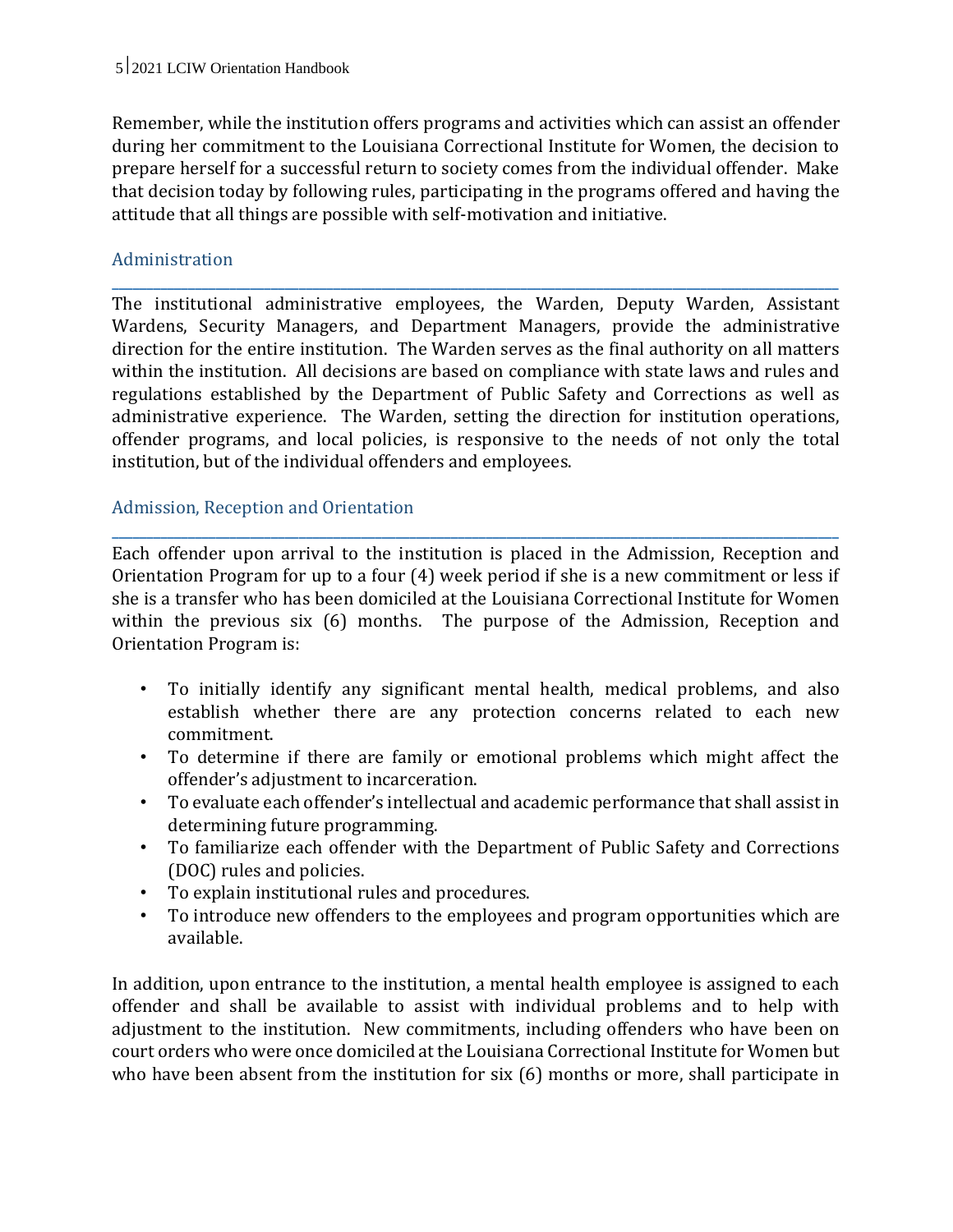Remember, while the institution offers programs and activities which can assist an offender during her commitment to the Louisiana Correctional Institute for Women, the decision to prepare herself for a successful return to society comes from the individual offender. Make that decision today by following rules, participating in the programs offered and having the attitude that all things are possible with self-motivation and initiative.

## Administration

The institutional administrative employees, the Warden, Deputy Warden, Assistant Wardens, Security Managers, and Department Managers, provide the administrative direction for the entire institution. The Warden serves as the final authority on all matters within the institution. All decisions are based on compliance with state laws and rules and regulations established by the Department of Public Safety and Corrections as well as administrative experience. The Warden, setting the direction for institution operations, offender programs, and local policies, is responsive to the needs of not only the total institution, but of the individual offenders and employees.

**\_\_\_\_\_\_\_\_\_\_\_\_\_\_\_\_\_\_\_\_\_\_\_\_\_\_\_\_\_\_\_\_\_\_\_\_\_\_\_\_\_\_\_\_\_\_\_\_\_\_\_\_\_\_\_\_\_\_\_\_\_\_\_\_\_\_\_\_\_\_\_\_\_\_\_\_\_\_\_\_\_\_\_\_\_\_\_\_\_\_\_\_\_\_\_\_\_\_\_\_\_\_\_\_\_**

## Admission, Reception and Orientation

Each offender upon arrival to the institution is placed in the Admission, Reception and Orientation Program for up to a four (4) week period if she is a new commitment or less if she is a transfer who has been domiciled at the Louisiana Correctional Institute for Women within the previous six (6) months. The purpose of the Admission, Reception and Orientation Program is:

**\_\_\_\_\_\_\_\_\_\_\_\_\_\_\_\_\_\_\_\_\_\_\_\_\_\_\_\_\_\_\_\_\_\_\_\_\_\_\_\_\_\_\_\_\_\_\_\_\_\_\_\_\_\_\_\_\_\_\_\_\_\_\_\_\_\_\_\_\_\_\_\_\_\_\_\_\_\_\_\_\_\_\_\_\_\_\_\_\_\_\_\_\_\_\_\_\_\_\_\_\_\_\_\_\_**

- To initially identify any significant mental health, medical problems, and also establish whether there are any protection concerns related to each new commitment.
- To determine if there are family or emotional problems which might affect the offender's adjustment to incarceration.
- To evaluate each offender's intellectual and academic performance that shall assist in determining future programming.
- To familiarize each offender with the Department of Public Safety and Corrections (DOC) rules and policies.
- To explain institutional rules and procedures.
- To introduce new offenders to the employees and program opportunities which are available.

In addition, upon entrance to the institution, a mental health employee is assigned to each offender and shall be available to assist with individual problems and to help with adjustment to the institution. New commitments, including offenders who have been on court orders who were once domiciled at the Louisiana Correctional Institute for Women but who have been absent from the institution for six (6) months or more, shall participate in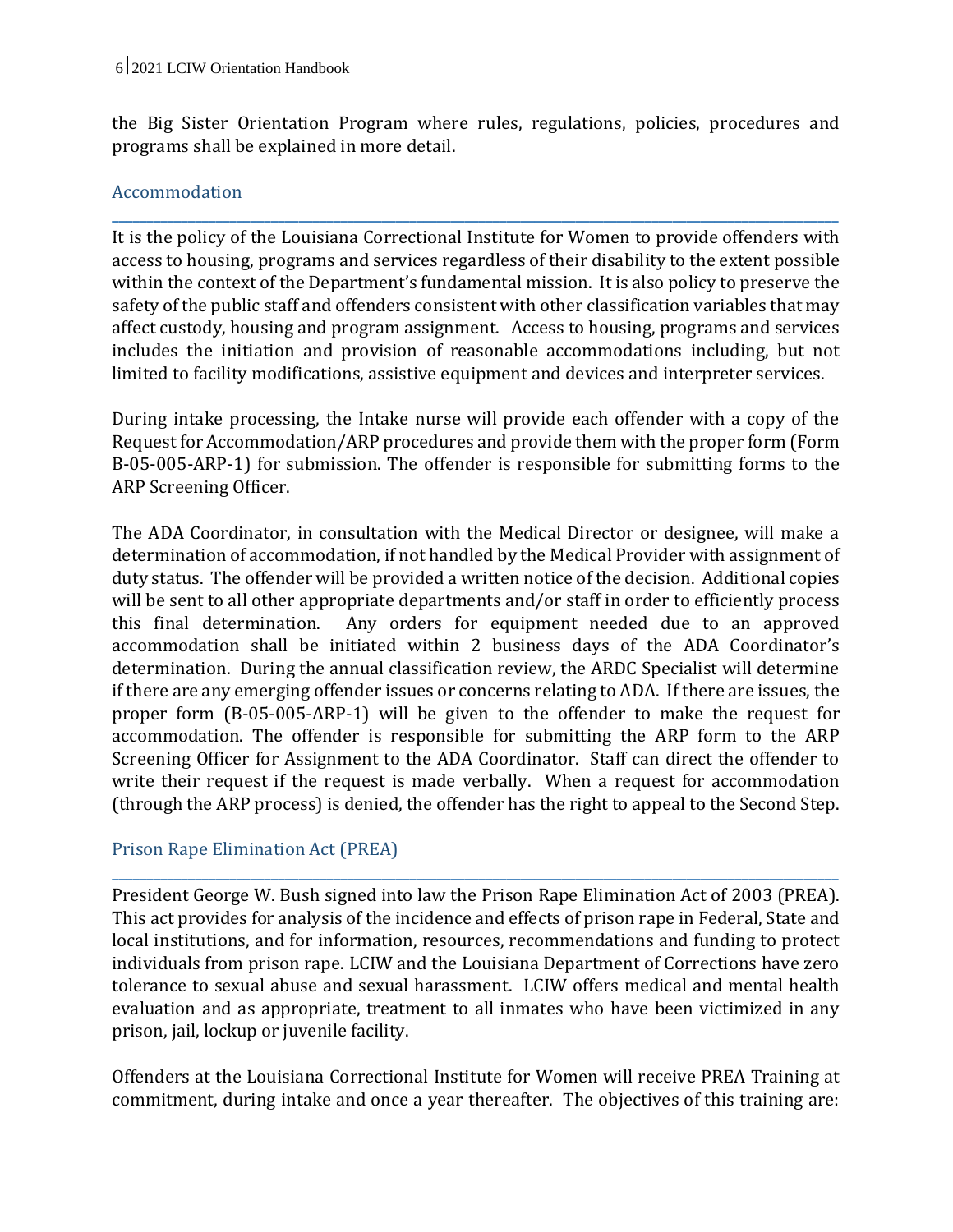the Big Sister Orientation Program where rules, regulations, policies, procedures and programs shall be explained in more detail.

**\_\_\_\_\_\_\_\_\_\_\_\_\_\_\_\_\_\_\_\_\_\_\_\_\_\_\_\_\_\_\_\_\_\_\_\_\_\_\_\_\_\_\_\_\_\_\_\_\_\_\_\_\_\_\_\_\_\_\_\_\_\_\_\_\_\_\_\_\_\_\_\_\_\_\_\_\_\_\_\_\_\_\_\_\_\_\_\_\_\_\_\_\_\_\_\_\_\_\_\_\_\_\_\_\_**

## Accommodation

It is the policy of the Louisiana Correctional Institute for Women to provide offenders with access to housing, programs and services regardless of their disability to the extent possible within the context of the Department's fundamental mission. It is also policy to preserve the safety of the public staff and offenders consistent with other classification variables that may affect custody, housing and program assignment. Access to housing, programs and services includes the initiation and provision of reasonable accommodations including, but not limited to facility modifications, assistive equipment and devices and interpreter services.

During intake processing, the Intake nurse will provide each offender with a copy of the Request for Accommodation/ARP procedures and provide them with the proper form (Form B-05-005-ARP-1) for submission. The offender is responsible for submitting forms to the ARP Screening Officer.

The ADA Coordinator, in consultation with the Medical Director or designee, will make a determination of accommodation, if not handled by the Medical Provider with assignment of duty status. The offender will be provided a written notice of the decision. Additional copies will be sent to all other appropriate departments and/or staff in order to efficiently process this final determination. Any orders for equipment needed due to an approved accommodation shall be initiated within 2 business days of the ADA Coordinator's determination. During the annual classification review, the ARDC Specialist will determine if there are any emerging offender issues or concerns relating to ADA. If there are issues, the proper form (B-05-005-ARP-1) will be given to the offender to make the request for accommodation. The offender is responsible for submitting the ARP form to the ARP Screening Officer for Assignment to the ADA Coordinator. Staff can direct the offender to write their request if the request is made verbally. When a request for accommodation (through the ARP process) is denied, the offender has the right to appeal to the Second Step.

## Prison Rape Elimination Act (PREA)

President George W. Bush signed into law the Prison Rape Elimination Act of 2003 (PREA). This act provides for analysis of the incidence and effects of prison rape in Federal, State and local institutions, and for information, resources, recommendations and funding to protect individuals from prison rape. LCIW and the Louisiana Department of Corrections have zero tolerance to sexual abuse and sexual harassment. LCIW offers medical and mental health evaluation and as appropriate, treatment to all inmates who have been victimized in any prison, jail, lockup or juvenile facility.

**\_\_\_\_\_\_\_\_\_\_\_\_\_\_\_\_\_\_\_\_\_\_\_\_\_\_\_\_\_\_\_\_\_\_\_\_\_\_\_\_\_\_\_\_\_\_\_\_\_\_\_\_\_\_\_\_\_\_\_\_\_\_\_\_\_\_\_\_\_\_\_\_\_\_\_\_\_\_\_\_\_\_\_\_\_\_\_\_\_\_\_\_\_\_\_\_\_\_\_\_\_\_\_\_\_**

Offenders at the Louisiana Correctional Institute for Women will receive PREA Training at commitment, during intake and once a year thereafter. The objectives of this training are: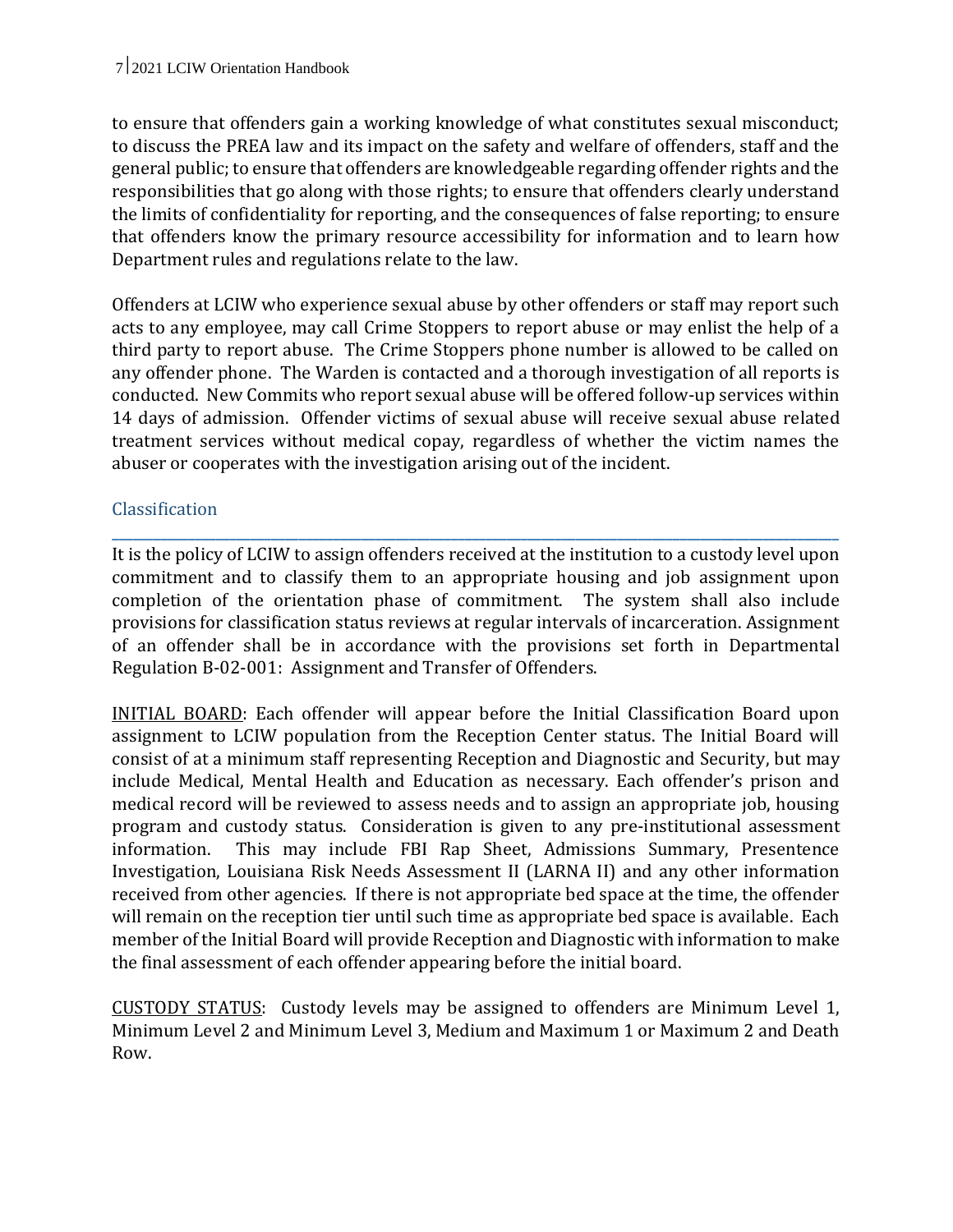to ensure that offenders gain a working knowledge of what constitutes sexual misconduct; to discuss the PREA law and its impact on the safety and welfare of offenders, staff and the general public; to ensure that offenders are knowledgeable regarding offender rights and the responsibilities that go along with those rights; to ensure that offenders clearly understand the limits of confidentiality for reporting, and the consequences of false reporting; to ensure that offenders know the primary resource accessibility for information and to learn how Department rules and regulations relate to the law.

Offenders at LCIW who experience sexual abuse by other offenders or staff may report such acts to any employee, may call Crime Stoppers to report abuse or may enlist the help of a third party to report abuse. The Crime Stoppers phone number is allowed to be called on any offender phone. The Warden is contacted and a thorough investigation of all reports is conducted. New Commits who report sexual abuse will be offered follow-up services within 14 days of admission. Offender victims of sexual abuse will receive sexual abuse related treatment services without medical copay, regardless of whether the victim names the abuser or cooperates with the investigation arising out of the incident.

## Classification

It is the policy of LCIW to assign offenders received at the institution to a custody level upon commitment and to classify them to an appropriate housing and job assignment upon completion of the orientation phase of commitment. The system shall also include provisions for classification status reviews at regular intervals of incarceration. Assignment of an offender shall be in accordance with the provisions set forth in Departmental Regulation B-02-001: Assignment and Transfer of Offenders.

**\_\_\_\_\_\_\_\_\_\_\_\_\_\_\_\_\_\_\_\_\_\_\_\_\_\_\_\_\_\_\_\_\_\_\_\_\_\_\_\_\_\_\_\_\_\_\_\_\_\_\_\_\_\_\_\_\_\_\_\_\_\_\_\_\_\_\_\_\_\_\_\_\_\_\_\_\_\_\_\_\_\_\_\_\_\_\_\_\_\_\_\_\_\_\_\_\_\_\_\_\_\_\_\_\_**

INITIAL BOARD: Each offender will appear before the Initial Classification Board upon assignment to LCIW population from the Reception Center status. The Initial Board will consist of at a minimum staff representing Reception and Diagnostic and Security, but may include Medical, Mental Health and Education as necessary. Each offender's prison and medical record will be reviewed to assess needs and to assign an appropriate job, housing program and custody status. Consideration is given to any pre-institutional assessment information. This may include FBI Rap Sheet, Admissions Summary, Presentence Investigation, Louisiana Risk Needs Assessment II (LARNA II) and any other information received from other agencies. If there is not appropriate bed space at the time, the offender will remain on the reception tier until such time as appropriate bed space is available. Each member of the Initial Board will provide Reception and Diagnostic with information to make the final assessment of each offender appearing before the initial board.

CUSTODY STATUS: Custody levels may be assigned to offenders are Minimum Level 1, Minimum Level 2 and Minimum Level 3, Medium and Maximum 1 or Maximum 2 and Death Row.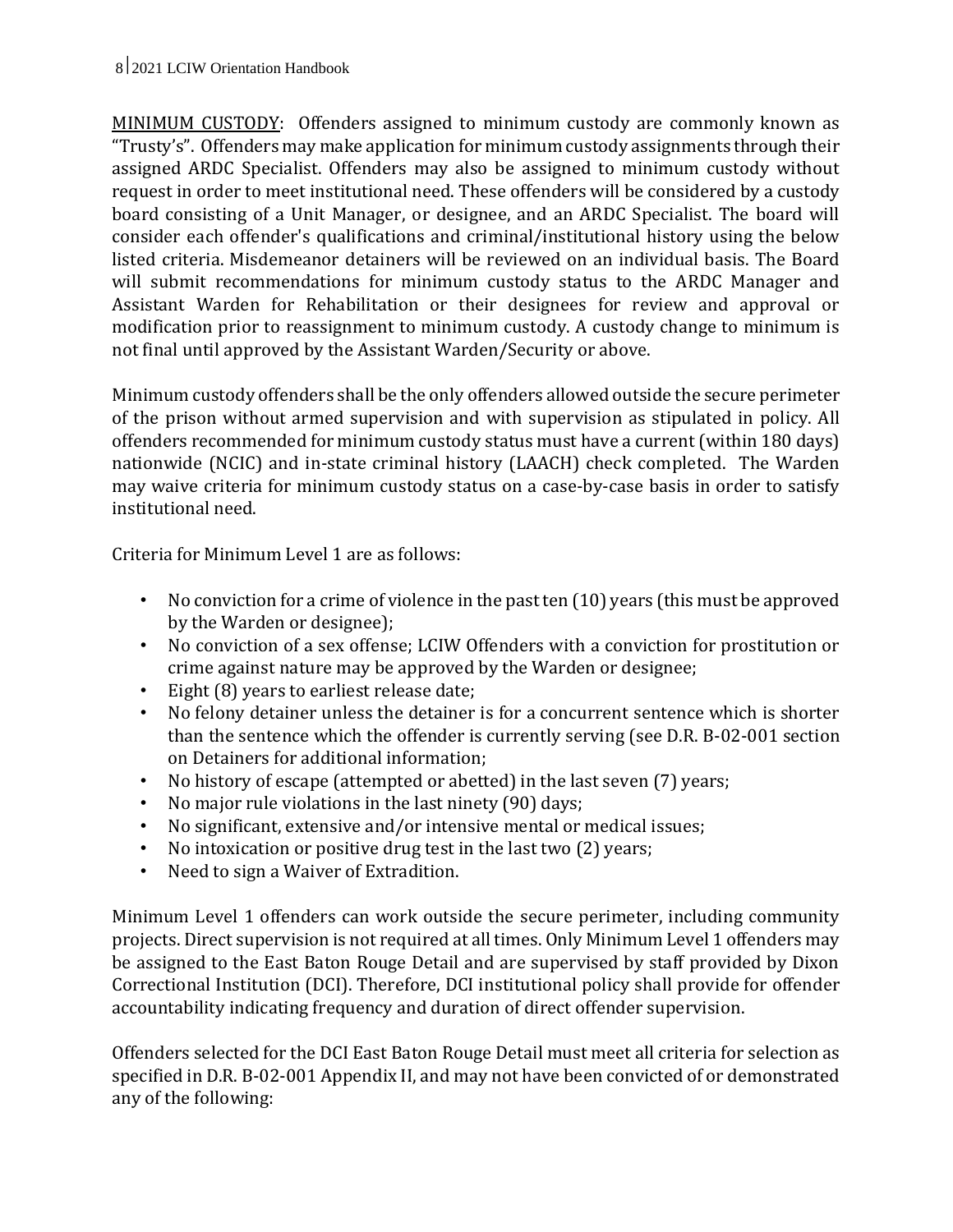MINIMUM CUSTODY: Offenders assigned to minimum custody are commonly known as "Trusty's". Offenders may make application for minimum custody assignments through their assigned ARDC Specialist. Offenders may also be assigned to minimum custody without request in order to meet institutional need. These offenders will be considered by a custody board consisting of a Unit Manager, or designee, and an ARDC Specialist. The board will consider each offender's qualifications and criminal/institutional history using the below listed criteria. Misdemeanor detainers will be reviewed on an individual basis. The Board will submit recommendations for minimum custody status to the ARDC Manager and Assistant Warden for Rehabilitation or their designees for review and approval or modification prior to reassignment to minimum custody. A custody change to minimum is not final until approved by the Assistant Warden/Security or above.

Minimum custody offenders shall be the only offenders allowed outside the secure perimeter of the prison without armed supervision and with supervision as stipulated in policy. All offenders recommended for minimum custody status must have a current (within 180 days) nationwide (NCIC) and in-state criminal history (LAACH) check completed. The Warden may waive criteria for minimum custody status on a case-by-case basis in order to satisfy institutional need.

Criteria for Minimum Level 1 are as follows:

- No conviction for a crime of violence in the past ten (10) years (this must be approved by the Warden or designee);
- No conviction of a sex offense; LCIW Offenders with a conviction for prostitution or crime against nature may be approved by the Warden or designee;
- Eight (8) years to earliest release date;
- No felony detainer unless the detainer is for a concurrent sentence which is shorter than the sentence which the offender is currently serving (see D.R. B-02-001 section on Detainers for additional information;
- No history of escape (attempted or abetted) in the last seven (7) years;
- No major rule violations in the last ninety (90) days;
- No significant, extensive and/or intensive mental or medical issues;
- No intoxication or positive drug test in the last two (2) years;
- Need to sign a Waiver of Extradition.

Minimum Level 1 offenders can work outside the secure perimeter, including community projects. Direct supervision is not required at all times. Only Minimum Level 1 offenders may be assigned to the East Baton Rouge Detail and are supervised by staff provided by Dixon Correctional Institution (DCI). Therefore, DCI institutional policy shall provide for offender accountability indicating frequency and duration of direct offender supervision.

Offenders selected for the DCI East Baton Rouge Detail must meet all criteria for selection as specified in D.R. B-02-001 Appendix II, and may not have been convicted of or demonstrated any of the following: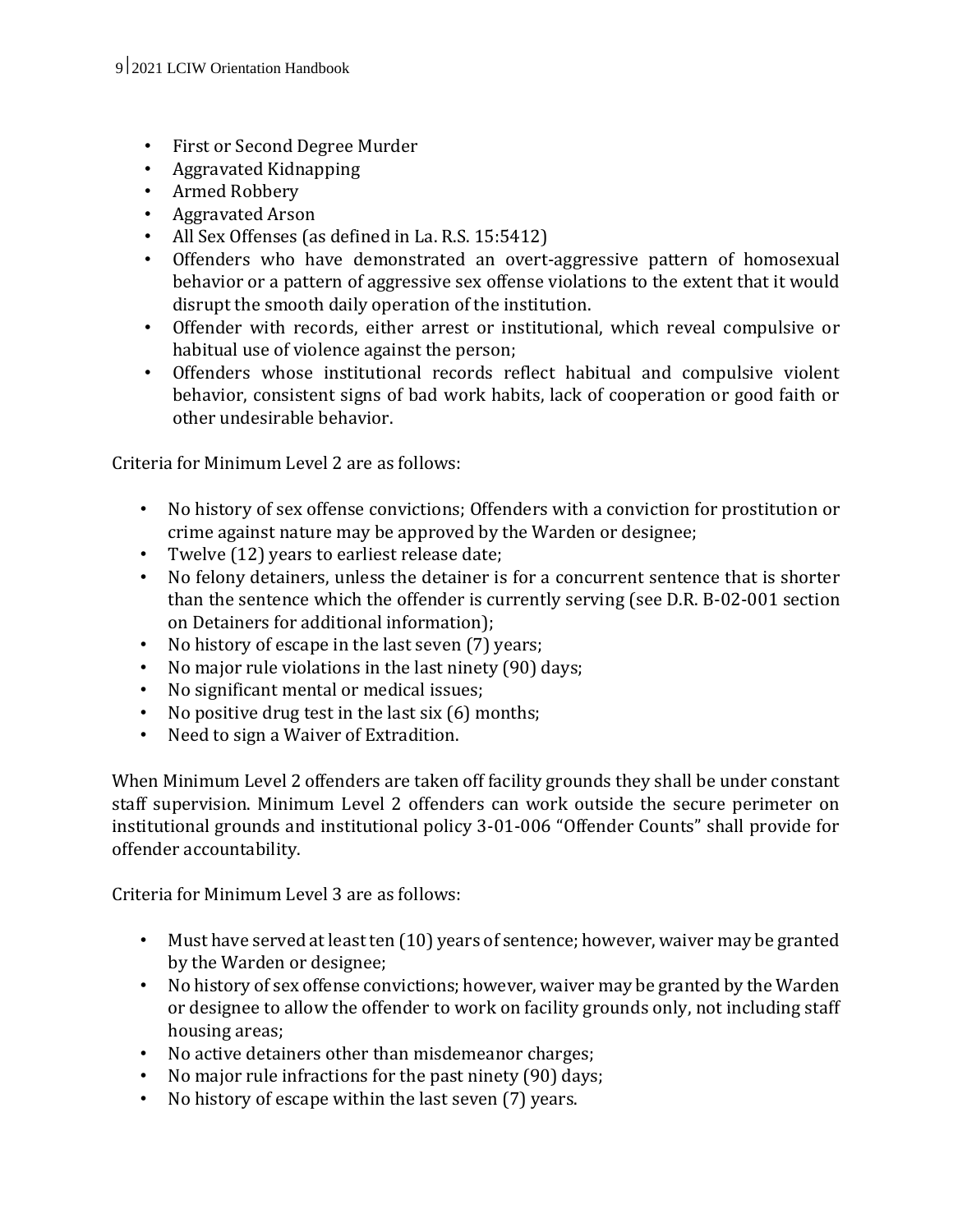- First or Second Degree Murder
- Aggravated Kidnapping
- Armed Robbery
- Aggravated Arson
- All Sex Offenses (as defined in La. R.S. 15:5412)
- Offenders who have demonstrated an overt-aggressive pattern of homosexual behavior or a pattern of aggressive sex offense violations to the extent that it would disrupt the smooth daily operation of the institution.
- Offender with records, either arrest or institutional, which reveal compulsive or habitual use of violence against the person;
- Offenders whose institutional records reflect habitual and compulsive violent behavior, consistent signs of bad work habits, lack of cooperation or good faith or other undesirable behavior.

Criteria for Minimum Level 2 are as follows:

- No history of sex offense convictions; Offenders with a conviction for prostitution or crime against nature may be approved by the Warden or designee;
- Twelve (12) years to earliest release date;
- No felony detainers, unless the detainer is for a concurrent sentence that is shorter than the sentence which the offender is currently serving (see D.R. B-02-001 section on Detainers for additional information);
- No history of escape in the last seven (7) years;
- No major rule violations in the last ninety (90) days;
- No significant mental or medical issues;
- No positive drug test in the last six (6) months;
- Need to sign a Waiver of Extradition.

When Minimum Level 2 offenders are taken off facility grounds they shall be under constant staff supervision. Minimum Level 2 offenders can work outside the secure perimeter on institutional grounds and institutional policy 3-01-006 "Offender Counts" shall provide for offender accountability.

Criteria for Minimum Level 3 are as follows:

- Must have served at least ten (10) years of sentence; however, waiver may be granted by the Warden or designee;
- No history of sex offense convictions; however, waiver may be granted by the Warden or designee to allow the offender to work on facility grounds only, not including staff housing areas;
- No active detainers other than misdemeanor charges;
- No major rule infractions for the past ninety (90) days;
- No history of escape within the last seven (7) years.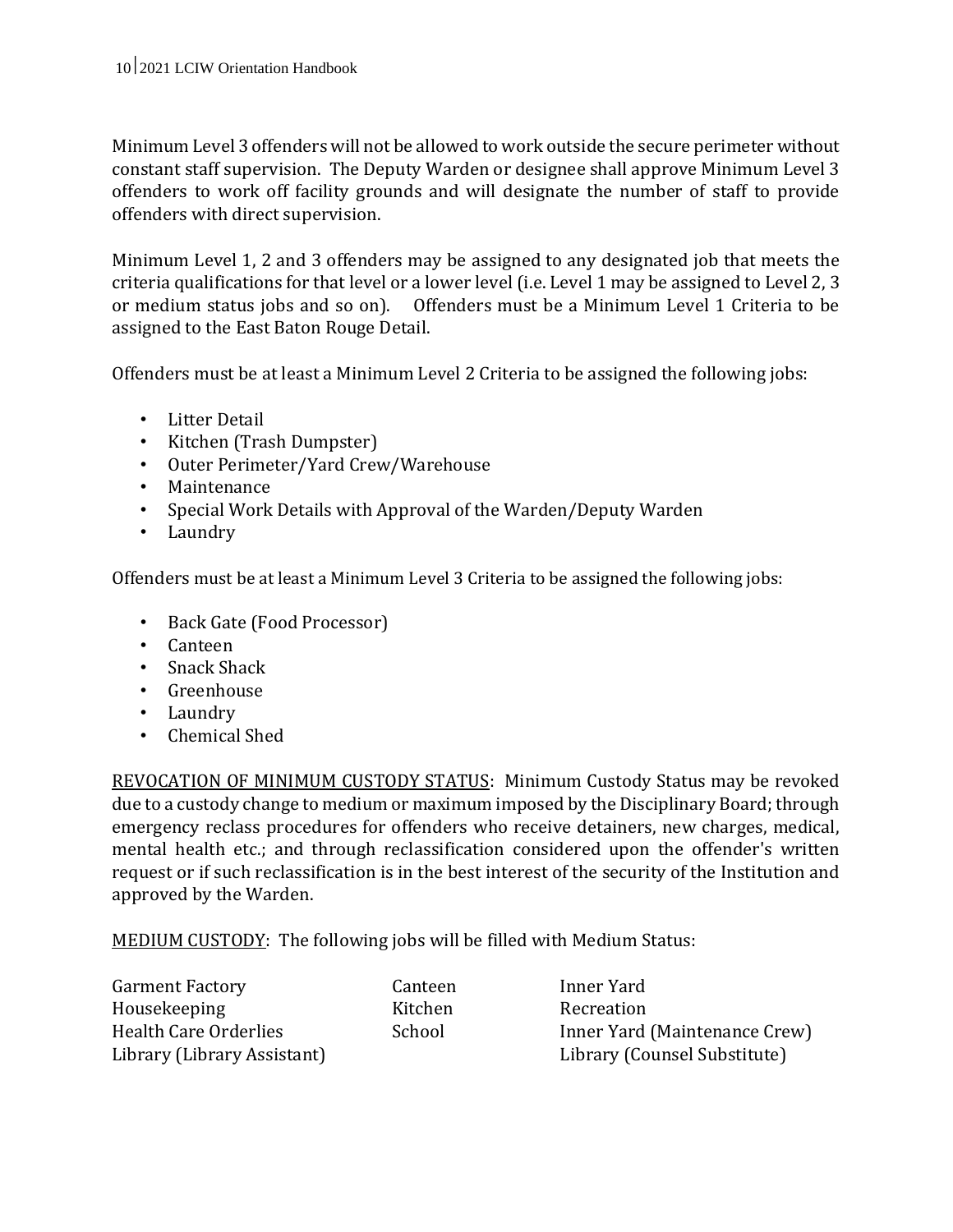Minimum Level 3 offenders will not be allowed to work outside the secure perimeter without constant staff supervision. The Deputy Warden or designee shall approve Minimum Level 3 offenders to work off facility grounds and will designate the number of staff to provide offenders with direct supervision.

Minimum Level 1, 2 and 3 offenders may be assigned to any designated job that meets the criteria qualifications for that level or a lower level (i.e. Level 1 may be assigned to Level 2, 3 or medium status jobs and so on). Offenders must be a Minimum Level 1 Criteria to be assigned to the East Baton Rouge Detail.

Offenders must be at least a Minimum Level 2 Criteria to be assigned the following jobs:

- Litter Detail
- Kitchen (Trash Dumpster)
- Outer Perimeter/Yard Crew/Warehouse
- Maintenance
- Special Work Details with Approval of the Warden/Deputy Warden
- Laundry

Offenders must be at least a Minimum Level 3 Criteria to be assigned the following jobs:

- Back Gate (Food Processor)
- Canteen
- Snack Shack
- Greenhouse
- Laundry
- Chemical Shed

REVOCATION OF MINIMUM CUSTODY STATUS: Minimum Custody Status may be revoked due to a custody change to medium or maximum imposed by the Disciplinary Board; through emergency reclass procedures for offenders who receive detainers, new charges, medical, mental health etc.; and through reclassification considered upon the offender's written request or if such reclassification is in the best interest of the security of the Institution and approved by the Warden.

MEDIUM CUSTODY: The following jobs will be filled with Medium Status:

| <b>Garment Factory</b>       |
|------------------------------|
| Housekeeping                 |
| <b>Health Care Orderlies</b> |
| Library (Library Assistant)  |

Canteen Inner Yard Kitchen Recreation School Inner Yard (Maintenance Crew) Library (Counsel Substitute)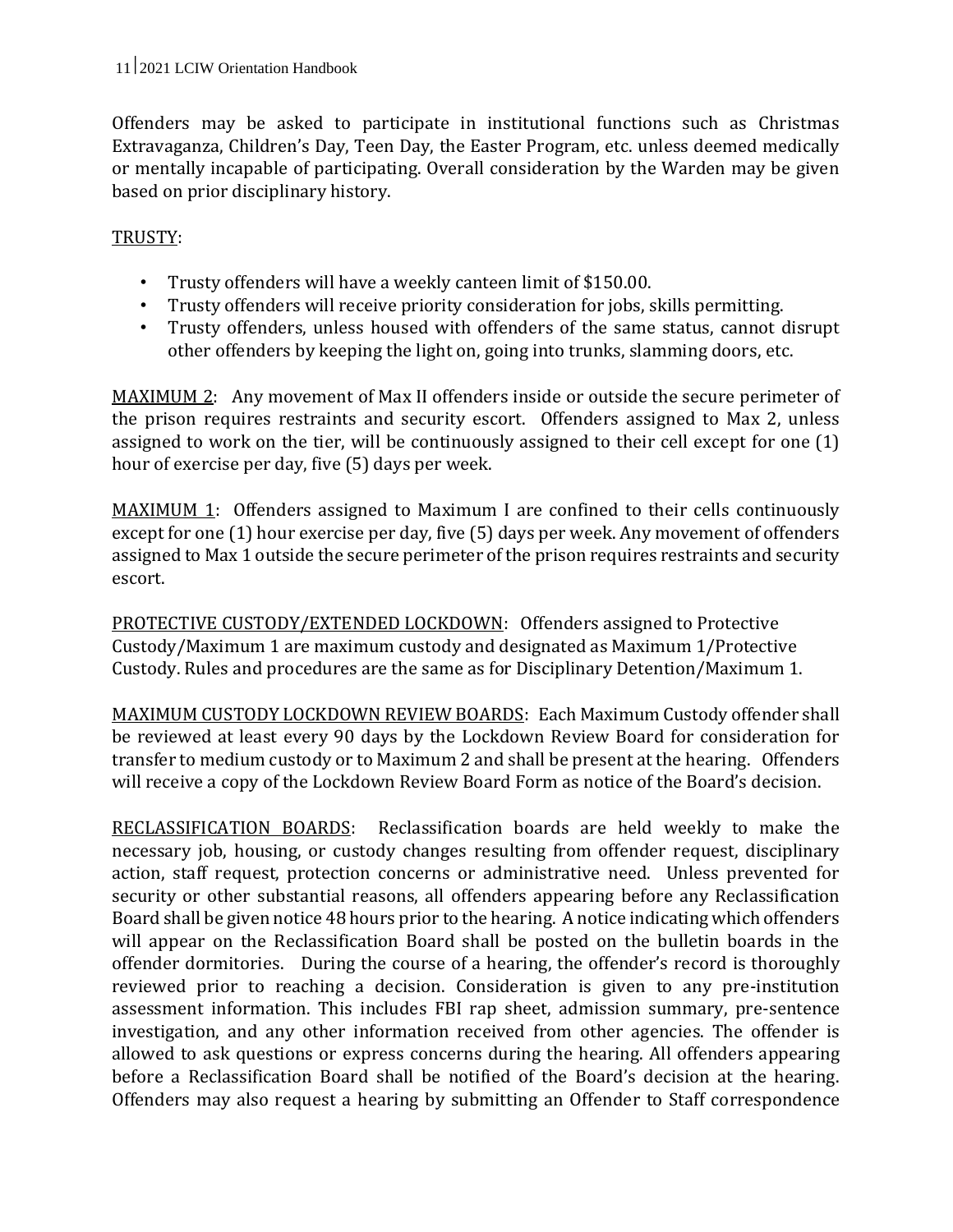Offenders may be asked to participate in institutional functions such as Christmas Extravaganza, Children's Day, Teen Day, the Easter Program, etc. unless deemed medically or mentally incapable of participating. Overall consideration by the Warden may be given based on prior disciplinary history.

## TRUSTY:

- Trusty offenders will have a weekly canteen limit of \$150.00.
- Trusty offenders will receive priority consideration for jobs, skills permitting.
- Trusty offenders, unless housed with offenders of the same status, cannot disrupt other offenders by keeping the light on, going into trunks, slamming doors, etc.

MAXIMUM 2: Any movement of Max II offenders inside or outside the secure perimeter of the prison requires restraints and security escort. Offenders assigned to Max 2, unless assigned to work on the tier, will be continuously assigned to their cell except for one (1) hour of exercise per day, five (5) days per week.

MAXIMUM 1: Offenders assigned to Maximum I are confined to their cells continuously except for one (1) hour exercise per day, five (5) days per week. Any movement of offenders assigned to Max 1 outside the secure perimeter of the prison requires restraints and security escort.

PROTECTIVE CUSTODY/EXTENDED LOCKDOWN: Offenders assigned to Protective Custody/Maximum 1 are maximum custody and designated as Maximum 1/Protective Custody. Rules and procedures are the same as for Disciplinary Detention/Maximum 1.

MAXIMUM CUSTODY LOCKDOWN REVIEW BOARDS: Each Maximum Custody offender shall be reviewed at least every 90 days by the Lockdown Review Board for consideration for transfer to medium custody or to Maximum 2 and shall be present at the hearing. Offenders will receive a copy of the Lockdown Review Board Form as notice of the Board's decision.

RECLASSIFICATION BOARDS: Reclassification boards are held weekly to make the necessary job, housing, or custody changes resulting from offender request, disciplinary action, staff request, protection concerns or administrative need. Unless prevented for security or other substantial reasons, all offenders appearing before any Reclassification Board shall be given notice 48 hours prior to the hearing. A notice indicating which offenders will appear on the Reclassification Board shall be posted on the bulletin boards in the offender dormitories. During the course of a hearing, the offender's record is thoroughly reviewed prior to reaching a decision. Consideration is given to any pre-institution assessment information. This includes FBI rap sheet, admission summary, pre-sentence investigation, and any other information received from other agencies. The offender is allowed to ask questions or express concerns during the hearing. All offenders appearing before a Reclassification Board shall be notified of the Board's decision at the hearing. Offenders may also request a hearing by submitting an Offender to Staff correspondence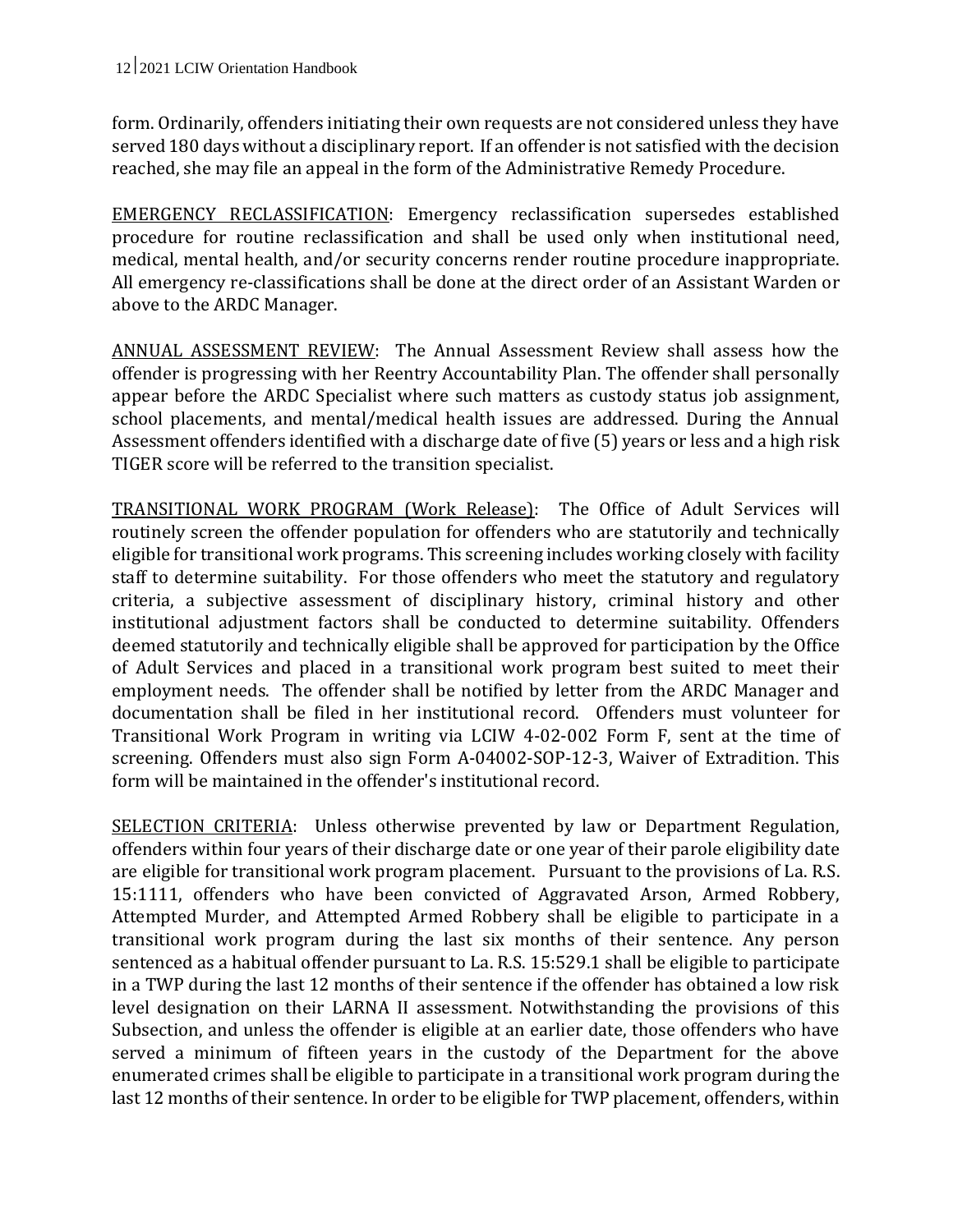form. Ordinarily, offenders initiating their own requests are not considered unless they have served 180 days without a disciplinary report. If an offender is not satisfied with the decision reached, she may file an appeal in the form of the Administrative Remedy Procedure.

EMERGENCY RECLASSIFICATION: Emergency reclassification supersedes established procedure for routine reclassification and shall be used only when institutional need, medical, mental health, and/or security concerns render routine procedure inappropriate. All emergency re-classifications shall be done at the direct order of an Assistant Warden or above to the ARDC Manager.

ANNUAL ASSESSMENT REVIEW: The Annual Assessment Review shall assess how the offender is progressing with her Reentry Accountability Plan. The offender shall personally appear before the ARDC Specialist where such matters as custody status job assignment, school placements, and mental/medical health issues are addressed. During the Annual Assessment offenders identified with a discharge date of five (5) years or less and a high risk TIGER score will be referred to the transition specialist.

TRANSITIONAL WORK PROGRAM (Work Release): The Office of Adult Services will routinely screen the offender population for offenders who are statutorily and technically eligible for transitional work programs. This screening includes working closely with facility staff to determine suitability. For those offenders who meet the statutory and regulatory criteria, a subjective assessment of disciplinary history, criminal history and other institutional adjustment factors shall be conducted to determine suitability. Offenders deemed statutorily and technically eligible shall be approved for participation by the Office of Adult Services and placed in a transitional work program best suited to meet their employment needs. The offender shall be notified by letter from the ARDC Manager and documentation shall be filed in her institutional record. Offenders must volunteer for Transitional Work Program in writing via LCIW 4-02-002 Form F, sent at the time of screening. Offenders must also sign Form A-04002-SOP-12-3, Waiver of Extradition. This form will be maintained in the offender's institutional record.

SELECTION CRITERIA: Unless otherwise prevented by law or Department Regulation, offenders within four years of their discharge date or one year of their parole eligibility date are eligible for transitional work program placement. Pursuant to the provisions of La. R.S. 15:1111, offenders who have been convicted of Aggravated Arson, Armed Robbery, Attempted Murder, and Attempted Armed Robbery shall be eligible to participate in a transitional work program during the last six months of their sentence. Any person sentenced as a habitual offender pursuant to La. R.S. 15:529.1 shall be eligible to participate in a TWP during the last 12 months of their sentence if the offender has obtained a low risk level designation on their LARNA II assessment. Notwithstanding the provisions of this Subsection, and unless the offender is eligible at an earlier date, those offenders who have served a minimum of fifteen years in the custody of the Department for the above enumerated crimes shall be eligible to participate in a transitional work program during the last 12 months of their sentence. In order to be eligible for TWP placement, offenders, within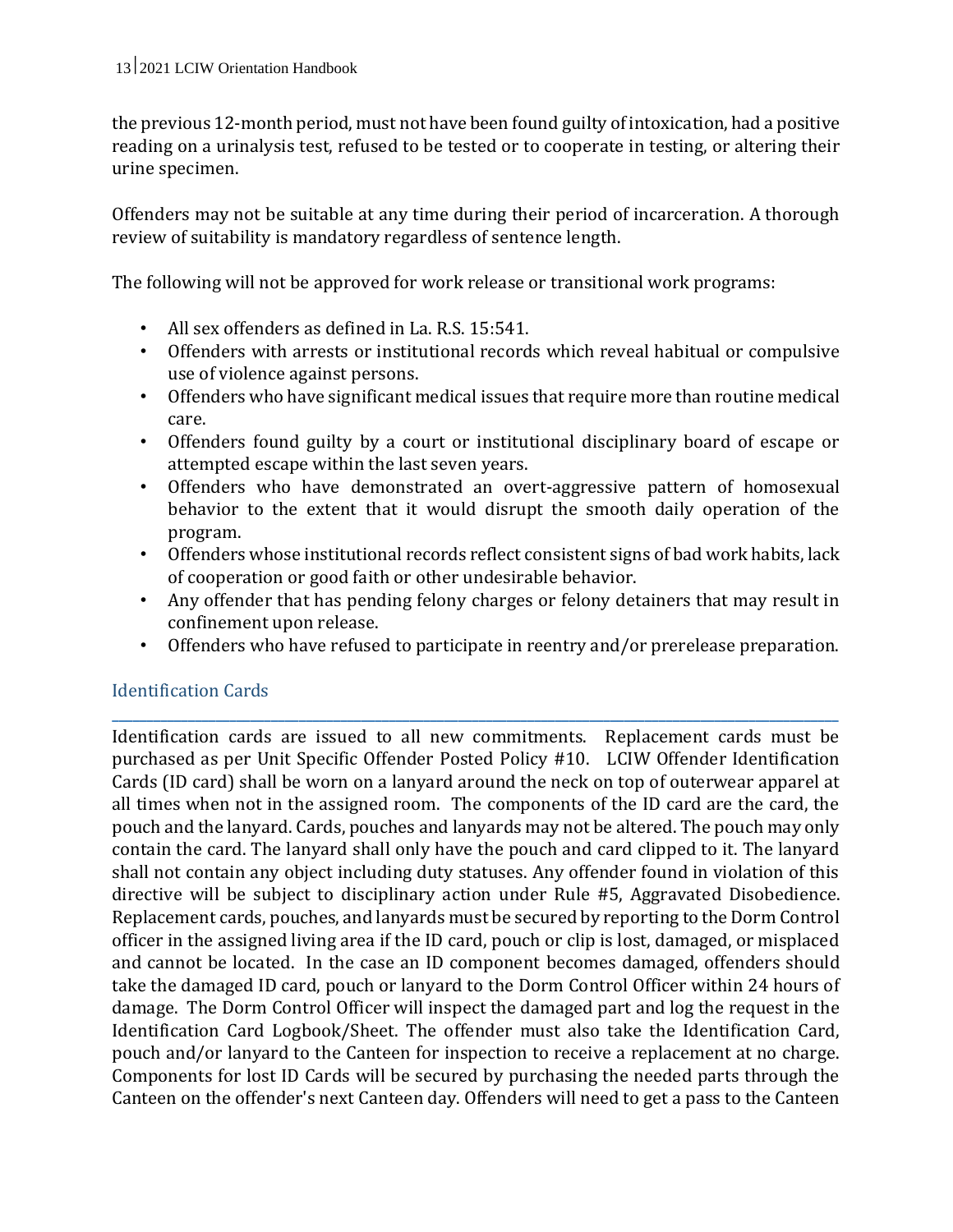the previous 12-month period, must not have been found guilty of intoxication, had a positive reading on a urinalysis test, refused to be tested or to cooperate in testing, or altering their urine specimen.

Offenders may not be suitable at any time during their period of incarceration. A thorough review of suitability is mandatory regardless of sentence length.

The following will not be approved for work release or transitional work programs:

- All sex offenders as defined in La. R.S. 15:541.
- Offenders with arrests or institutional records which reveal habitual or compulsive use of violence against persons.
- Offenders who have significant medical issues that require more than routine medical care.
- Offenders found guilty by a court or institutional disciplinary board of escape or attempted escape within the last seven years.
- Offenders who have demonstrated an overt-aggressive pattern of homosexual behavior to the extent that it would disrupt the smooth daily operation of the program.
- Offenders whose institutional records reflect consistent signs of bad work habits, lack of cooperation or good faith or other undesirable behavior.
- Any offender that has pending felony charges or felony detainers that may result in confinement upon release.
- Offenders who have refused to participate in reentry and/or prerelease preparation.

**\_\_\_\_\_\_\_\_\_\_\_\_\_\_\_\_\_\_\_\_\_\_\_\_\_\_\_\_\_\_\_\_\_\_\_\_\_\_\_\_\_\_\_\_\_\_\_\_\_\_\_\_\_\_\_\_\_\_\_\_\_\_\_\_\_\_\_\_\_\_\_\_\_\_\_\_\_\_\_\_\_\_\_\_\_\_\_\_\_\_\_\_\_\_\_\_\_\_\_\_\_\_\_\_\_**

## Identification Cards

Identification cards are issued to all new commitments. Replacement cards must be purchased as per Unit Specific Offender Posted Policy #10. LCIW Offender Identification Cards (ID card) shall be worn on a lanyard around the neck on top of outerwear apparel at all times when not in the assigned room. The components of the ID card are the card, the pouch and the lanyard. Cards, pouches and lanyards may not be altered. The pouch may only contain the card. The lanyard shall only have the pouch and card clipped to it. The lanyard shall not contain any object including duty statuses. Any offender found in violation of this directive will be subject to disciplinary action under Rule #5, Aggravated Disobedience. Replacement cards, pouches, and lanyards must be secured by reporting to the Dorm Control officer in the assigned living area if the ID card, pouch or clip is lost, damaged, or misplaced and cannot be located. In the case an ID component becomes damaged, offenders should take the damaged ID card, pouch or lanyard to the Dorm Control Officer within 24 hours of damage. The Dorm Control Officer will inspect the damaged part and log the request in the Identification Card Logbook/Sheet. The offender must also take the Identification Card, pouch and/or lanyard to the Canteen for inspection to receive a replacement at no charge. Components for lost ID Cards will be secured by purchasing the needed parts through the Canteen on the offender's next Canteen day. Offenders will need to get a pass to the Canteen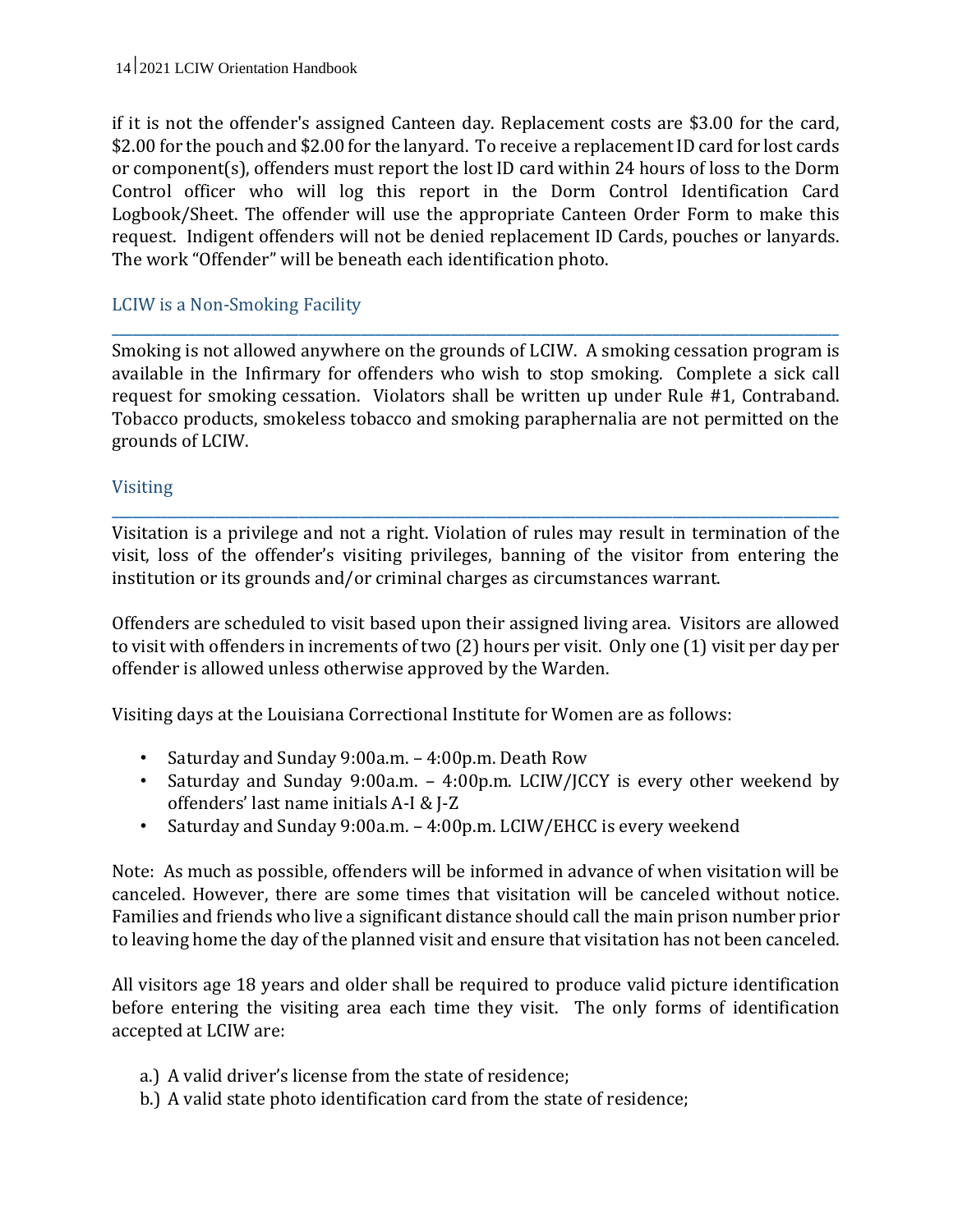if it is not the offender's assigned Canteen day. Replacement costs are \$3.00 for the card, \$2.00 for the pouch and \$2.00 for the lanyard. To receive a replacement ID card for lost cards or component(s), offenders must report the lost ID card within 24 hours of loss to the Dorm Control officer who will log this report in the Dorm Control Identification Card Logbook/Sheet. The offender will use the appropriate Canteen Order Form to make this request. Indigent offenders will not be denied replacement ID Cards, pouches or lanyards. The work "Offender" will be beneath each identification photo.

#### LCIW is a Non-Smoking Facility

Smoking is not allowed anywhere on the grounds of LCIW. A smoking cessation program is available in the Infirmary for offenders who wish to stop smoking. Complete a sick call request for smoking cessation. Violators shall be written up under Rule #1, Contraband. Tobacco products, smokeless tobacco and smoking paraphernalia are not permitted on the grounds of LCIW.

**\_\_\_\_\_\_\_\_\_\_\_\_\_\_\_\_\_\_\_\_\_\_\_\_\_\_\_\_\_\_\_\_\_\_\_\_\_\_\_\_\_\_\_\_\_\_\_\_\_\_\_\_\_\_\_\_\_\_\_\_\_\_\_\_\_\_\_\_\_\_\_\_\_\_\_\_\_\_\_\_\_\_\_\_\_\_\_\_\_\_\_\_\_\_\_\_\_\_\_\_\_\_\_\_\_**

#### Visiting

Visitation is a privilege and not a right. Violation of rules may result in termination of the visit, loss of the offender's visiting privileges, banning of the visitor from entering the institution or its grounds and/or criminal charges as circumstances warrant.

**\_\_\_\_\_\_\_\_\_\_\_\_\_\_\_\_\_\_\_\_\_\_\_\_\_\_\_\_\_\_\_\_\_\_\_\_\_\_\_\_\_\_\_\_\_\_\_\_\_\_\_\_\_\_\_\_\_\_\_\_\_\_\_\_\_\_\_\_\_\_\_\_\_\_\_\_\_\_\_\_\_\_\_\_\_\_\_\_\_\_\_\_\_\_\_\_\_\_\_\_\_\_\_\_\_**

Offenders are scheduled to visit based upon their assigned living area. Visitors are allowed to visit with offenders in increments of two (2) hours per visit. Only one (1) visit per day per offender is allowed unless otherwise approved by the Warden.

Visiting days at the Louisiana Correctional Institute for Women are as follows:

- Saturday and Sunday 9:00a.m. 4:00p.m. Death Row
- Saturday and Sunday 9:00a.m. 4:00p.m. LCIW/JCCY is every other weekend by offenders' last name initials A-I & J-Z
- Saturday and Sunday 9:00a.m. 4:00p.m. LCIW/EHCC is every weekend

Note: As much as possible, offenders will be informed in advance of when visitation will be canceled. However, there are some times that visitation will be canceled without notice. Families and friends who live a significant distance should call the main prison number prior to leaving home the day of the planned visit and ensure that visitation has not been canceled.

All visitors age 18 years and older shall be required to produce valid picture identification before entering the visiting area each time they visit. The only forms of identification accepted at LCIW are:

- a.) A valid driver's license from the state of residence;
- b.) A valid state photo identification card from the state of residence;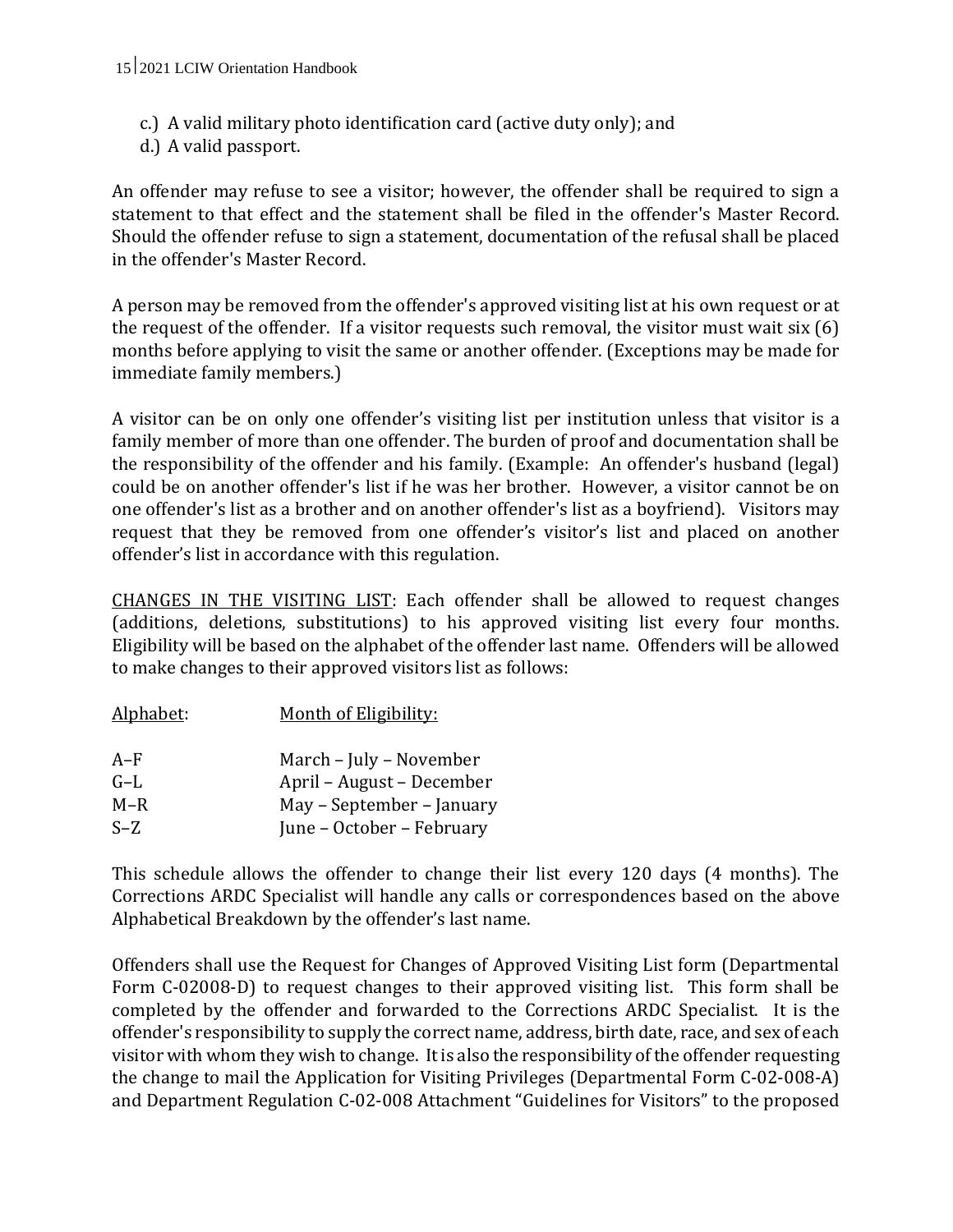- c.) A valid military photo identification card (active duty only); and
- d.) A valid passport.

An offender may refuse to see a visitor; however, the offender shall be required to sign a statement to that effect and the statement shall be filed in the offender's Master Record. Should the offender refuse to sign a statement, documentation of the refusal shall be placed in the offender's Master Record.

A person may be removed from the offender's approved visiting list at his own request or at the request of the offender. If a visitor requests such removal, the visitor must wait six (6) months before applying to visit the same or another offender. (Exceptions may be made for immediate family members.)

A visitor can be on only one offender's visiting list per institution unless that visitor is a family member of more than one offender. The burden of proof and documentation shall be the responsibility of the offender and his family. (Example: An offender's husband (legal) could be on another offender's list if he was her brother. However, a visitor cannot be on one offender's list as a brother and on another offender's list as a boyfriend). Visitors may request that they be removed from one offender's visitor's list and placed on another offender's list in accordance with this regulation.

CHANGES IN THE VISITING LIST: Each offender shall be allowed to request changes (additions, deletions, substitutions) to his approved visiting list every four months. Eligibility will be based on the alphabet of the offender last name. Offenders will be allowed to make changes to their approved visitors list as follows:

| Alphabet: | Month of Eligibility:     |
|-----------|---------------------------|
| A–F       | March - July - November   |
| G-L       | April – August – December |
| $M-R$     | May – September – January |
| $S-Z$     | June - October - February |

This schedule allows the offender to change their list every 120 days (4 months). The Corrections ARDC Specialist will handle any calls or correspondences based on the above Alphabetical Breakdown by the offender's last name.

Offenders shall use the Request for Changes of Approved Visiting List form (Departmental Form C-02008-D) to request changes to their approved visiting list. This form shall be completed by the offender and forwarded to the Corrections ARDC Specialist. It is the offender's responsibility to supply the correct name, address, birth date, race, and sex of each visitor with whom they wish to change. It is also the responsibility of the offender requesting the change to mail the Application for Visiting Privileges (Departmental Form C-02-008-A) and Department Regulation C-02-008 Attachment "Guidelines for Visitors" to the proposed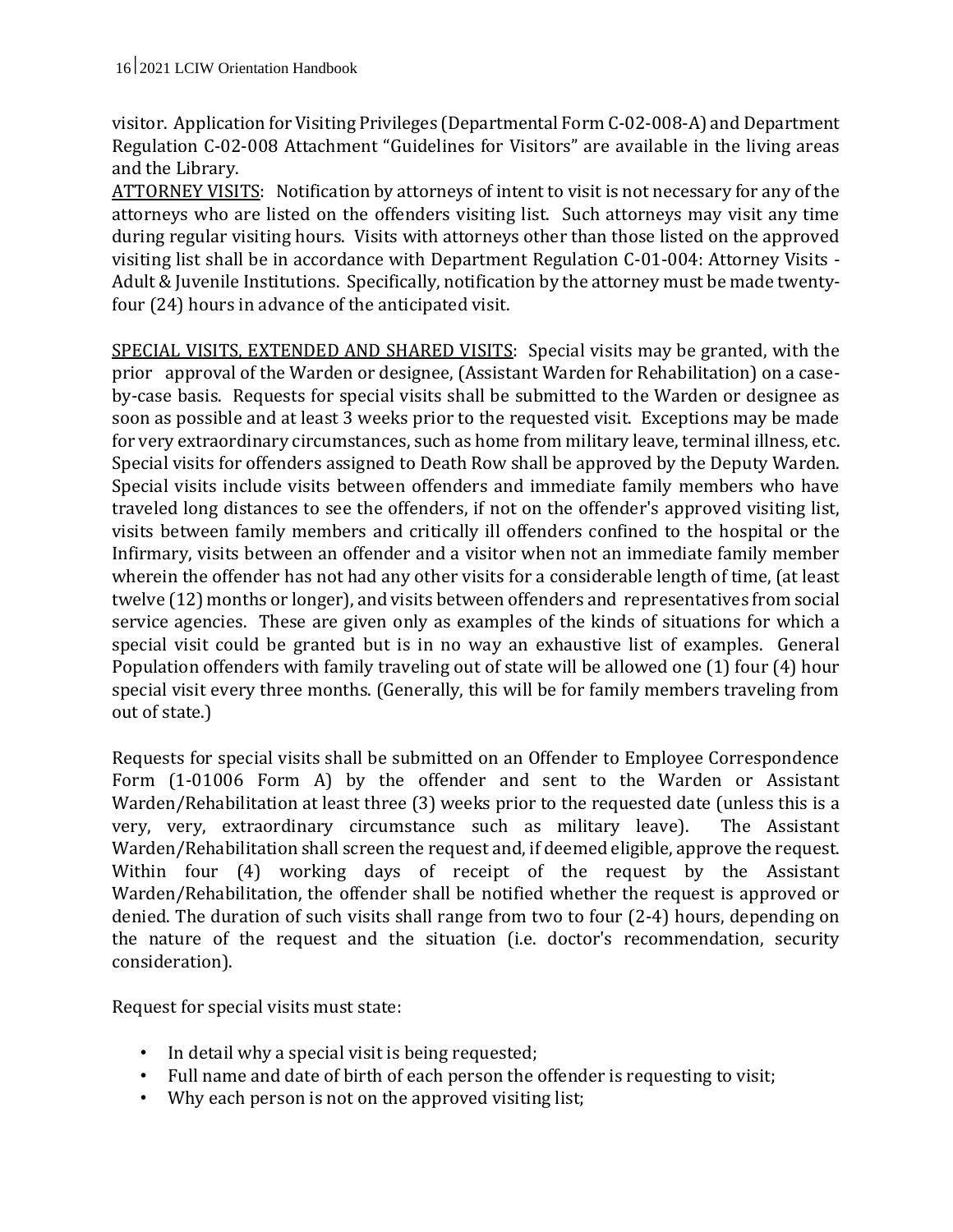visitor. Application for Visiting Privileges (Departmental Form C-02-008-A) and Department Regulation C-02-008 Attachment "Guidelines for Visitors" are available in the living areas and the Library.

ATTORNEY VISITS: Notification by attorneys of intent to visit is not necessary for any of the attorneys who are listed on the offenders visiting list. Such attorneys may visit any time during regular visiting hours. Visits with attorneys other than those listed on the approved visiting list shall be in accordance with Department Regulation C-01-004: Attorney Visits - Adult & Juvenile Institutions. Specifically, notification by the attorney must be made twentyfour (24) hours in advance of the anticipated visit.

SPECIAL VISITS, EXTENDED AND SHARED VISITS: Special visits may be granted, with the prior approval of the Warden or designee, (Assistant Warden for Rehabilitation) on a caseby-case basis. Requests for special visits shall be submitted to the Warden or designee as soon as possible and at least 3 weeks prior to the requested visit. Exceptions may be made for very extraordinary circumstances, such as home from military leave, terminal illness, etc. Special visits for offenders assigned to Death Row shall be approved by the Deputy Warden. Special visits include visits between offenders and immediate family members who have traveled long distances to see the offenders, if not on the offender's approved visiting list, visits between family members and critically ill offenders confined to the hospital or the Infirmary, visits between an offender and a visitor when not an immediate family member wherein the offender has not had any other visits for a considerable length of time, (at least twelve (12) months or longer), and visits between offenders and representatives from social service agencies. These are given only as examples of the kinds of situations for which a special visit could be granted but is in no way an exhaustive list of examples. General Population offenders with family traveling out of state will be allowed one (1) four (4) hour special visit every three months. (Generally, this will be for family members traveling from out of state.)

Requests for special visits shall be submitted on an Offender to Employee Correspondence Form (1-01006 Form A) by the offender and sent to the Warden or Assistant Warden/Rehabilitation at least three (3) weeks prior to the requested date (unless this is a very, very, extraordinary circumstance such as military leave). The Assistant Warden/Rehabilitation shall screen the request and, if deemed eligible, approve the request. Within four (4) working days of receipt of the request by the Assistant Warden/Rehabilitation, the offender shall be notified whether the request is approved or denied. The duration of such visits shall range from two to four (2-4) hours, depending on the nature of the request and the situation (i.e. doctor's recommendation, security consideration).

Request for special visits must state:

- In detail why a special visit is being requested;
- Full name and date of birth of each person the offender is requesting to visit;
- Why each person is not on the approved visiting list;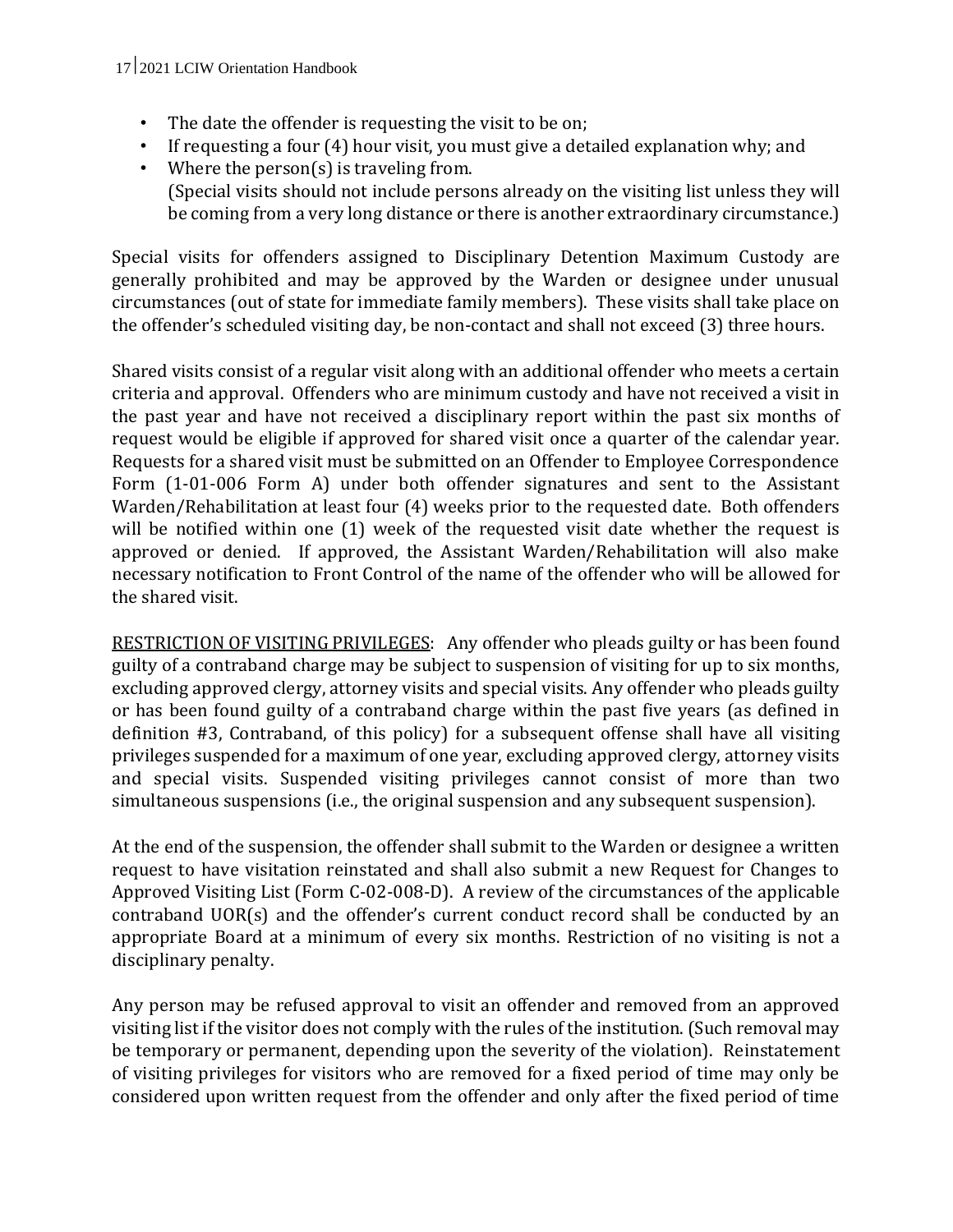- The date the offender is requesting the visit to be on;
- If requesting a four (4) hour visit, you must give a detailed explanation why; and
- Where the person(s) is traveling from. (Special visits should not include persons already on the visiting list unless they will be coming from a very long distance or there is another extraordinary circumstance.)

Special visits for offenders assigned to Disciplinary Detention Maximum Custody are generally prohibited and may be approved by the Warden or designee under unusual circumstances (out of state for immediate family members). These visits shall take place on the offender's scheduled visiting day, be non-contact and shall not exceed (3) three hours.

Shared visits consist of a regular visit along with an additional offender who meets a certain criteria and approval. Offenders who are minimum custody and have not received a visit in the past year and have not received a disciplinary report within the past six months of request would be eligible if approved for shared visit once a quarter of the calendar year. Requests for a shared visit must be submitted on an Offender to Employee Correspondence Form (1-01-006 Form A) under both offender signatures and sent to the Assistant Warden/Rehabilitation at least four (4) weeks prior to the requested date. Both offenders will be notified within one (1) week of the requested visit date whether the request is approved or denied. If approved, the Assistant Warden/Rehabilitation will also make necessary notification to Front Control of the name of the offender who will be allowed for the shared visit.

RESTRICTION OF VISITING PRIVILEGES: Any offender who pleads guilty or has been found guilty of a contraband charge may be subject to suspension of visiting for up to six months, excluding approved clergy, attorney visits and special visits. Any offender who pleads guilty or has been found guilty of a contraband charge within the past five years (as defined in definition #3, Contraband, of this policy) for a subsequent offense shall have all visiting privileges suspended for a maximum of one year, excluding approved clergy, attorney visits and special visits. Suspended visiting privileges cannot consist of more than two simultaneous suspensions (i.e., the original suspension and any subsequent suspension).

At the end of the suspension, the offender shall submit to the Warden or designee a written request to have visitation reinstated and shall also submit a new Request for Changes to Approved Visiting List (Form C-02-008-D). A review of the circumstances of the applicable contraband UOR(s) and the offender's current conduct record shall be conducted by an appropriate Board at a minimum of every six months. Restriction of no visiting is not a disciplinary penalty.

Any person may be refused approval to visit an offender and removed from an approved visiting list if the visitor does not comply with the rules of the institution. (Such removal may be temporary or permanent, depending upon the severity of the violation). Reinstatement of visiting privileges for visitors who are removed for a fixed period of time may only be considered upon written request from the offender and only after the fixed period of time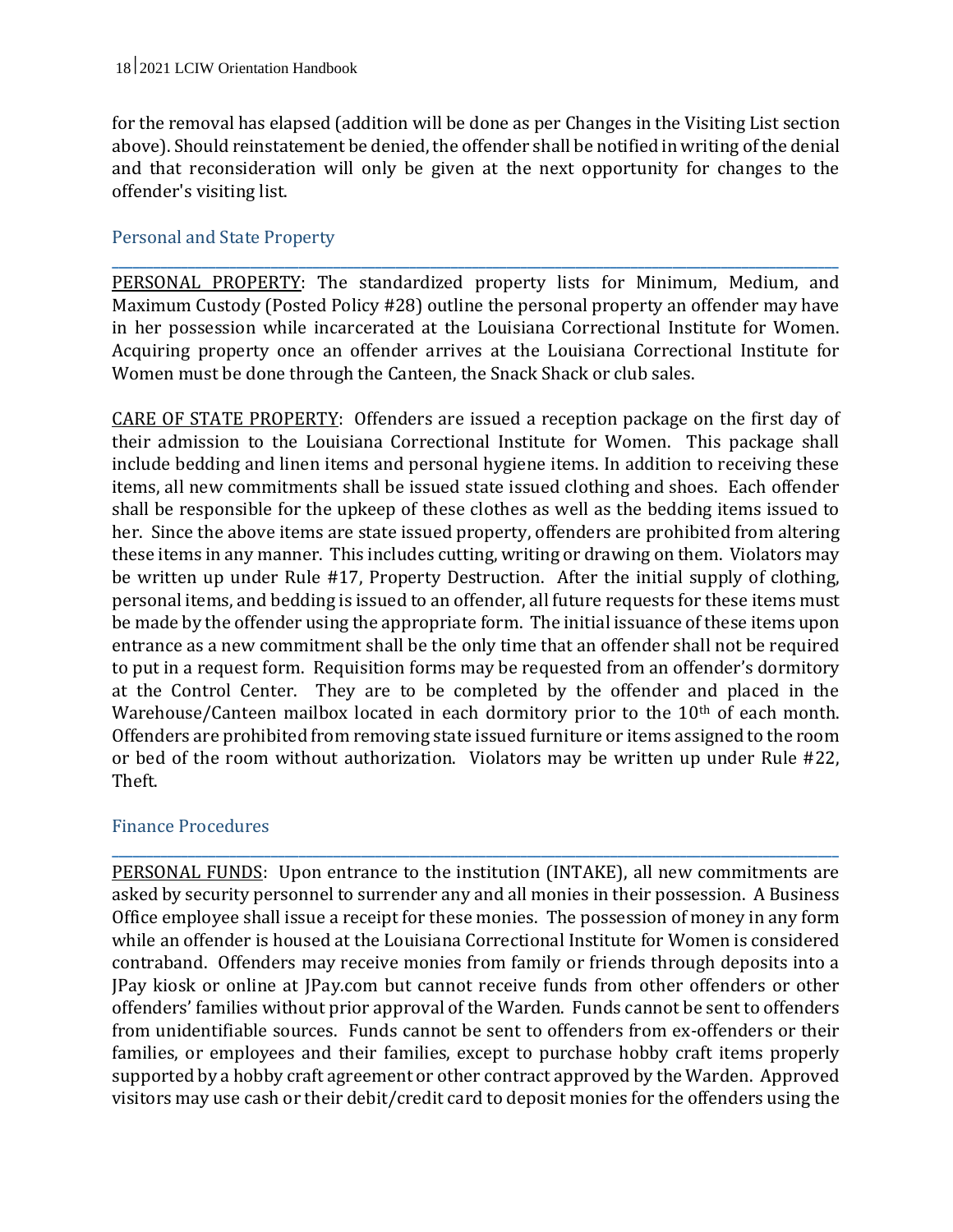for the removal has elapsed (addition will be done as per Changes in the Visiting List section above). Should reinstatement be denied, the offender shall be notified in writing of the denial and that reconsideration will only be given at the next opportunity for changes to the offender's visiting list.

#### Personal and State Property

**\_\_\_\_\_\_\_\_\_\_\_\_\_\_\_\_\_\_\_\_\_\_\_\_\_\_\_\_\_\_\_\_\_\_\_\_\_\_\_\_\_\_\_\_\_\_\_\_\_\_\_\_\_\_\_\_\_\_\_\_\_\_\_\_\_\_\_\_\_\_\_\_\_\_\_\_\_\_\_\_\_\_\_\_\_\_\_\_\_\_\_\_\_\_\_\_\_\_\_\_\_\_\_\_\_** PERSONAL PROPERTY: The standardized property lists for Minimum, Medium, and Maximum Custody (Posted Policy #28) outline the personal property an offender may have in her possession while incarcerated at the Louisiana Correctional Institute for Women. Acquiring property once an offender arrives at the Louisiana Correctional Institute for Women must be done through the Canteen, the Snack Shack or club sales.

CARE OF STATE PROPERTY: Offenders are issued a reception package on the first day of their admission to the Louisiana Correctional Institute for Women. This package shall include bedding and linen items and personal hygiene items. In addition to receiving these items, all new commitments shall be issued state issued clothing and shoes. Each offender shall be responsible for the upkeep of these clothes as well as the bedding items issued to her. Since the above items are state issued property, offenders are prohibited from altering these items in any manner. This includes cutting, writing or drawing on them. Violators may be written up under Rule #17, Property Destruction. After the initial supply of clothing, personal items, and bedding is issued to an offender, all future requests for these items must be made by the offender using the appropriate form. The initial issuance of these items upon entrance as a new commitment shall be the only time that an offender shall not be required to put in a request form. Requisition forms may be requested from an offender's dormitory at the Control Center. They are to be completed by the offender and placed in the Warehouse/Canteen mailbox located in each dormitory prior to the 10<sup>th</sup> of each month. Offenders are prohibited from removing state issued furniture or items assigned to the room or bed of the room without authorization. Violators may be written up under Rule #22, Theft.

#### Finance Procedures

PERSONAL FUNDS: Upon entrance to the institution (INTAKE), all new commitments are asked by security personnel to surrender any and all monies in their possession. A Business Office employee shall issue a receipt for these monies. The possession of money in any form while an offender is housed at the Louisiana Correctional Institute for Women is considered contraband. Offenders may receive monies from family or friends through deposits into a JPay kiosk or online at JPay.com but cannot receive funds from other offenders or other offenders' families without prior approval of the Warden. Funds cannot be sent to offenders from unidentifiable sources. Funds cannot be sent to offenders from ex-offenders or their families, or employees and their families, except to purchase hobby craft items properly supported by a hobby craft agreement or other contract approved by the Warden. Approved visitors may use cash or their debit/credit card to deposit monies for the offenders using the

**\_\_\_\_\_\_\_\_\_\_\_\_\_\_\_\_\_\_\_\_\_\_\_\_\_\_\_\_\_\_\_\_\_\_\_\_\_\_\_\_\_\_\_\_\_\_\_\_\_\_\_\_\_\_\_\_\_\_\_\_\_\_\_\_\_\_\_\_\_\_\_\_\_\_\_\_\_\_\_\_\_\_\_\_\_\_\_\_\_\_\_\_\_\_\_\_\_\_\_\_\_\_\_\_\_**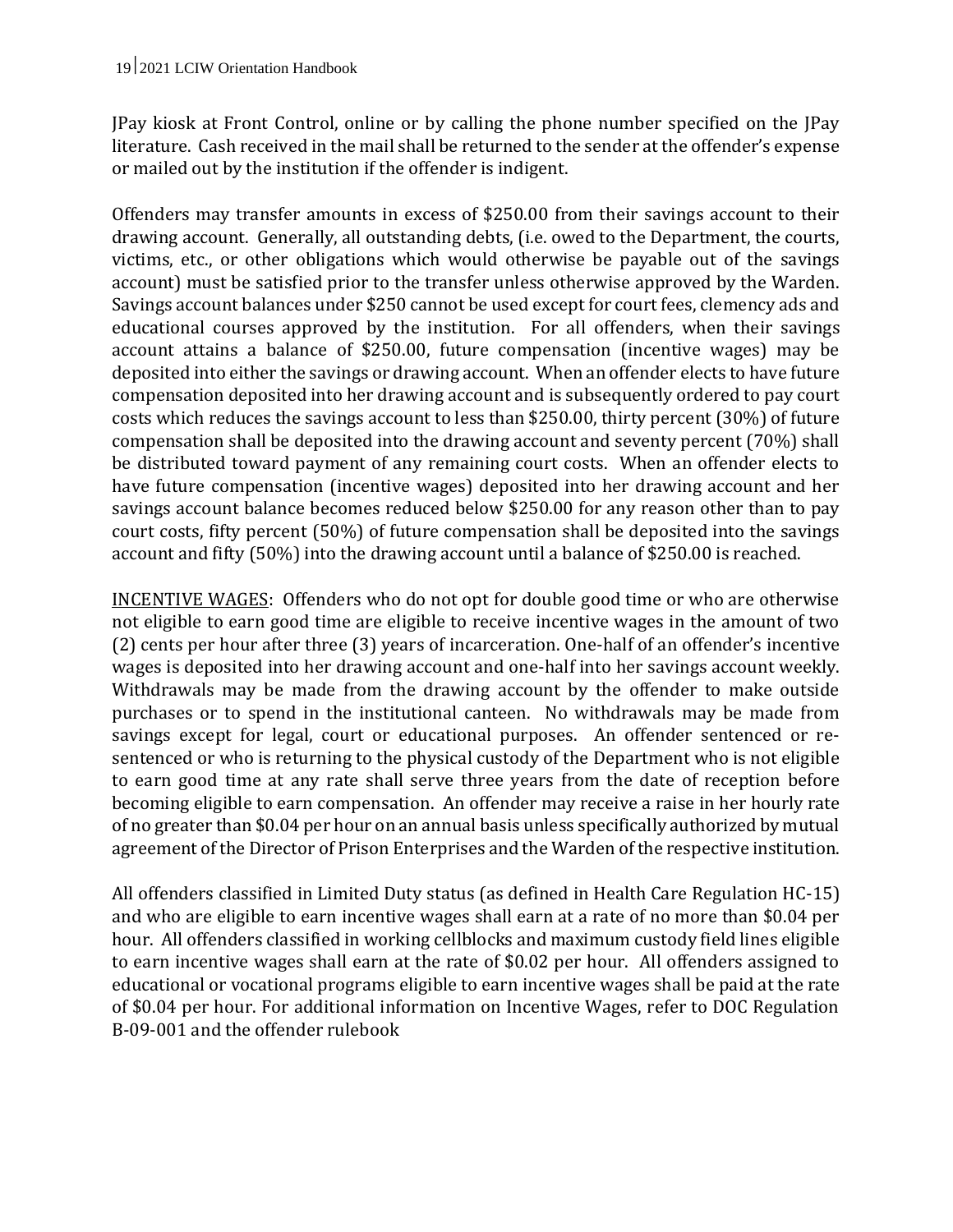JPay kiosk at Front Control, online or by calling the phone number specified on the JPay literature. Cash received in the mail shall be returned to the sender at the offender's expense or mailed out by the institution if the offender is indigent.

Offenders may transfer amounts in excess of \$250.00 from their savings account to their drawing account. Generally, all outstanding debts, (i.e. owed to the Department, the courts, victims, etc., or other obligations which would otherwise be payable out of the savings account) must be satisfied prior to the transfer unless otherwise approved by the Warden. Savings account balances under \$250 cannot be used except for court fees, clemency ads and educational courses approved by the institution. For all offenders, when their savings account attains a balance of \$250.00, future compensation (incentive wages) may be deposited into either the savings or drawing account. When an offender elects to have future compensation deposited into her drawing account and is subsequently ordered to pay court costs which reduces the savings account to less than \$250.00, thirty percent (30%) of future compensation shall be deposited into the drawing account and seventy percent (70%) shall be distributed toward payment of any remaining court costs. When an offender elects to have future compensation (incentive wages) deposited into her drawing account and her savings account balance becomes reduced below \$250.00 for any reason other than to pay court costs, fifty percent (50%) of future compensation shall be deposited into the savings account and fifty (50%) into the drawing account until a balance of \$250.00 is reached.

INCENTIVE WAGES: Offenders who do not opt for double good time or who are otherwise not eligible to earn good time are eligible to receive incentive wages in the amount of two (2) cents per hour after three (3) years of incarceration. One-half of an offender's incentive wages is deposited into her drawing account and one-half into her savings account weekly. Withdrawals may be made from the drawing account by the offender to make outside purchases or to spend in the institutional canteen. No withdrawals may be made from savings except for legal, court or educational purposes. An offender sentenced or resentenced or who is returning to the physical custody of the Department who is not eligible to earn good time at any rate shall serve three years from the date of reception before becoming eligible to earn compensation. An offender may receive a raise in her hourly rate of no greater than \$0.04 per hour on an annual basis unless specifically authorized by mutual agreement of the Director of Prison Enterprises and the Warden of the respective institution.

All offenders classified in Limited Duty status (as defined in Health Care Regulation HC-15) and who are eligible to earn incentive wages shall earn at a rate of no more than \$0.04 per hour. All offenders classified in working cellblocks and maximum custody field lines eligible to earn incentive wages shall earn at the rate of \$0.02 per hour. All offenders assigned to educational or vocational programs eligible to earn incentive wages shall be paid at the rate of \$0.04 per hour. For additional information on Incentive Wages, refer to DOC Regulation B-09-001 and the offender rulebook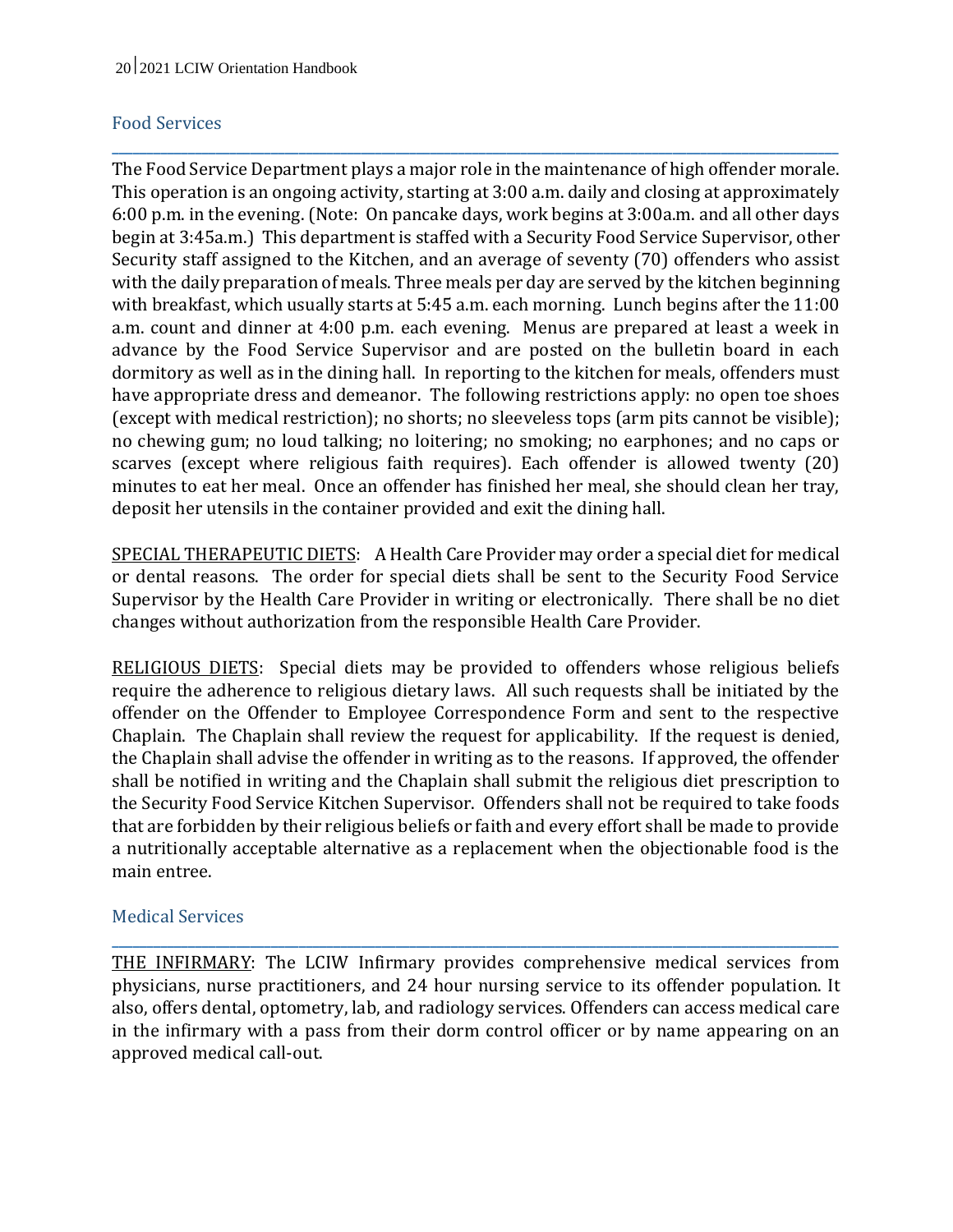#### Food Services

The Food Service Department plays a major role in the maintenance of high offender morale. This operation is an ongoing activity, starting at 3:00 a.m. daily and closing at approximately 6:00 p.m. in the evening. (Note: On pancake days, work begins at 3:00a.m. and all other days begin at 3:45a.m.) This department is staffed with a Security Food Service Supervisor, other Security staff assigned to the Kitchen, and an average of seventy (70) offenders who assist with the daily preparation of meals. Three meals per day are served by the kitchen beginning with breakfast, which usually starts at 5:45 a.m. each morning. Lunch begins after the 11:00 a.m. count and dinner at 4:00 p.m. each evening. Menus are prepared at least a week in advance by the Food Service Supervisor and are posted on the bulletin board in each dormitory as well as in the dining hall. In reporting to the kitchen for meals, offenders must have appropriate dress and demeanor. The following restrictions apply: no open toe shoes (except with medical restriction); no shorts; no sleeveless tops (arm pits cannot be visible); no chewing gum; no loud talking; no loitering; no smoking; no earphones; and no caps or scarves (except where religious faith requires). Each offender is allowed twenty (20) minutes to eat her meal. Once an offender has finished her meal, she should clean her tray, deposit her utensils in the container provided and exit the dining hall.

**\_\_\_\_\_\_\_\_\_\_\_\_\_\_\_\_\_\_\_\_\_\_\_\_\_\_\_\_\_\_\_\_\_\_\_\_\_\_\_\_\_\_\_\_\_\_\_\_\_\_\_\_\_\_\_\_\_\_\_\_\_\_\_\_\_\_\_\_\_\_\_\_\_\_\_\_\_\_\_\_\_\_\_\_\_\_\_\_\_\_\_\_\_\_\_\_\_\_\_\_\_\_\_\_\_**

SPECIAL THERAPEUTIC DIETS: A Health Care Provider may order a special diet for medical or dental reasons. The order for special diets shall be sent to the Security Food Service Supervisor by the Health Care Provider in writing or electronically. There shall be no diet changes without authorization from the responsible Health Care Provider.

RELIGIOUS DIETS: Special diets may be provided to offenders whose religious beliefs require the adherence to religious dietary laws. All such requests shall be initiated by the offender on the Offender to Employee Correspondence Form and sent to the respective Chaplain. The Chaplain shall review the request for applicability. If the request is denied, the Chaplain shall advise the offender in writing as to the reasons. If approved, the offender shall be notified in writing and the Chaplain shall submit the religious diet prescription to the Security Food Service Kitchen Supervisor. Offenders shall not be required to take foods that are forbidden by their religious beliefs or faith and every effort shall be made to provide a nutritionally acceptable alternative as a replacement when the objectionable food is the main entree.

#### Medical Services

THE INFIRMARY: The LCIW Infirmary provides comprehensive medical services from physicians, nurse practitioners, and 24 hour nursing service to its offender population. It also, offers dental, optometry, lab, and radiology services. Offenders can access medical care in the infirmary with a pass from their dorm control officer or by name appearing on an approved medical call-out.

**\_\_\_\_\_\_\_\_\_\_\_\_\_\_\_\_\_\_\_\_\_\_\_\_\_\_\_\_\_\_\_\_\_\_\_\_\_\_\_\_\_\_\_\_\_\_\_\_\_\_\_\_\_\_\_\_\_\_\_\_\_\_\_\_\_\_\_\_\_\_\_\_\_\_\_\_\_\_\_\_\_\_\_\_\_\_\_\_\_\_\_\_\_\_\_\_\_\_\_\_\_\_\_\_\_**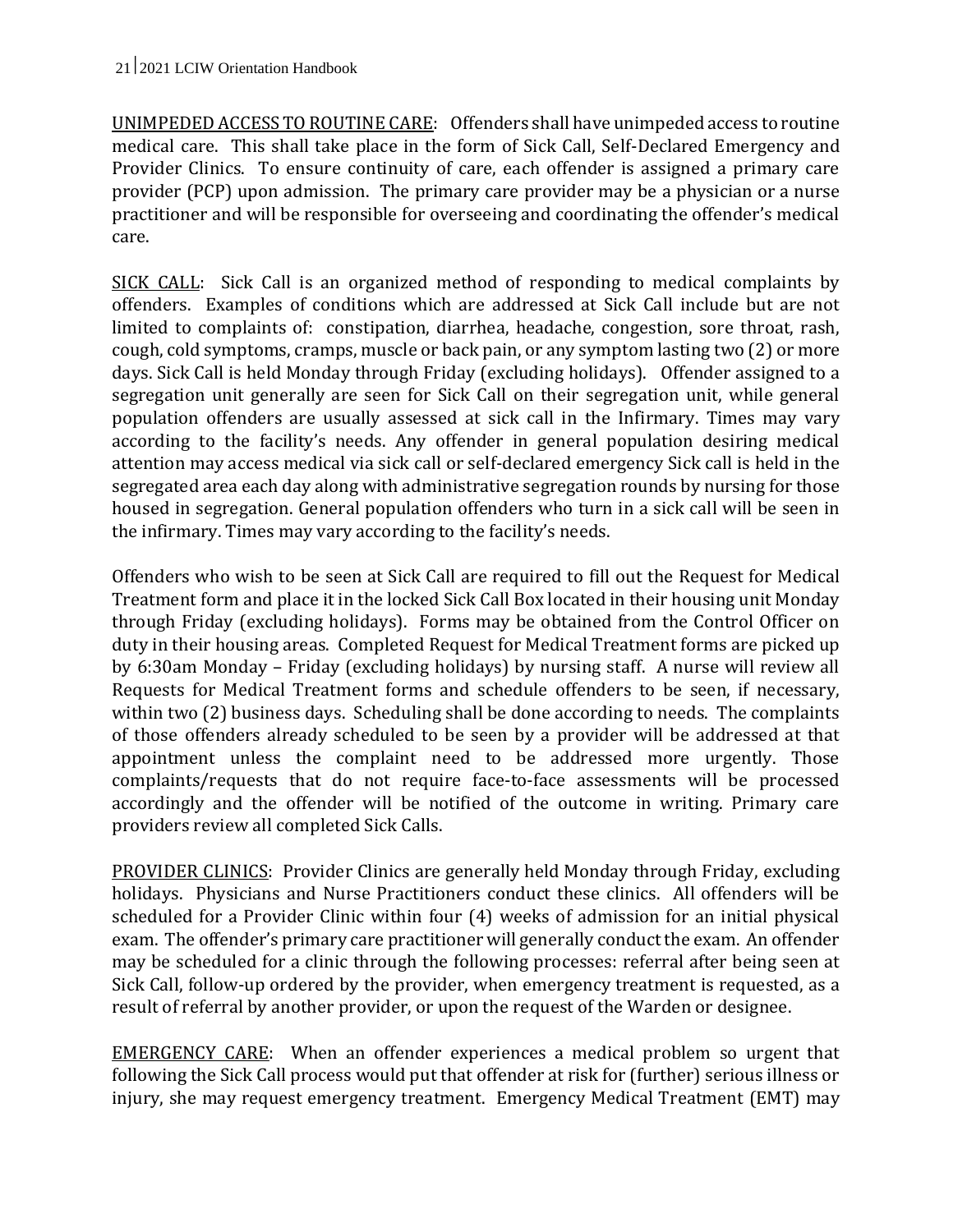UNIMPEDED ACCESS TO ROUTINE CARE: Offenders shall have unimpeded access to routine medical care. This shall take place in the form of Sick Call, Self-Declared Emergency and Provider Clinics. To ensure continuity of care, each offender is assigned a primary care provider (PCP) upon admission. The primary care provider may be a physician or a nurse practitioner and will be responsible for overseeing and coordinating the offender's medical care.

SICK CALL: Sick Call is an organized method of responding to medical complaints by offenders. Examples of conditions which are addressed at Sick Call include but are not limited to complaints of: constipation, diarrhea, headache, congestion, sore throat, rash, cough, cold symptoms, cramps, muscle or back pain, or any symptom lasting two (2) or more days. Sick Call is held Monday through Friday (excluding holidays). Offender assigned to a segregation unit generally are seen for Sick Call on their segregation unit, while general population offenders are usually assessed at sick call in the Infirmary. Times may vary according to the facility's needs. Any offender in general population desiring medical attention may access medical via sick call or self-declared emergency Sick call is held in the segregated area each day along with administrative segregation rounds by nursing for those housed in segregation. General population offenders who turn in a sick call will be seen in the infirmary. Times may vary according to the facility's needs.

Offenders who wish to be seen at Sick Call are required to fill out the Request for Medical Treatment form and place it in the locked Sick Call Box located in their housing unit Monday through Friday (excluding holidays). Forms may be obtained from the Control Officer on duty in their housing areas. Completed Request for Medical Treatment forms are picked up by 6:30am Monday – Friday (excluding holidays) by nursing staff. A nurse will review all Requests for Medical Treatment forms and schedule offenders to be seen, if necessary, within two (2) business days. Scheduling shall be done according to needs. The complaints of those offenders already scheduled to be seen by a provider will be addressed at that appointment unless the complaint need to be addressed more urgently. Those complaints/requests that do not require face-to-face assessments will be processed accordingly and the offender will be notified of the outcome in writing. Primary care providers review all completed Sick Calls.

PROVIDER CLINICS: Provider Clinics are generally held Monday through Friday, excluding holidays. Physicians and Nurse Practitioners conduct these clinics. All offenders will be scheduled for a Provider Clinic within four (4) weeks of admission for an initial physical exam. The offender's primary care practitioner will generally conduct the exam. An offender may be scheduled for a clinic through the following processes: referral after being seen at Sick Call, follow-up ordered by the provider, when emergency treatment is requested, as a result of referral by another provider, or upon the request of the Warden or designee.

EMERGENCY CARE: When an offender experiences a medical problem so urgent that following the Sick Call process would put that offender at risk for (further) serious illness or injury, she may request emergency treatment. Emergency Medical Treatment (EMT) may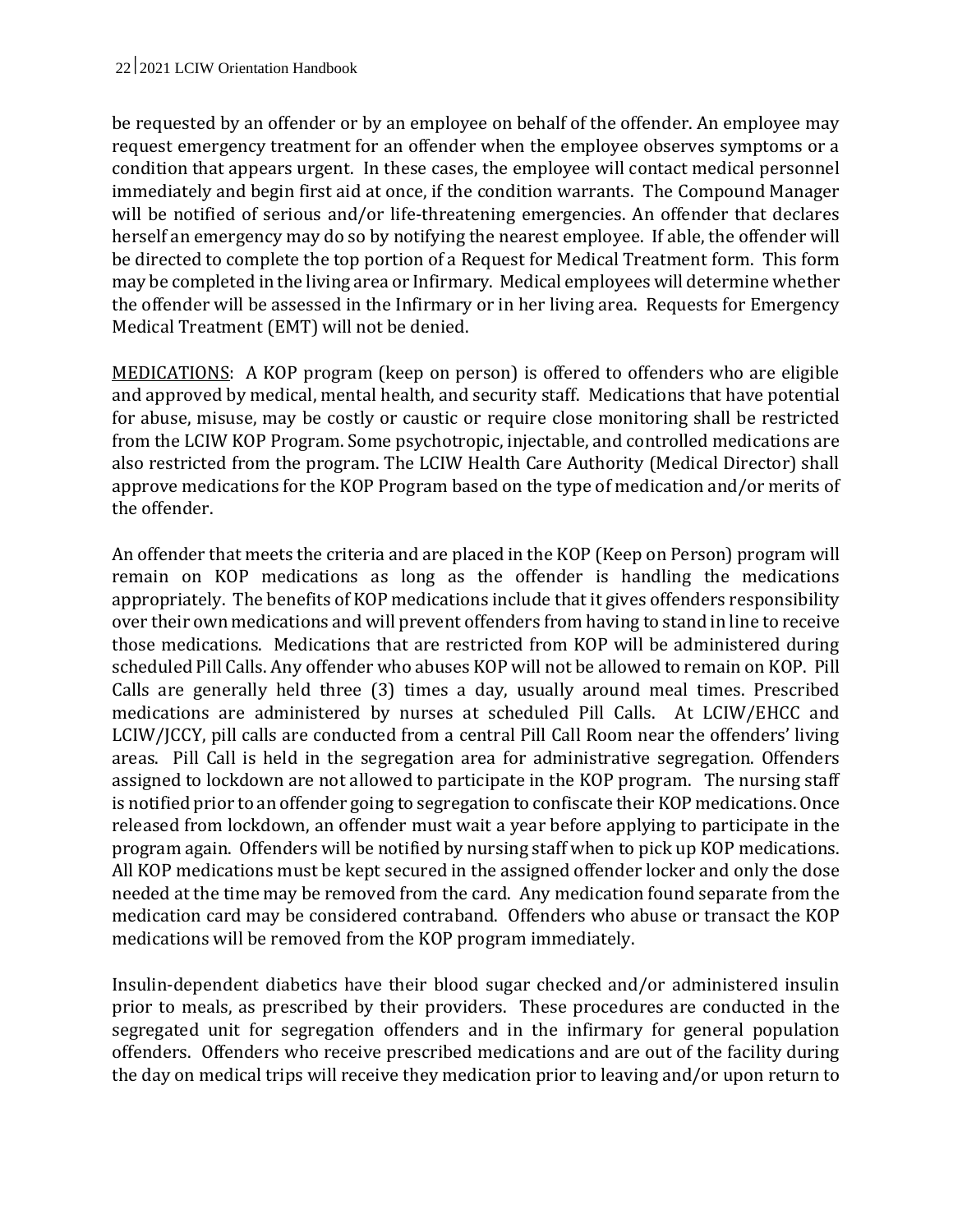be requested by an offender or by an employee on behalf of the offender. An employee may request emergency treatment for an offender when the employee observes symptoms or a condition that appears urgent. In these cases, the employee will contact medical personnel immediately and begin first aid at once, if the condition warrants. The Compound Manager will be notified of serious and/or life-threatening emergencies. An offender that declares herself an emergency may do so by notifying the nearest employee. If able, the offender will be directed to complete the top portion of a Request for Medical Treatment form. This form may be completed in the living area or Infirmary. Medical employees will determine whether the offender will be assessed in the Infirmary or in her living area. Requests for Emergency Medical Treatment (EMT) will not be denied.

MEDICATIONS: A KOP program (keep on person) is offered to offenders who are eligible and approved by medical, mental health, and security staff. Medications that have potential for abuse, misuse, may be costly or caustic or require close monitoring shall be restricted from the LCIW KOP Program. Some psychotropic, injectable, and controlled medications are also restricted from the program. The LCIW Health Care Authority (Medical Director) shall approve medications for the KOP Program based on the type of medication and/or merits of the offender.

An offender that meets the criteria and are placed in the KOP (Keep on Person) program will remain on KOP medications as long as the offender is handling the medications appropriately. The benefits of KOP medications include that it gives offenders responsibility over their own medications and will prevent offenders from having to stand in line to receive those medications. Medications that are restricted from KOP will be administered during scheduled Pill Calls. Any offender who abuses KOP will not be allowed to remain on KOP. Pill Calls are generally held three (3) times a day, usually around meal times. Prescribed medications are administered by nurses at scheduled Pill Calls. At LCIW/EHCC and LCIW/JCCY, pill calls are conducted from a central Pill Call Room near the offenders' living areas. Pill Call is held in the segregation area for administrative segregation. Offenders assigned to lockdown are not allowed to participate in the KOP program. The nursing staff is notified prior to an offender going to segregation to confiscate their KOP medications. Once released from lockdown, an offender must wait a year before applying to participate in the program again. Offenders will be notified by nursing staff when to pick up KOP medications. All KOP medications must be kept secured in the assigned offender locker and only the dose needed at the time may be removed from the card. Any medication found separate from the medication card may be considered contraband. Offenders who abuse or transact the KOP medications will be removed from the KOP program immediately.

Insulin-dependent diabetics have their blood sugar checked and/or administered insulin prior to meals, as prescribed by their providers. These procedures are conducted in the segregated unit for segregation offenders and in the infirmary for general population offenders. Offenders who receive prescribed medications and are out of the facility during the day on medical trips will receive they medication prior to leaving and/or upon return to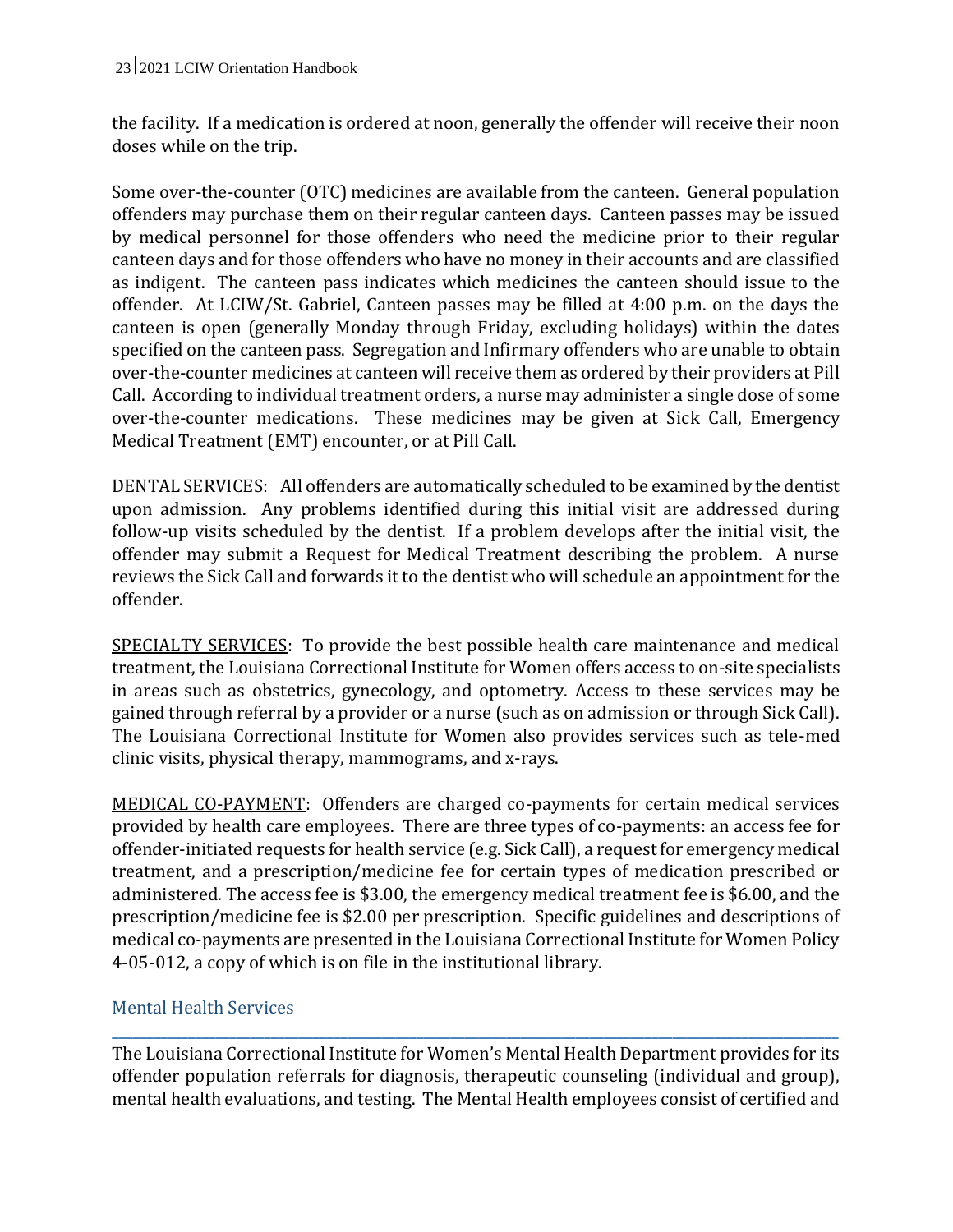the facility. If a medication is ordered at noon, generally the offender will receive their noon doses while on the trip.

Some over-the-counter (OTC) medicines are available from the canteen. General population offenders may purchase them on their regular canteen days. Canteen passes may be issued by medical personnel for those offenders who need the medicine prior to their regular canteen days and for those offenders who have no money in their accounts and are classified as indigent. The canteen pass indicates which medicines the canteen should issue to the offender. At LCIW/St. Gabriel, Canteen passes may be filled at 4:00 p.m. on the days the canteen is open (generally Monday through Friday, excluding holidays) within the dates specified on the canteen pass. Segregation and Infirmary offenders who are unable to obtain over-the-counter medicines at canteen will receive them as ordered by their providers at Pill Call. According to individual treatment orders, a nurse may administer a single dose of some over-the-counter medications. These medicines may be given at Sick Call, Emergency Medical Treatment (EMT) encounter, or at Pill Call.

DENTAL SERVICES: All offenders are automatically scheduled to be examined by the dentist upon admission. Any problems identified during this initial visit are addressed during follow-up visits scheduled by the dentist. If a problem develops after the initial visit, the offender may submit a Request for Medical Treatment describing the problem. A nurse reviews the Sick Call and forwards it to the dentist who will schedule an appointment for the offender.

SPECIALTY SERVICES: To provide the best possible health care maintenance and medical treatment, the Louisiana Correctional Institute for Women offers access to on-site specialists in areas such as obstetrics, gynecology, and optometry. Access to these services may be gained through referral by a provider or a nurse (such as on admission or through Sick Call). The Louisiana Correctional Institute for Women also provides services such as tele-med clinic visits, physical therapy, mammograms, and x-rays.

MEDICAL CO-PAYMENT: Offenders are charged co-payments for certain medical services provided by health care employees. There are three types of co-payments: an access fee for offender-initiated requests for health service (e.g. Sick Call), a request for emergency medical treatment, and a prescription/medicine fee for certain types of medication prescribed or administered. The access fee is \$3.00, the emergency medical treatment fee is \$6.00, and the prescription/medicine fee is \$2.00 per prescription. Specific guidelines and descriptions of medical co-payments are presented in the Louisiana Correctional Institute for Women Policy 4-05-012, a copy of which is on file in the institutional library.

## Mental Health Services

**\_\_\_\_\_\_\_\_\_\_\_\_\_\_\_\_\_\_\_\_\_\_\_\_\_\_\_\_\_\_\_\_\_\_\_\_\_\_\_\_\_\_\_\_\_\_\_\_\_\_\_\_\_\_\_\_\_\_\_\_\_\_\_\_\_\_\_\_\_\_\_\_\_\_\_\_\_\_\_\_\_\_\_\_\_\_\_\_\_\_\_\_\_\_\_\_\_\_\_\_\_\_\_\_\_** The Louisiana Correctional Institute for Women's Mental Health Department provides for its offender population referrals for diagnosis, therapeutic counseling (individual and group), mental health evaluations, and testing. The Mental Health employees consist of certified and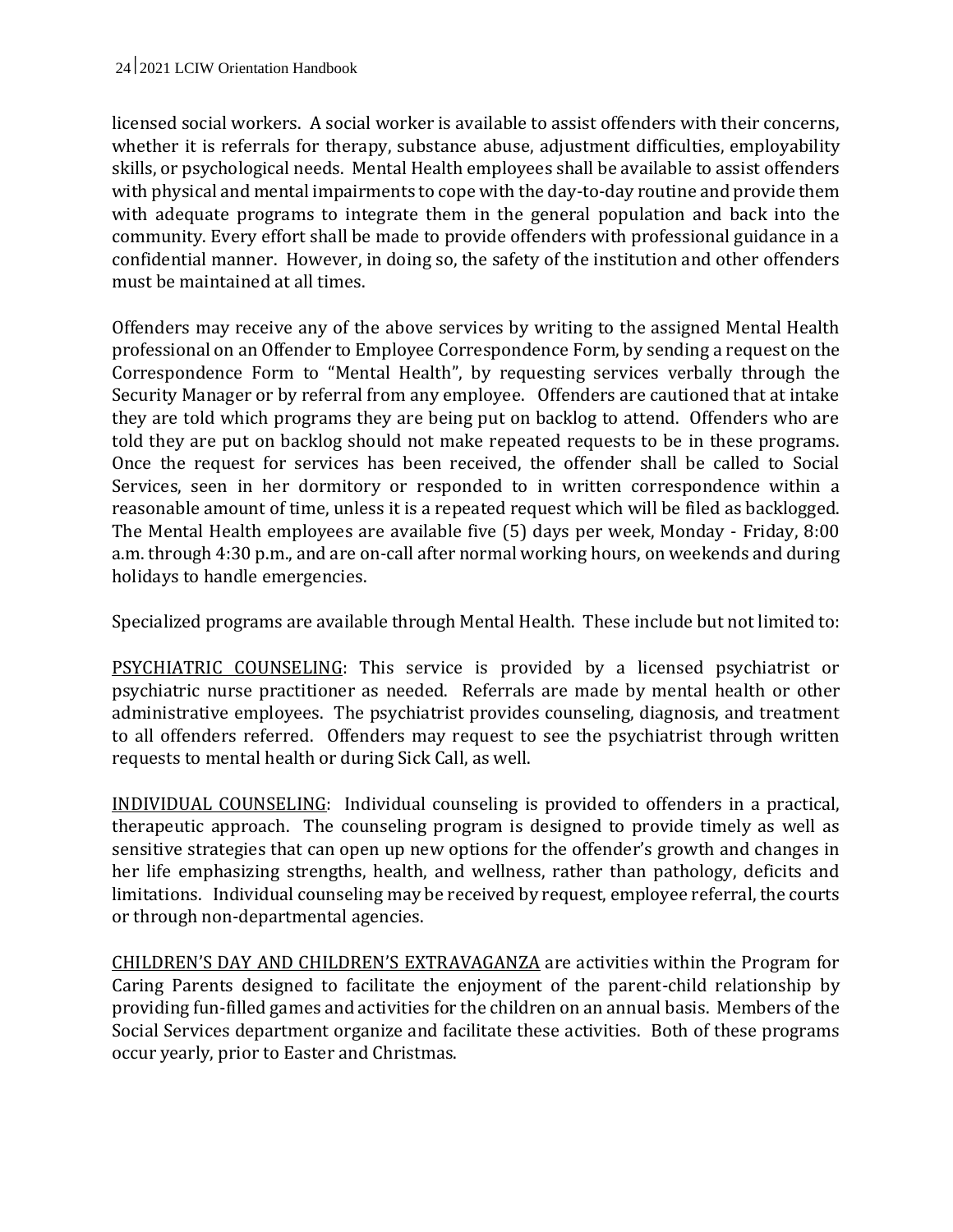licensed social workers. A social worker is available to assist offenders with their concerns, whether it is referrals for therapy, substance abuse, adjustment difficulties, employability skills, or psychological needs. Mental Health employees shall be available to assist offenders with physical and mental impairments to cope with the day-to-day routine and provide them with adequate programs to integrate them in the general population and back into the community. Every effort shall be made to provide offenders with professional guidance in a confidential manner. However, in doing so, the safety of the institution and other offenders must be maintained at all times.

Offenders may receive any of the above services by writing to the assigned Mental Health professional on an Offender to Employee Correspondence Form, by sending a request on the Correspondence Form to "Mental Health", by requesting services verbally through the Security Manager or by referral from any employee. Offenders are cautioned that at intake they are told which programs they are being put on backlog to attend. Offenders who are told they are put on backlog should not make repeated requests to be in these programs. Once the request for services has been received, the offender shall be called to Social Services, seen in her dormitory or responded to in written correspondence within a reasonable amount of time, unless it is a repeated request which will be filed as backlogged. The Mental Health employees are available five (5) days per week, Monday - Friday, 8:00 a.m. through 4:30 p.m., and are on-call after normal working hours, on weekends and during holidays to handle emergencies.

Specialized programs are available through Mental Health. These include but not limited to:

PSYCHIATRIC COUNSELING: This service is provided by a licensed psychiatrist or psychiatric nurse practitioner as needed. Referrals are made by mental health or other administrative employees. The psychiatrist provides counseling, diagnosis, and treatment to all offenders referred. Offenders may request to see the psychiatrist through written requests to mental health or during Sick Call, as well.

INDIVIDUAL COUNSELING: Individual counseling is provided to offenders in a practical, therapeutic approach. The counseling program is designed to provide timely as well as sensitive strategies that can open up new options for the offender's growth and changes in her life emphasizing strengths, health, and wellness, rather than pathology, deficits and limitations. Individual counseling may be received by request, employee referral, the courts or through non-departmental agencies.

CHILDREN'S DAY AND CHILDREN'S EXTRAVAGANZA are activities within the Program for Caring Parents designed to facilitate the enjoyment of the parent-child relationship by providing fun-filled games and activities for the children on an annual basis. Members of the Social Services department organize and facilitate these activities. Both of these programs occur yearly, prior to Easter and Christmas.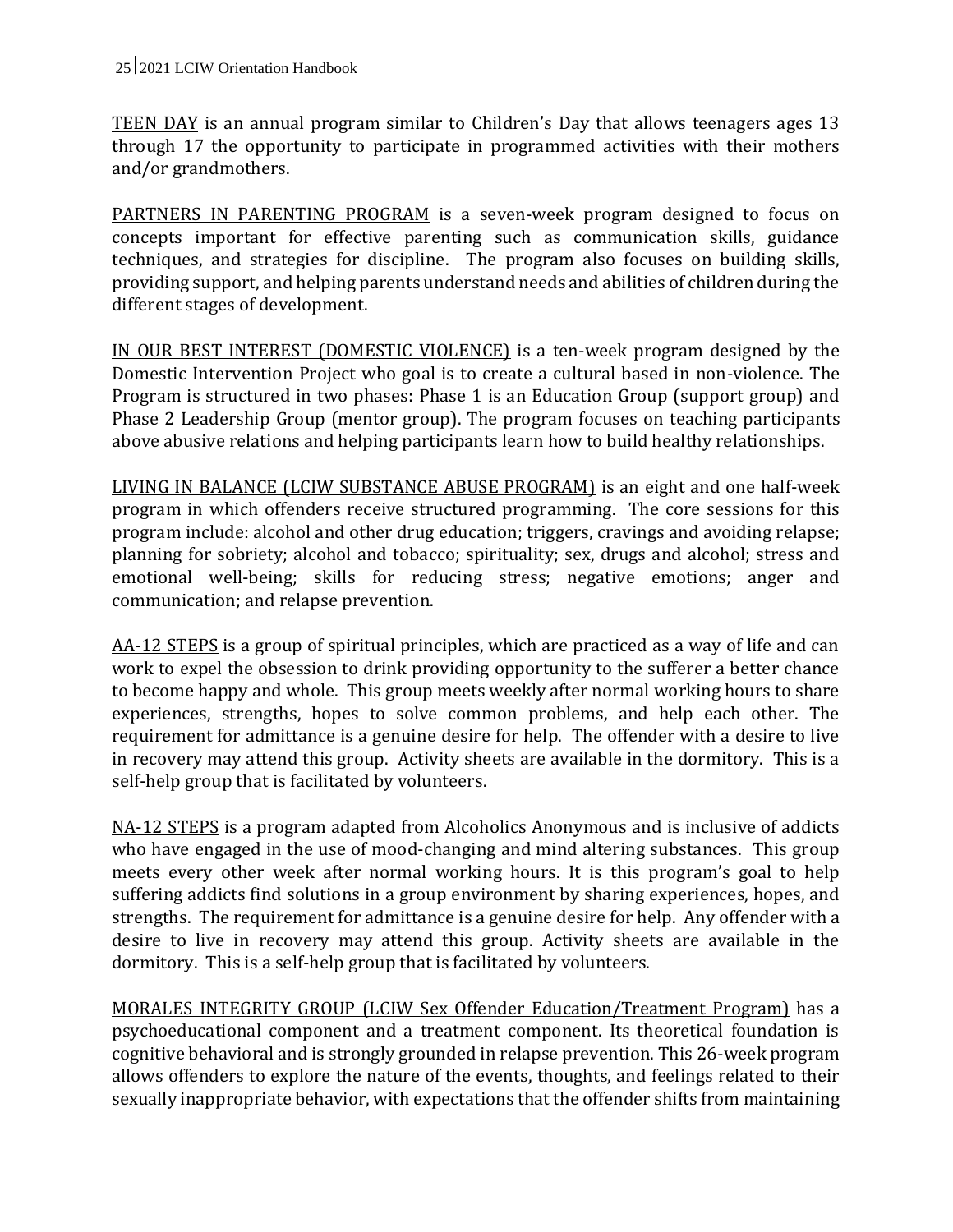TEEN DAY is an annual program similar to Children's Day that allows teenagers ages 13 through 17 the opportunity to participate in programmed activities with their mothers and/or grandmothers.

PARTNERS IN PARENTING PROGRAM is a seven-week program designed to focus on concepts important for effective parenting such as communication skills, guidance techniques, and strategies for discipline. The program also focuses on building skills, providing support, and helping parents understand needs and abilities of children during the different stages of development.

IN OUR BEST INTEREST (DOMESTIC VIOLENCE) is a ten-week program designed by the Domestic Intervention Project who goal is to create a cultural based in non-violence. The Program is structured in two phases: Phase 1 is an Education Group (support group) and Phase 2 Leadership Group (mentor group). The program focuses on teaching participants above abusive relations and helping participants learn how to build healthy relationships.

LIVING IN BALANCE (LCIW SUBSTANCE ABUSE PROGRAM) is an eight and one half-week program in which offenders receive structured programming. The core sessions for this program include: alcohol and other drug education; triggers, cravings and avoiding relapse; planning for sobriety; alcohol and tobacco; spirituality; sex, drugs and alcohol; stress and emotional well-being; skills for reducing stress; negative emotions; anger and communication; and relapse prevention.

AA-12 STEPS is a group of spiritual principles, which are practiced as a way of life and can work to expel the obsession to drink providing opportunity to the sufferer a better chance to become happy and whole. This group meets weekly after normal working hours to share experiences, strengths, hopes to solve common problems, and help each other. The requirement for admittance is a genuine desire for help. The offender with a desire to live in recovery may attend this group. Activity sheets are available in the dormitory. This is a self-help group that is facilitated by volunteers.

NA-12 STEPS is a program adapted from Alcoholics Anonymous and is inclusive of addicts who have engaged in the use of mood-changing and mind altering substances. This group meets every other week after normal working hours. It is this program's goal to help suffering addicts find solutions in a group environment by sharing experiences, hopes, and strengths. The requirement for admittance is a genuine desire for help. Any offender with a desire to live in recovery may attend this group. Activity sheets are available in the dormitory. This is a self-help group that is facilitated by volunteers.

MORALES INTEGRITY GROUP (LCIW Sex Offender Education/Treatment Program) has a psychoeducational component and a treatment component. Its theoretical foundation is cognitive behavioral and is strongly grounded in relapse prevention. This 26-week program allows offenders to explore the nature of the events, thoughts, and feelings related to their sexually inappropriate behavior, with expectations that the offender shifts from maintaining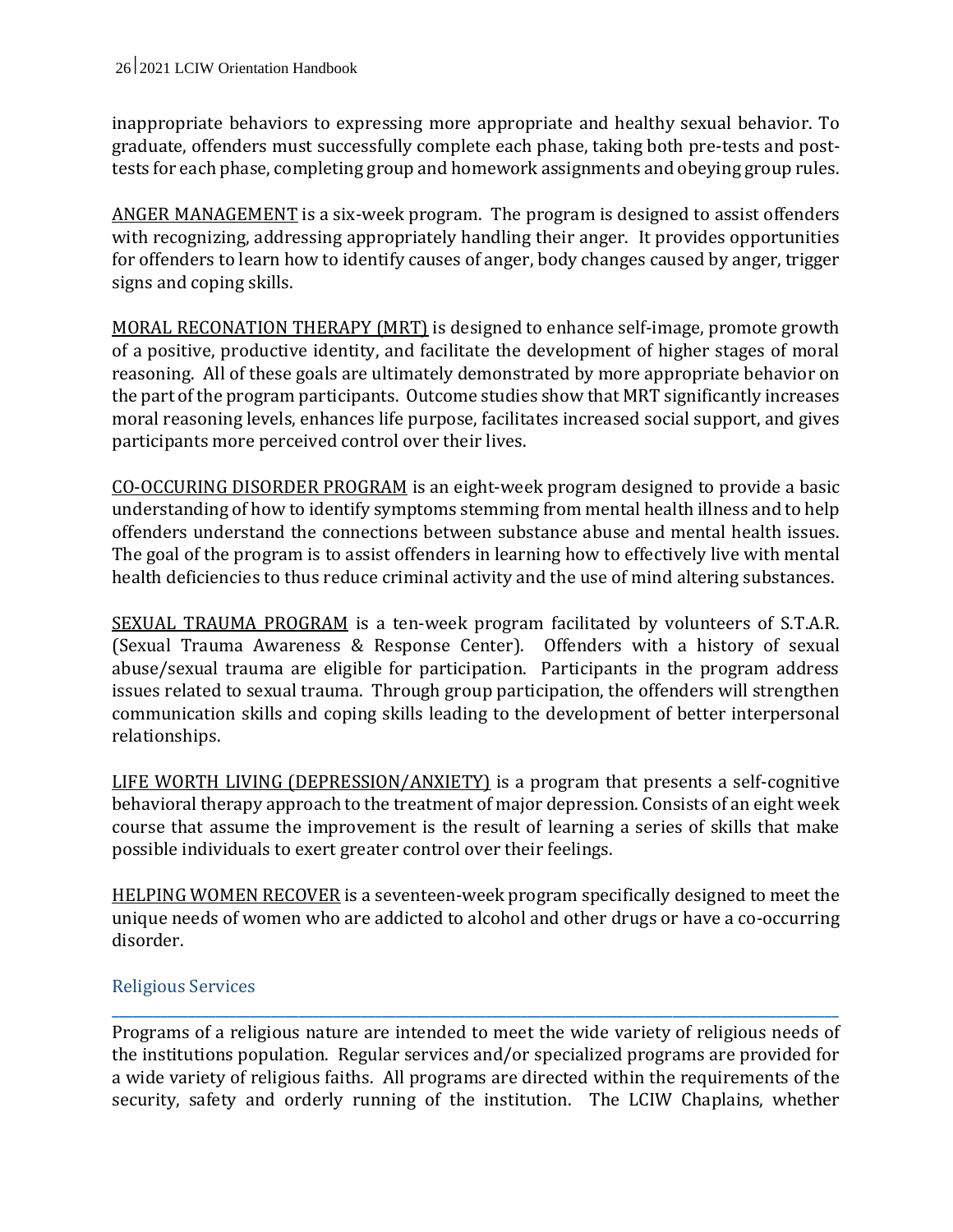inappropriate behaviors to expressing more appropriate and healthy sexual behavior. To graduate, offenders must successfully complete each phase, taking both pre-tests and posttests for each phase, completing group and homework assignments and obeying group rules.

ANGER MANAGEMENT is a six-week program. The program is designed to assist offenders with recognizing, addressing appropriately handling their anger. It provides opportunities for offenders to learn how to identify causes of anger, body changes caused by anger, trigger signs and coping skills.

MORAL RECONATION THERAPY (MRT) is designed to enhance self-image, promote growth of a positive, productive identity, and facilitate the development of higher stages of moral reasoning. All of these goals are ultimately demonstrated by more appropriate behavior on the part of the program participants. Outcome studies show that MRT significantly increases moral reasoning levels, enhances life purpose, facilitates increased social support, and gives participants more perceived control over their lives.

CO-OCCURING DISORDER PROGRAM is an eight-week program designed to provide a basic understanding of how to identify symptoms stemming from mental health illness and to help offenders understand the connections between substance abuse and mental health issues. The goal of the program is to assist offenders in learning how to effectively live with mental health deficiencies to thus reduce criminal activity and the use of mind altering substances.

SEXUAL TRAUMA PROGRAM is a ten-week program facilitated by volunteers of S.T.A.R. (Sexual Trauma Awareness & Response Center). Offenders with a history of sexual abuse/sexual trauma are eligible for participation. Participants in the program address issues related to sexual trauma. Through group participation, the offenders will strengthen communication skills and coping skills leading to the development of better interpersonal relationships.

LIFE WORTH LIVING (DEPRESSION/ANXIETY) is a program that presents a self-cognitive behavioral therapy approach to the treatment of major depression. Consists of an eight week course that assume the improvement is the result of learning a series of skills that make possible individuals to exert greater control over their feelings.

HELPING WOMEN RECOVER is a seventeen-week program specifically designed to meet the unique needs of women who are addicted to alcohol and other drugs or have a co-occurring disorder.

## Religious Services

Programs of a religious nature are intended to meet the wide variety of religious needs of the institutions population. Regular services and/or specialized programs are provided for a wide variety of religious faiths. All programs are directed within the requirements of the security, safety and orderly running of the institution. The LCIW Chaplains, whether

**\_\_\_\_\_\_\_\_\_\_\_\_\_\_\_\_\_\_\_\_\_\_\_\_\_\_\_\_\_\_\_\_\_\_\_\_\_\_\_\_\_\_\_\_\_\_\_\_\_\_\_\_\_\_\_\_\_\_\_\_\_\_\_\_\_\_\_\_\_\_\_\_\_\_\_\_\_\_\_\_\_\_\_\_\_\_\_\_\_\_\_\_\_\_\_\_\_\_\_\_\_\_\_\_\_**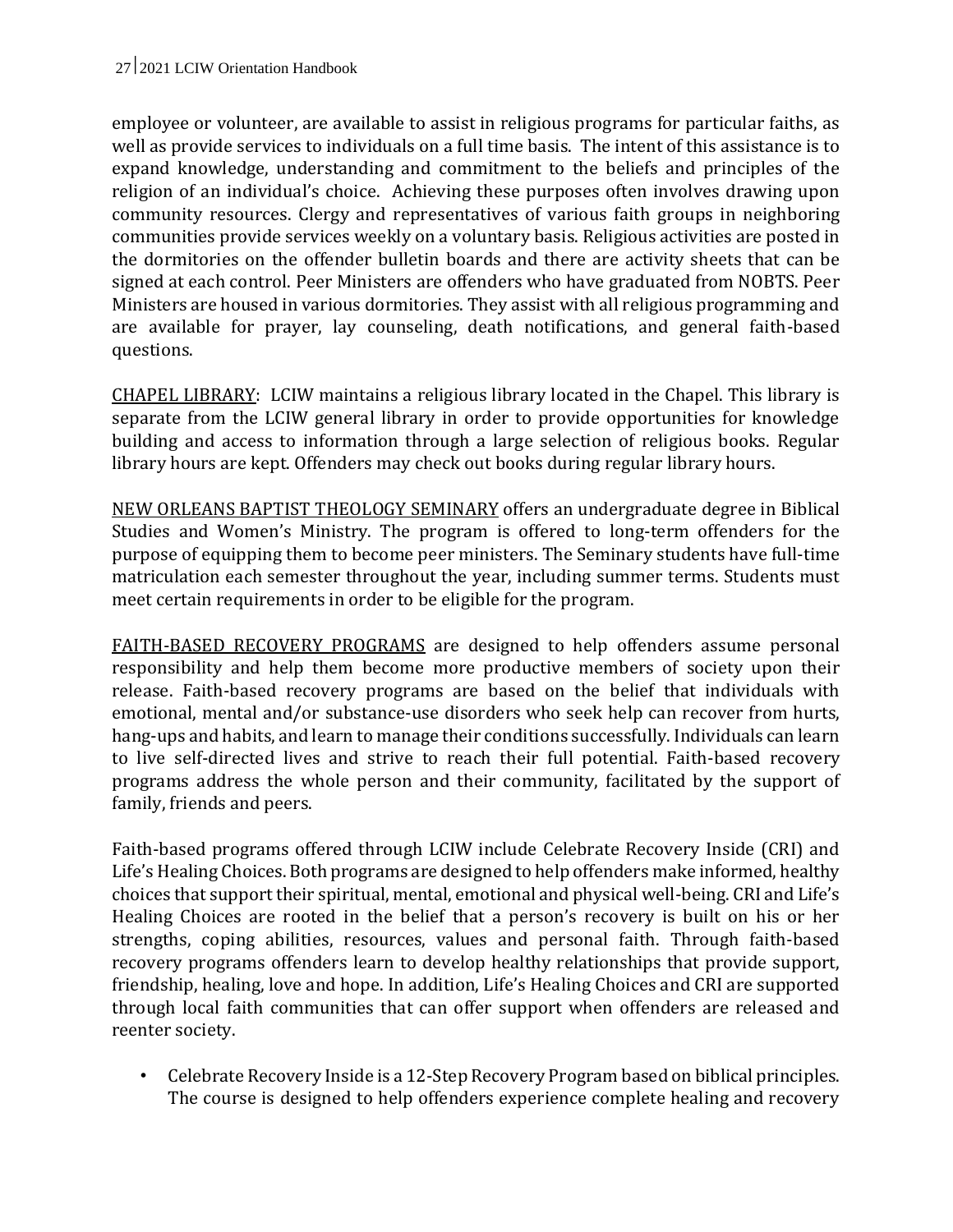employee or volunteer, are available to assist in religious programs for particular faiths, as well as provide services to individuals on a full time basis. The intent of this assistance is to expand knowledge, understanding and commitment to the beliefs and principles of the religion of an individual's choice. Achieving these purposes often involves drawing upon community resources. Clergy and representatives of various faith groups in neighboring communities provide services weekly on a voluntary basis. Religious activities are posted in the dormitories on the offender bulletin boards and there are activity sheets that can be signed at each control. Peer Ministers are offenders who have graduated from NOBTS. Peer Ministers are housed in various dormitories. They assist with all religious programming and are available for prayer, lay counseling, death notifications, and general faith-based questions.

CHAPEL LIBRARY: LCIW maintains a religious library located in the Chapel. This library is separate from the LCIW general library in order to provide opportunities for knowledge building and access to information through a large selection of religious books. Regular library hours are kept. Offenders may check out books during regular library hours.

NEW ORLEANS BAPTIST THEOLOGY SEMINARY offers an undergraduate degree in Biblical Studies and Women's Ministry. The program is offered to long-term offenders for the purpose of equipping them to become peer ministers. The Seminary students have full-time matriculation each semester throughout the year, including summer terms. Students must meet certain requirements in order to be eligible for the program.

FAITH-BASED RECOVERY PROGRAMS are designed to help offenders assume personal responsibility and help them become more productive members of society upon their release. Faith-based recovery programs are based on the belief that individuals with emotional, mental and/or substance-use disorders who seek help can recover from hurts, hang-ups and habits, and learn to manage their conditions successfully. Individuals can learn to live self-directed lives and strive to reach their full potential. Faith-based recovery programs address the whole person and their community, facilitated by the support of family, friends and peers.

Faith-based programs offered through LCIW include Celebrate Recovery Inside (CRI) and Life's Healing Choices. Both programs are designed to help offenders make informed, healthy choices that support their spiritual, mental, emotional and physical well-being. CRI and Life's Healing Choices are rooted in the belief that a person's recovery is built on his or her strengths, coping abilities, resources, values and personal faith. Through faith-based recovery programs offenders learn to develop healthy relationships that provide support, friendship, healing, love and hope. In addition, Life's Healing Choices and CRI are supported through local faith communities that can offer support when offenders are released and reenter society.

• Celebrate Recovery Inside is a 12-Step Recovery Program based on biblical principles. The course is designed to help offenders experience complete healing and recovery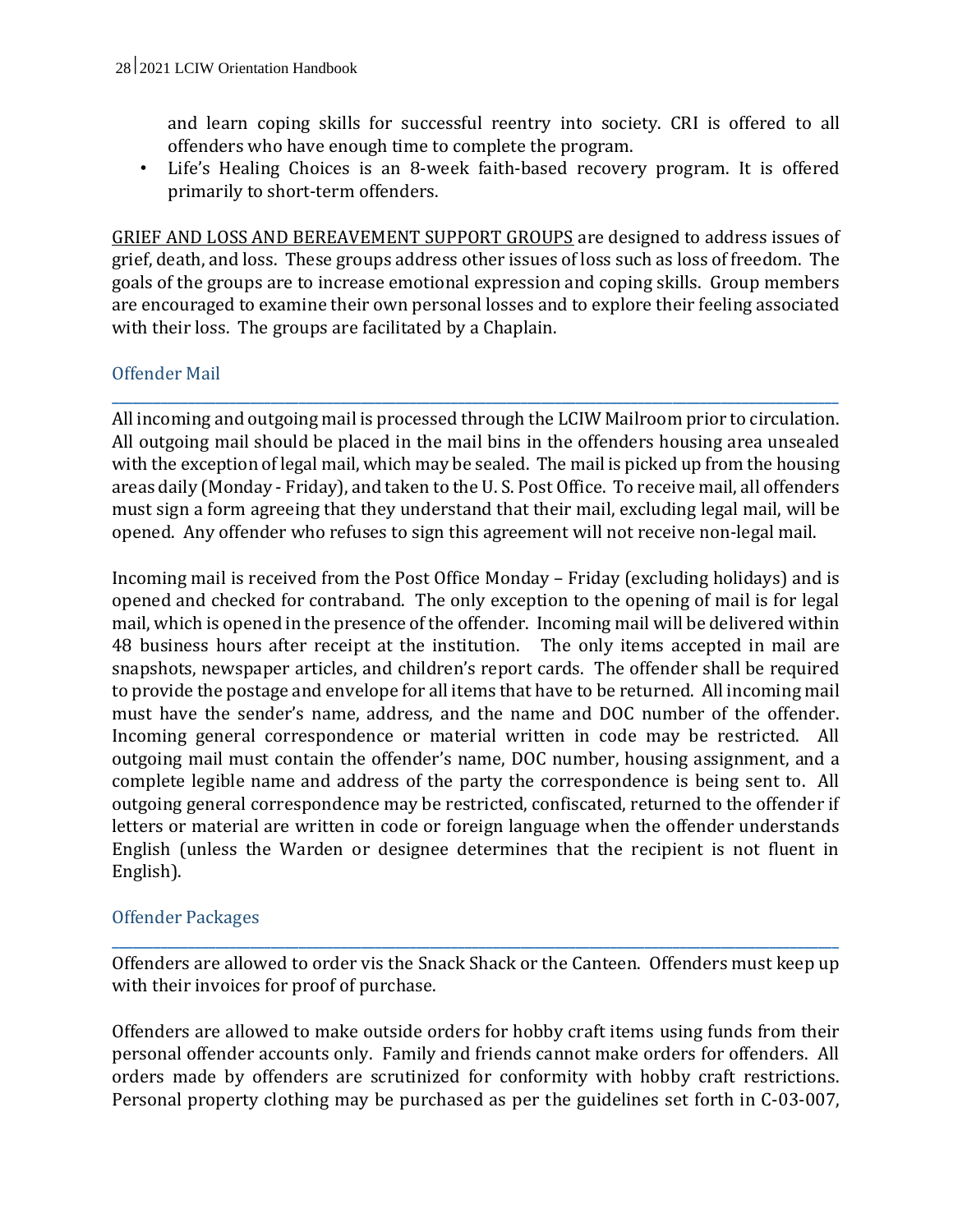and learn coping skills for successful reentry into society. CRI is offered to all offenders who have enough time to complete the program.

• Life's Healing Choices is an 8-week faith-based recovery program. It is offered primarily to short-term offenders.

GRIEF AND LOSS AND BEREAVEMENT SUPPORT GROUPS are designed to address issues of grief, death, and loss. These groups address other issues of loss such as loss of freedom. The goals of the groups are to increase emotional expression and coping skills. Group members are encouraged to examine their own personal losses and to explore their feeling associated with their loss. The groups are facilitated by a Chaplain.

## Offender Mail

All incoming and outgoing mail is processed through the LCIW Mailroom prior to circulation. All outgoing mail should be placed in the mail bins in the offenders housing area unsealed with the exception of legal mail, which may be sealed. The mail is picked up from the housing areas daily (Monday - Friday), and taken to the U. S. Post Office. To receive mail, all offenders must sign a form agreeing that they understand that their mail, excluding legal mail, will be opened. Any offender who refuses to sign this agreement will not receive non-legal mail.

**\_\_\_\_\_\_\_\_\_\_\_\_\_\_\_\_\_\_\_\_\_\_\_\_\_\_\_\_\_\_\_\_\_\_\_\_\_\_\_\_\_\_\_\_\_\_\_\_\_\_\_\_\_\_\_\_\_\_\_\_\_\_\_\_\_\_\_\_\_\_\_\_\_\_\_\_\_\_\_\_\_\_\_\_\_\_\_\_\_\_\_\_\_\_\_\_\_\_\_\_\_\_\_\_\_**

Incoming mail is received from the Post Office Monday – Friday (excluding holidays) and is opened and checked for contraband. The only exception to the opening of mail is for legal mail, which is opened in the presence of the offender. Incoming mail will be delivered within 48 business hours after receipt at the institution. The only items accepted in mail are snapshots, newspaper articles, and children's report cards. The offender shall be required to provide the postage and envelope for all items that have to be returned. All incoming mail must have the sender's name, address, and the name and DOC number of the offender. Incoming general correspondence or material written in code may be restricted. All outgoing mail must contain the offender's name, DOC number, housing assignment, and a complete legible name and address of the party the correspondence is being sent to. All outgoing general correspondence may be restricted, confiscated, returned to the offender if letters or material are written in code or foreign language when the offender understands English (unless the Warden or designee determines that the recipient is not fluent in English).

## Offender Packages

Offenders are allowed to order vis the Snack Shack or the Canteen. Offenders must keep up with their invoices for proof of purchase.

**\_\_\_\_\_\_\_\_\_\_\_\_\_\_\_\_\_\_\_\_\_\_\_\_\_\_\_\_\_\_\_\_\_\_\_\_\_\_\_\_\_\_\_\_\_\_\_\_\_\_\_\_\_\_\_\_\_\_\_\_\_\_\_\_\_\_\_\_\_\_\_\_\_\_\_\_\_\_\_\_\_\_\_\_\_\_\_\_\_\_\_\_\_\_\_\_\_\_\_\_\_\_\_\_\_**

Offenders are allowed to make outside orders for hobby craft items using funds from their personal offender accounts only. Family and friends cannot make orders for offenders. All orders made by offenders are scrutinized for conformity with hobby craft restrictions. Personal property clothing may be purchased as per the guidelines set forth in C-03-007,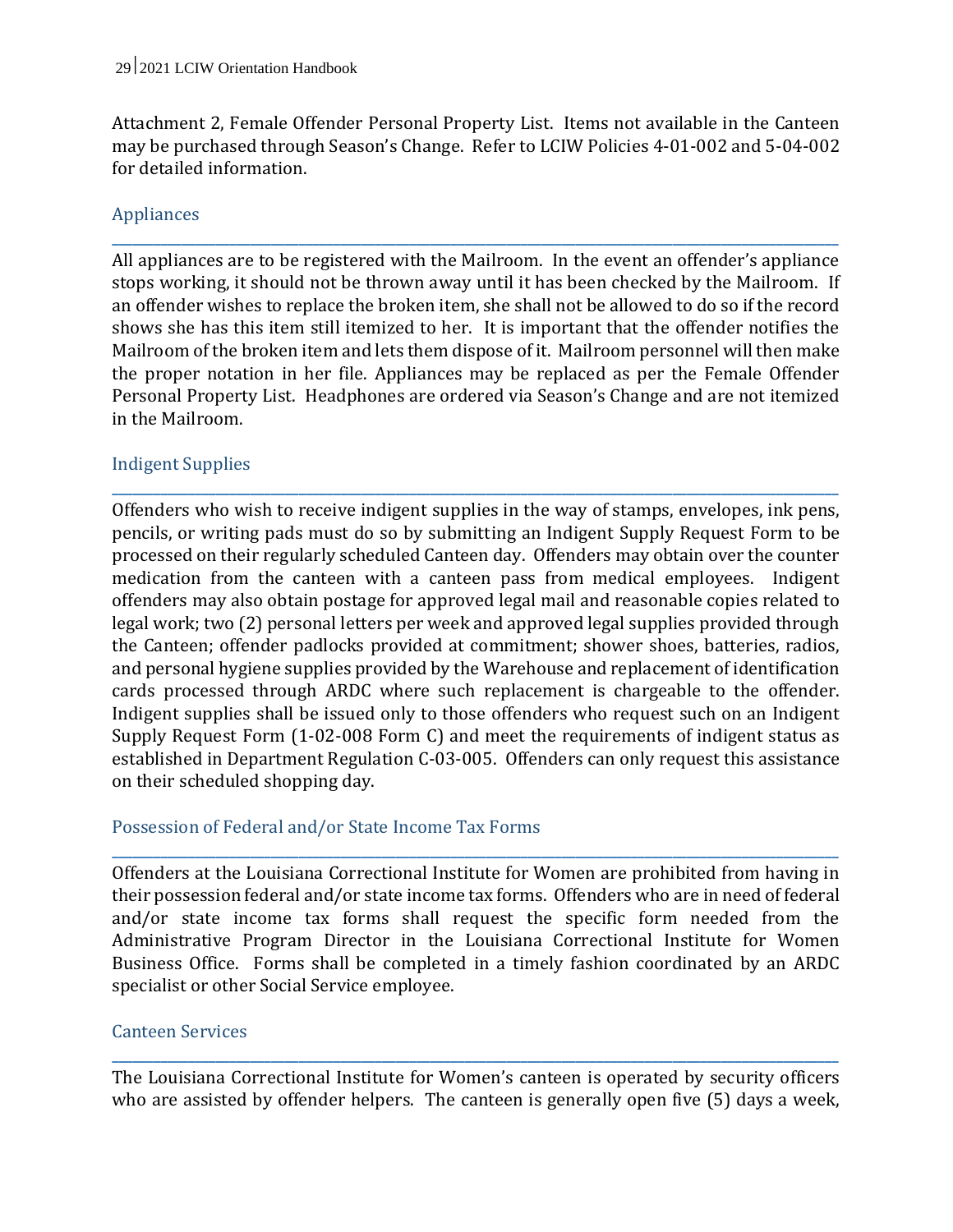Attachment 2, Female Offender Personal Property List. Items not available in the Canteen may be purchased through Season's Change. Refer to LCIW Policies 4-01-002 and 5-04-002 for detailed information.

**\_\_\_\_\_\_\_\_\_\_\_\_\_\_\_\_\_\_\_\_\_\_\_\_\_\_\_\_\_\_\_\_\_\_\_\_\_\_\_\_\_\_\_\_\_\_\_\_\_\_\_\_\_\_\_\_\_\_\_\_\_\_\_\_\_\_\_\_\_\_\_\_\_\_\_\_\_\_\_\_\_\_\_\_\_\_\_\_\_\_\_\_\_\_\_\_\_\_\_\_\_\_\_\_\_**

## Appliances

All appliances are to be registered with the Mailroom. In the event an offender's appliance stops working, it should not be thrown away until it has been checked by the Mailroom. If an offender wishes to replace the broken item, she shall not be allowed to do so if the record shows she has this item still itemized to her. It is important that the offender notifies the Mailroom of the broken item and lets them dispose of it. Mailroom personnel will then make the proper notation in her file. Appliances may be replaced as per the Female Offender Personal Property List. Headphones are ordered via Season's Change and are not itemized in the Mailroom.

**\_\_\_\_\_\_\_\_\_\_\_\_\_\_\_\_\_\_\_\_\_\_\_\_\_\_\_\_\_\_\_\_\_\_\_\_\_\_\_\_\_\_\_\_\_\_\_\_\_\_\_\_\_\_\_\_\_\_\_\_\_\_\_\_\_\_\_\_\_\_\_\_\_\_\_\_\_\_\_\_\_\_\_\_\_\_\_\_\_\_\_\_\_\_\_\_\_\_\_\_\_\_\_\_\_**

#### Indigent Supplies

Offenders who wish to receive indigent supplies in the way of stamps, envelopes, ink pens, pencils, or writing pads must do so by submitting an Indigent Supply Request Form to be processed on their regularly scheduled Canteen day. Offenders may obtain over the counter medication from the canteen with a canteen pass from medical employees. Indigent offenders may also obtain postage for approved legal mail and reasonable copies related to legal work; two (2) personal letters per week and approved legal supplies provided through the Canteen; offender padlocks provided at commitment; shower shoes, batteries, radios, and personal hygiene supplies provided by the Warehouse and replacement of identification cards processed through ARDC where such replacement is chargeable to the offender. Indigent supplies shall be issued only to those offenders who request such on an Indigent Supply Request Form (1-02-008 Form C) and meet the requirements of indigent status as established in Department Regulation C-03-005. Offenders can only request this assistance on their scheduled shopping day.

#### Possession of Federal and/or State Income Tax Forms

Offenders at the Louisiana Correctional Institute for Women are prohibited from having in their possession federal and/or state income tax forms. Offenders who are in need of federal and/or state income tax forms shall request the specific form needed from the Administrative Program Director in the Louisiana Correctional Institute for Women Business Office. Forms shall be completed in a timely fashion coordinated by an ARDC specialist or other Social Service employee.

**\_\_\_\_\_\_\_\_\_\_\_\_\_\_\_\_\_\_\_\_\_\_\_\_\_\_\_\_\_\_\_\_\_\_\_\_\_\_\_\_\_\_\_\_\_\_\_\_\_\_\_\_\_\_\_\_\_\_\_\_\_\_\_\_\_\_\_\_\_\_\_\_\_\_\_\_\_\_\_\_\_\_\_\_\_\_\_\_\_\_\_\_\_\_\_\_\_\_\_\_\_\_\_\_\_**

#### Canteen Services

The Louisiana Correctional Institute for Women's canteen is operated by security officers who are assisted by offender helpers. The canteen is generally open five (5) days a week,

**\_\_\_\_\_\_\_\_\_\_\_\_\_\_\_\_\_\_\_\_\_\_\_\_\_\_\_\_\_\_\_\_\_\_\_\_\_\_\_\_\_\_\_\_\_\_\_\_\_\_\_\_\_\_\_\_\_\_\_\_\_\_\_\_\_\_\_\_\_\_\_\_\_\_\_\_\_\_\_\_\_\_\_\_\_\_\_\_\_\_\_\_\_\_\_\_\_\_\_\_\_\_\_\_\_**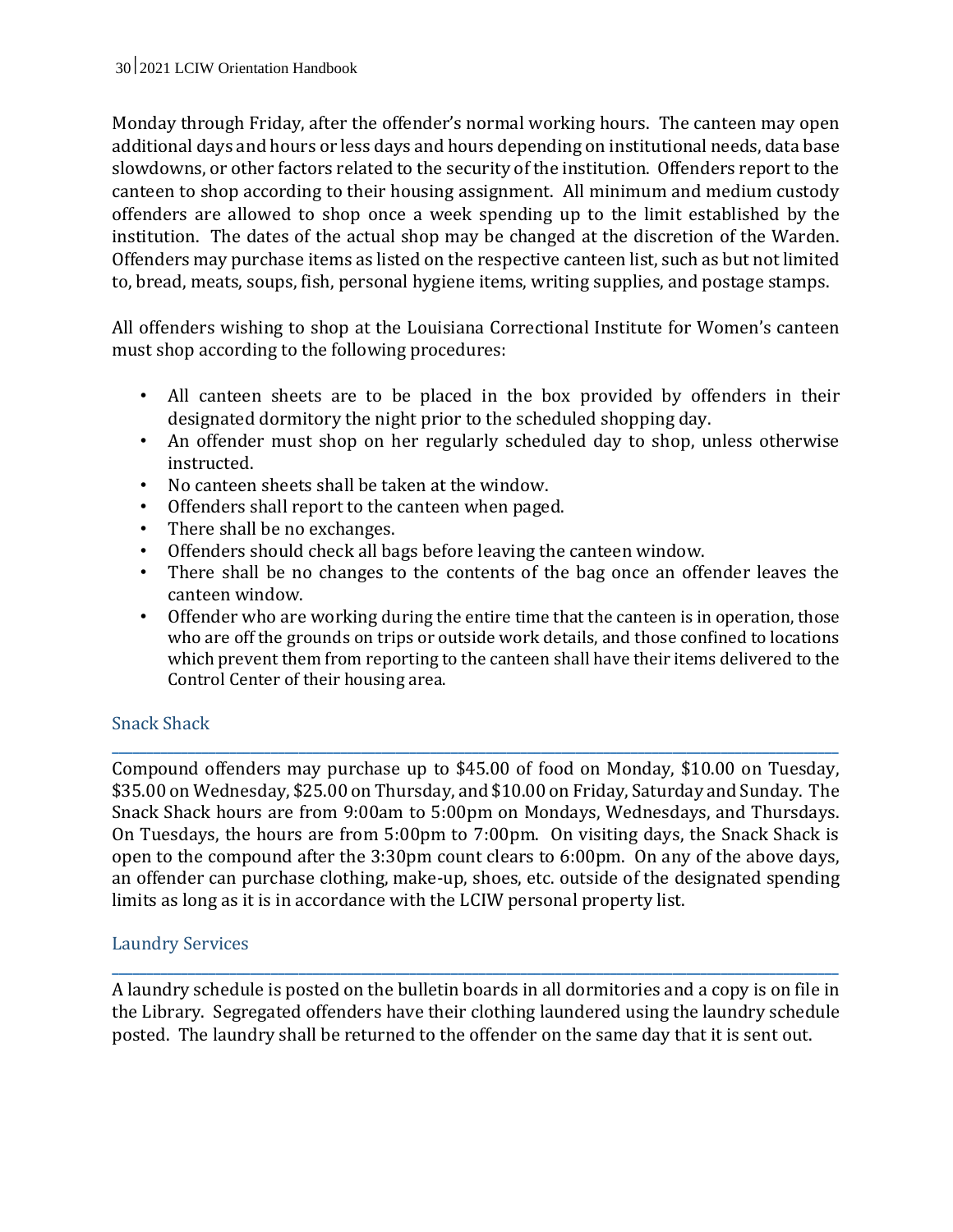Monday through Friday, after the offender's normal working hours. The canteen may open additional days and hours or less days and hours depending on institutional needs, data base slowdowns, or other factors related to the security of the institution. Offenders report to the canteen to shop according to their housing assignment. All minimum and medium custody offenders are allowed to shop once a week spending up to the limit established by the institution. The dates of the actual shop may be changed at the discretion of the Warden. Offenders may purchase items as listed on the respective canteen list, such as but not limited to, bread, meats, soups, fish, personal hygiene items, writing supplies, and postage stamps.

All offenders wishing to shop at the Louisiana Correctional Institute for Women's canteen must shop according to the following procedures:

- All canteen sheets are to be placed in the box provided by offenders in their designated dormitory the night prior to the scheduled shopping day.
- An offender must shop on her regularly scheduled day to shop, unless otherwise instructed.
- No canteen sheets shall be taken at the window.
- Offenders shall report to the canteen when paged.
- There shall be no exchanges.
- Offenders should check all bags before leaving the canteen window.
- There shall be no changes to the contents of the bag once an offender leaves the canteen window.
- Offender who are working during the entire time that the canteen is in operation, those who are off the grounds on trips or outside work details, and those confined to locations which prevent them from reporting to the canteen shall have their items delivered to the Control Center of their housing area.

## Snack Shack

Compound offenders may purchase up to \$45.00 of food on Monday, \$10.00 on Tuesday, \$35.00 on Wednesday, \$25.00 on Thursday, and \$10.00 on Friday, Saturday and Sunday. The Snack Shack hours are from 9:00am to 5:00pm on Mondays, Wednesdays, and Thursdays. On Tuesdays, the hours are from 5:00pm to 7:00pm. On visiting days, the Snack Shack is open to the compound after the 3:30pm count clears to 6:00pm. On any of the above days, an offender can purchase clothing, make-up, shoes, etc. outside of the designated spending limits as long as it is in accordance with the LCIW personal property list.

**\_\_\_\_\_\_\_\_\_\_\_\_\_\_\_\_\_\_\_\_\_\_\_\_\_\_\_\_\_\_\_\_\_\_\_\_\_\_\_\_\_\_\_\_\_\_\_\_\_\_\_\_\_\_\_\_\_\_\_\_\_\_\_\_\_\_\_\_\_\_\_\_\_\_\_\_\_\_\_\_\_\_\_\_\_\_\_\_\_\_\_\_\_\_\_\_\_\_\_\_\_\_\_\_\_**

#### Laundry Services

A laundry schedule is posted on the bulletin boards in all dormitories and a copy is on file in the Library. Segregated offenders have their clothing laundered using the laundry schedule posted. The laundry shall be returned to the offender on the same day that it is sent out.

**\_\_\_\_\_\_\_\_\_\_\_\_\_\_\_\_\_\_\_\_\_\_\_\_\_\_\_\_\_\_\_\_\_\_\_\_\_\_\_\_\_\_\_\_\_\_\_\_\_\_\_\_\_\_\_\_\_\_\_\_\_\_\_\_\_\_\_\_\_\_\_\_\_\_\_\_\_\_\_\_\_\_\_\_\_\_\_\_\_\_\_\_\_\_\_\_\_\_\_\_\_\_\_\_\_**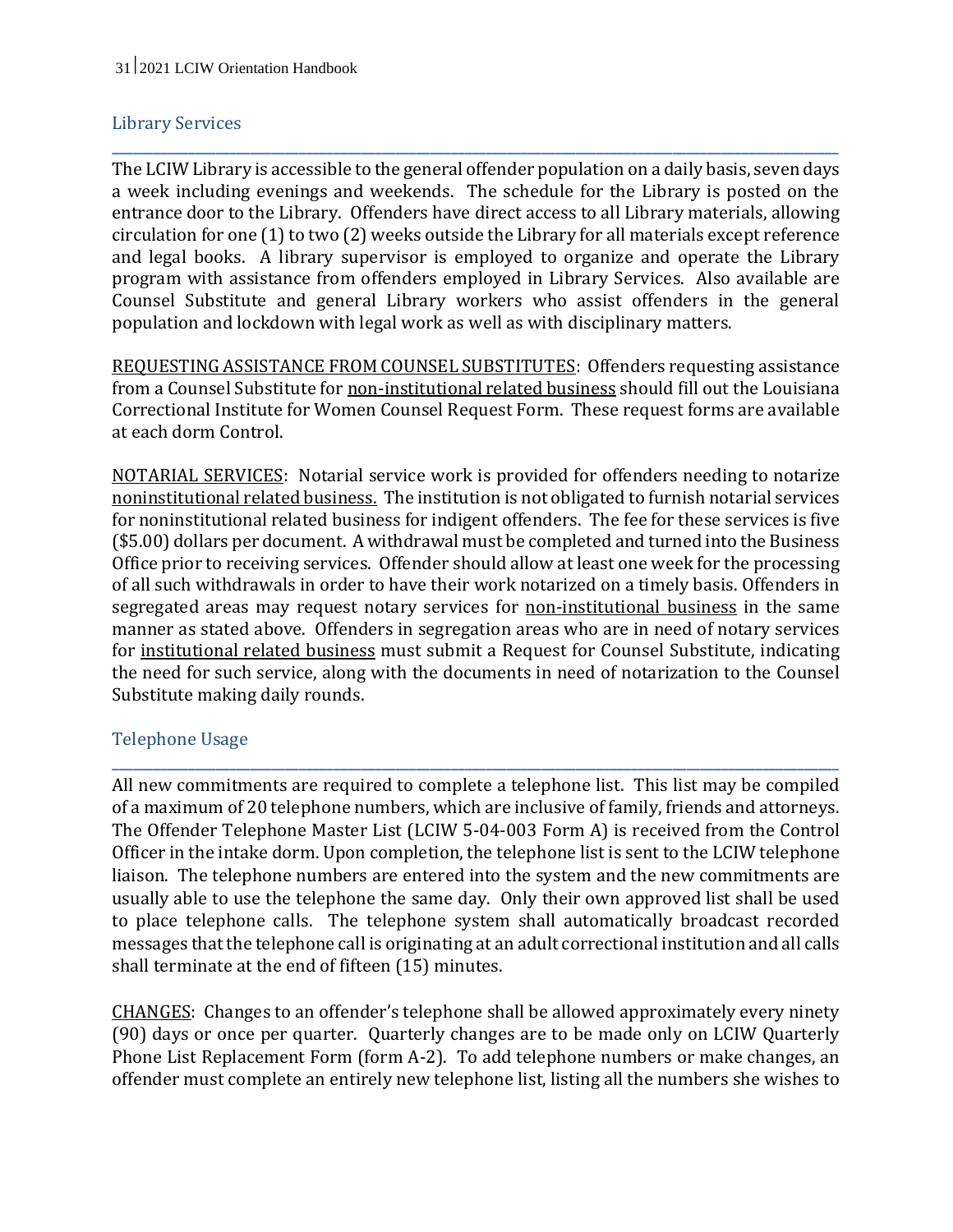## Library Services

The LCIW Library is accessible to the general offender population on a daily basis, seven days a week including evenings and weekends. The schedule for the Library is posted on the entrance door to the Library. Offenders have direct access to all Library materials, allowing circulation for one (1) to two (2) weeks outside the Library for all materials except reference and legal books. A library supervisor is employed to organize and operate the Library program with assistance from offenders employed in Library Services. Also available are Counsel Substitute and general Library workers who assist offenders in the general population and lockdown with legal work as well as with disciplinary matters.

**\_\_\_\_\_\_\_\_\_\_\_\_\_\_\_\_\_\_\_\_\_\_\_\_\_\_\_\_\_\_\_\_\_\_\_\_\_\_\_\_\_\_\_\_\_\_\_\_\_\_\_\_\_\_\_\_\_\_\_\_\_\_\_\_\_\_\_\_\_\_\_\_\_\_\_\_\_\_\_\_\_\_\_\_\_\_\_\_\_\_\_\_\_\_\_\_\_\_\_\_\_\_\_\_\_**

REQUESTING ASSISTANCE FROM COUNSEL SUBSTITUTES: Offenders requesting assistance from a Counsel Substitute for non-institutional related business should fill out the Louisiana Correctional Institute for Women Counsel Request Form. These request forms are available at each dorm Control.

NOTARIAL SERVICES: Notarial service work is provided for offenders needing to notarize noninstitutional related business. The institution is not obligated to furnish notarial services for noninstitutional related business for indigent offenders. The fee for these services is five (\$5.00) dollars per document. A withdrawal must be completed and turned into the Business Office prior to receiving services. Offender should allow at least one week for the processing of all such withdrawals in order to have their work notarized on a timely basis. Offenders in segregated areas may request notary services for non-institutional business in the same manner as stated above. Offenders in segregation areas who are in need of notary services for institutional related business must submit a Request for Counsel Substitute, indicating the need for such service, along with the documents in need of notarization to the Counsel Substitute making daily rounds.

## Telephone Usage

All new commitments are required to complete a telephone list. This list may be compiled of a maximum of 20 telephone numbers, which are inclusive of family, friends and attorneys. The Offender Telephone Master List (LCIW 5-04-003 Form A) is received from the Control Officer in the intake dorm. Upon completion, the telephone list is sent to the LCIW telephone liaison. The telephone numbers are entered into the system and the new commitments are usually able to use the telephone the same day. Only their own approved list shall be used to place telephone calls. The telephone system shall automatically broadcast recorded messages that the telephone call is originating at an adult correctional institution and all calls shall terminate at the end of fifteen (15) minutes.

**\_\_\_\_\_\_\_\_\_\_\_\_\_\_\_\_\_\_\_\_\_\_\_\_\_\_\_\_\_\_\_\_\_\_\_\_\_\_\_\_\_\_\_\_\_\_\_\_\_\_\_\_\_\_\_\_\_\_\_\_\_\_\_\_\_\_\_\_\_\_\_\_\_\_\_\_\_\_\_\_\_\_\_\_\_\_\_\_\_\_\_\_\_\_\_\_\_\_\_\_\_\_\_\_\_**

CHANGES: Changes to an offender's telephone shall be allowed approximately every ninety (90) days or once per quarter. Quarterly changes are to be made only on LCIW Quarterly Phone List Replacement Form (form A-2). To add telephone numbers or make changes, an offender must complete an entirely new telephone list, listing all the numbers she wishes to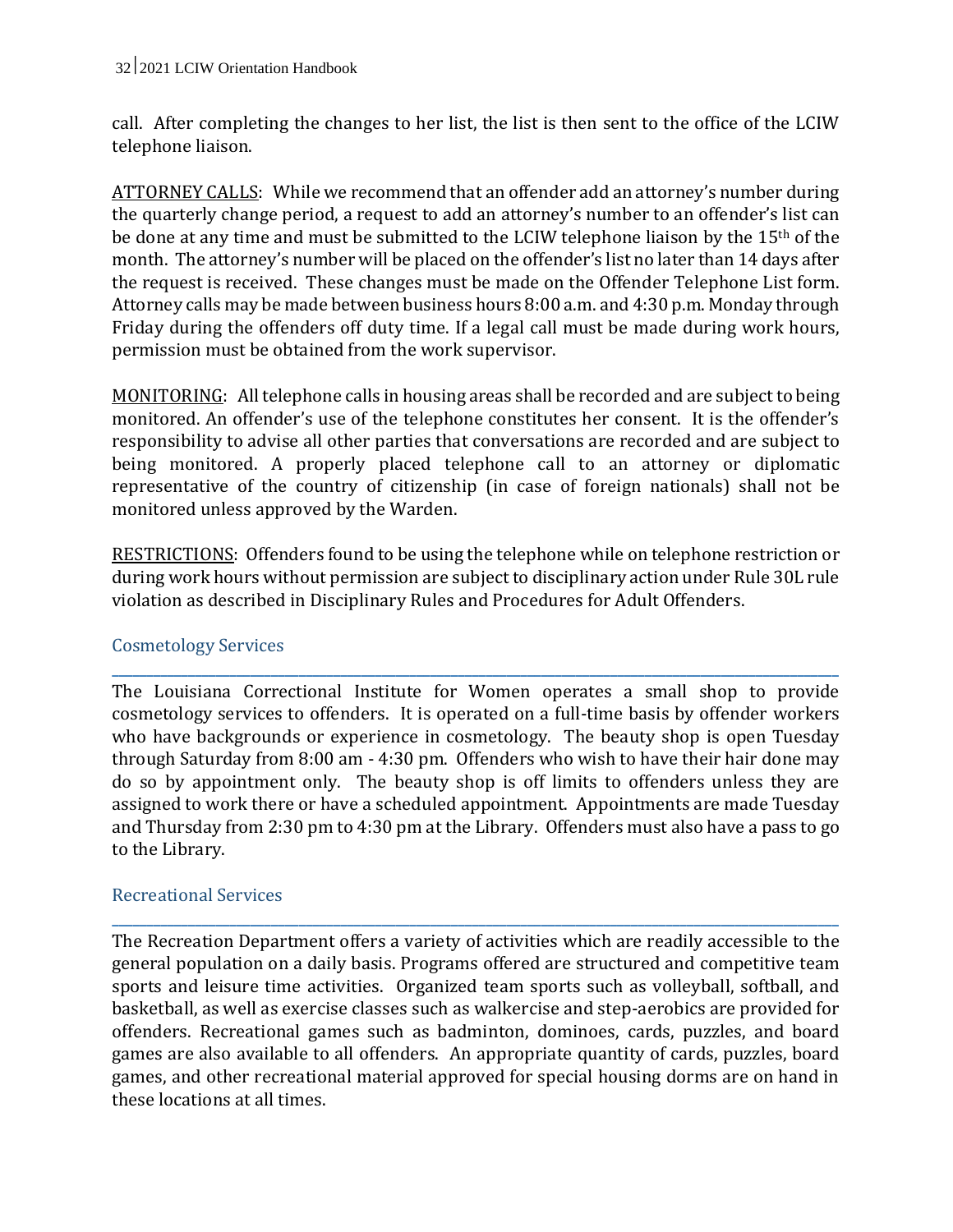call. After completing the changes to her list, the list is then sent to the office of the LCIW telephone liaison.

ATTORNEY CALLS: While we recommend that an offender add an attorney's number during the quarterly change period, a request to add an attorney's number to an offender's list can be done at any time and must be submitted to the LCIW telephone liaison by the 15th of the month. The attorney's number will be placed on the offender's list no later than 14 days after the request is received. These changes must be made on the Offender Telephone List form. Attorney calls may be made between business hours 8:00 a.m. and 4:30 p.m. Monday through Friday during the offenders off duty time. If a legal call must be made during work hours, permission must be obtained from the work supervisor.

MONITORING: All telephone calls in housing areas shall be recorded and are subject to being monitored. An offender's use of the telephone constitutes her consent. It is the offender's responsibility to advise all other parties that conversations are recorded and are subject to being monitored. A properly placed telephone call to an attorney or diplomatic representative of the country of citizenship (in case of foreign nationals) shall not be monitored unless approved by the Warden.

RESTRICTIONS: Offenders found to be using the telephone while on telephone restriction or during work hours without permission are subject to disciplinary action under Rule 30L rule violation as described in Disciplinary Rules and Procedures for Adult Offenders.

**\_\_\_\_\_\_\_\_\_\_\_\_\_\_\_\_\_\_\_\_\_\_\_\_\_\_\_\_\_\_\_\_\_\_\_\_\_\_\_\_\_\_\_\_\_\_\_\_\_\_\_\_\_\_\_\_\_\_\_\_\_\_\_\_\_\_\_\_\_\_\_\_\_\_\_\_\_\_\_\_\_\_\_\_\_\_\_\_\_\_\_\_\_\_\_\_\_\_\_\_\_\_\_\_\_**

## Cosmetology Services

The Louisiana Correctional Institute for Women operates a small shop to provide cosmetology services to offenders. It is operated on a full-time basis by offender workers who have backgrounds or experience in cosmetology. The beauty shop is open Tuesday through Saturday from 8:00 am - 4:30 pm. Offenders who wish to have their hair done may do so by appointment only. The beauty shop is off limits to offenders unless they are assigned to work there or have a scheduled appointment. Appointments are made Tuesday and Thursday from 2:30 pm to 4:30 pm at the Library. Offenders must also have a pass to go to the Library.

## Recreational Services

The Recreation Department offers a variety of activities which are readily accessible to the general population on a daily basis. Programs offered are structured and competitive team sports and leisure time activities. Organized team sports such as volleyball, softball, and basketball, as well as exercise classes such as walkercise and step-aerobics are provided for offenders. Recreational games such as badminton, dominoes, cards, puzzles, and board games are also available to all offenders. An appropriate quantity of cards, puzzles, board games, and other recreational material approved for special housing dorms are on hand in these locations at all times.

**\_\_\_\_\_\_\_\_\_\_\_\_\_\_\_\_\_\_\_\_\_\_\_\_\_\_\_\_\_\_\_\_\_\_\_\_\_\_\_\_\_\_\_\_\_\_\_\_\_\_\_\_\_\_\_\_\_\_\_\_\_\_\_\_\_\_\_\_\_\_\_\_\_\_\_\_\_\_\_\_\_\_\_\_\_\_\_\_\_\_\_\_\_\_\_\_\_\_\_\_\_\_\_\_\_**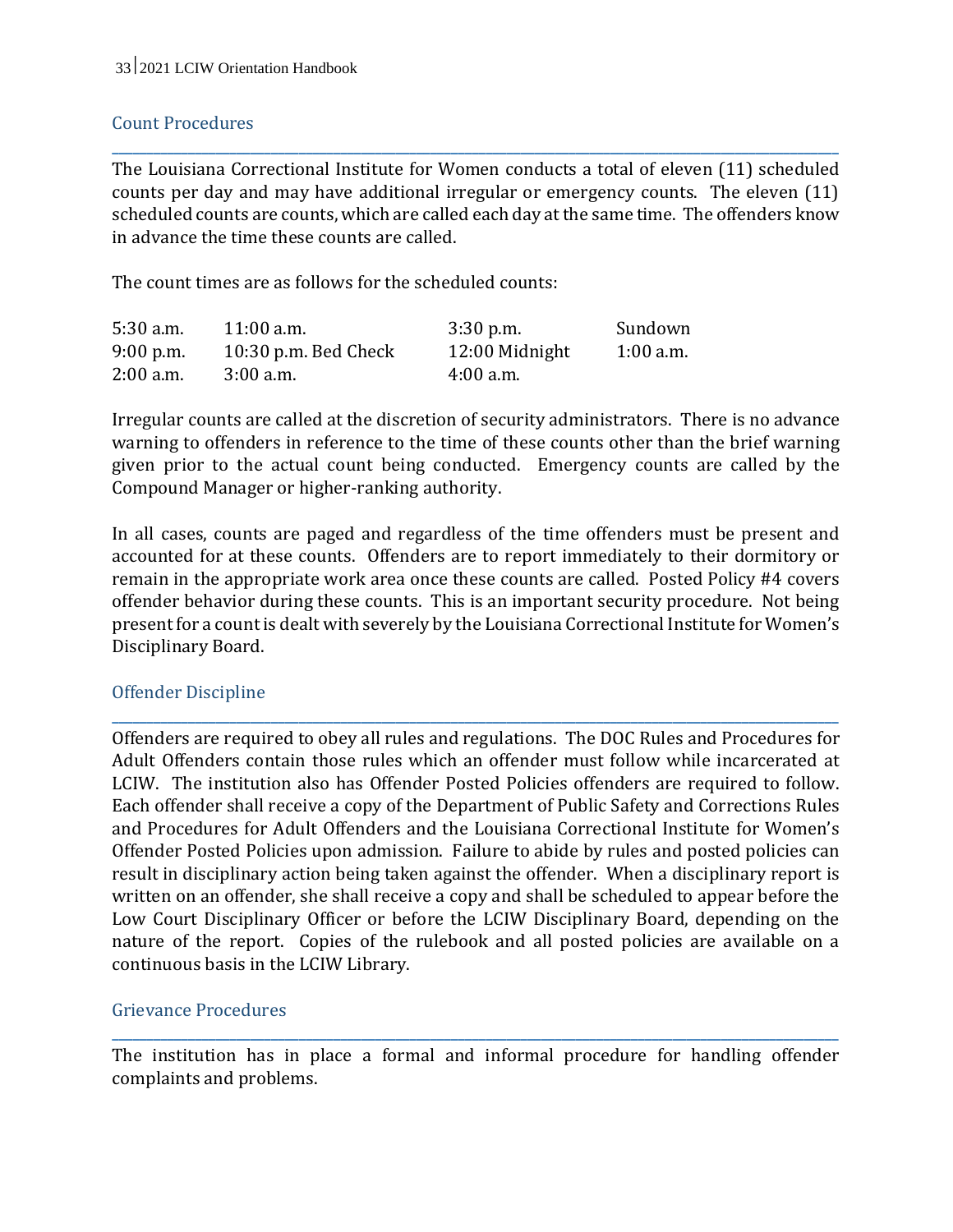## Count Procedures

The Louisiana Correctional Institute for Women conducts a total of eleven (11) scheduled counts per day and may have additional irregular or emergency counts. The eleven (11) scheduled counts are counts, which are called each day at the same time. The offenders know in advance the time these counts are called.

**\_\_\_\_\_\_\_\_\_\_\_\_\_\_\_\_\_\_\_\_\_\_\_\_\_\_\_\_\_\_\_\_\_\_\_\_\_\_\_\_\_\_\_\_\_\_\_\_\_\_\_\_\_\_\_\_\_\_\_\_\_\_\_\_\_\_\_\_\_\_\_\_\_\_\_\_\_\_\_\_\_\_\_\_\_\_\_\_\_\_\_\_\_\_\_\_\_\_\_\_\_\_\_\_\_**

The count times are as follows for the scheduled counts:

| $5:30$ a.m. | $11:00$ a.m.           | $3:30$ p.m.    | Sundown     |
|-------------|------------------------|----------------|-------------|
| $9:00$ p.m. | $10:30$ p.m. Bed Check | 12:00 Midnight | $1:00$ a.m. |
| $2:00$ a.m. | $3:00$ a.m.            | $4:00$ a.m.    |             |

Irregular counts are called at the discretion of security administrators. There is no advance warning to offenders in reference to the time of these counts other than the brief warning given prior to the actual count being conducted. Emergency counts are called by the Compound Manager or higher-ranking authority.

In all cases, counts are paged and regardless of the time offenders must be present and accounted for at these counts. Offenders are to report immediately to their dormitory or remain in the appropriate work area once these counts are called. Posted Policy #4 covers offender behavior during these counts. This is an important security procedure. Not being present for a count is dealt with severely by the Louisiana Correctional Institute for Women's Disciplinary Board.

**\_\_\_\_\_\_\_\_\_\_\_\_\_\_\_\_\_\_\_\_\_\_\_\_\_\_\_\_\_\_\_\_\_\_\_\_\_\_\_\_\_\_\_\_\_\_\_\_\_\_\_\_\_\_\_\_\_\_\_\_\_\_\_\_\_\_\_\_\_\_\_\_\_\_\_\_\_\_\_\_\_\_\_\_\_\_\_\_\_\_\_\_\_\_\_\_\_\_\_\_\_\_\_\_\_**

## Offender Discipline

Offenders are required to obey all rules and regulations. The DOC Rules and Procedures for Adult Offenders contain those rules which an offender must follow while incarcerated at LCIW. The institution also has Offender Posted Policies offenders are required to follow. Each offender shall receive a copy of the Department of Public Safety and Corrections Rules and Procedures for Adult Offenders and the Louisiana Correctional Institute for Women's Offender Posted Policies upon admission. Failure to abide by rules and posted policies can result in disciplinary action being taken against the offender. When a disciplinary report is written on an offender, she shall receive a copy and shall be scheduled to appear before the Low Court Disciplinary Officer or before the LCIW Disciplinary Board, depending on the nature of the report. Copies of the rulebook and all posted policies are available on a continuous basis in the LCIW Library.

#### Grievance Procedures

The institution has in place a formal and informal procedure for handling offender complaints and problems.

**\_\_\_\_\_\_\_\_\_\_\_\_\_\_\_\_\_\_\_\_\_\_\_\_\_\_\_\_\_\_\_\_\_\_\_\_\_\_\_\_\_\_\_\_\_\_\_\_\_\_\_\_\_\_\_\_\_\_\_\_\_\_\_\_\_\_\_\_\_\_\_\_\_\_\_\_\_\_\_\_\_\_\_\_\_\_\_\_\_\_\_\_\_\_\_\_\_\_\_\_\_\_\_\_\_**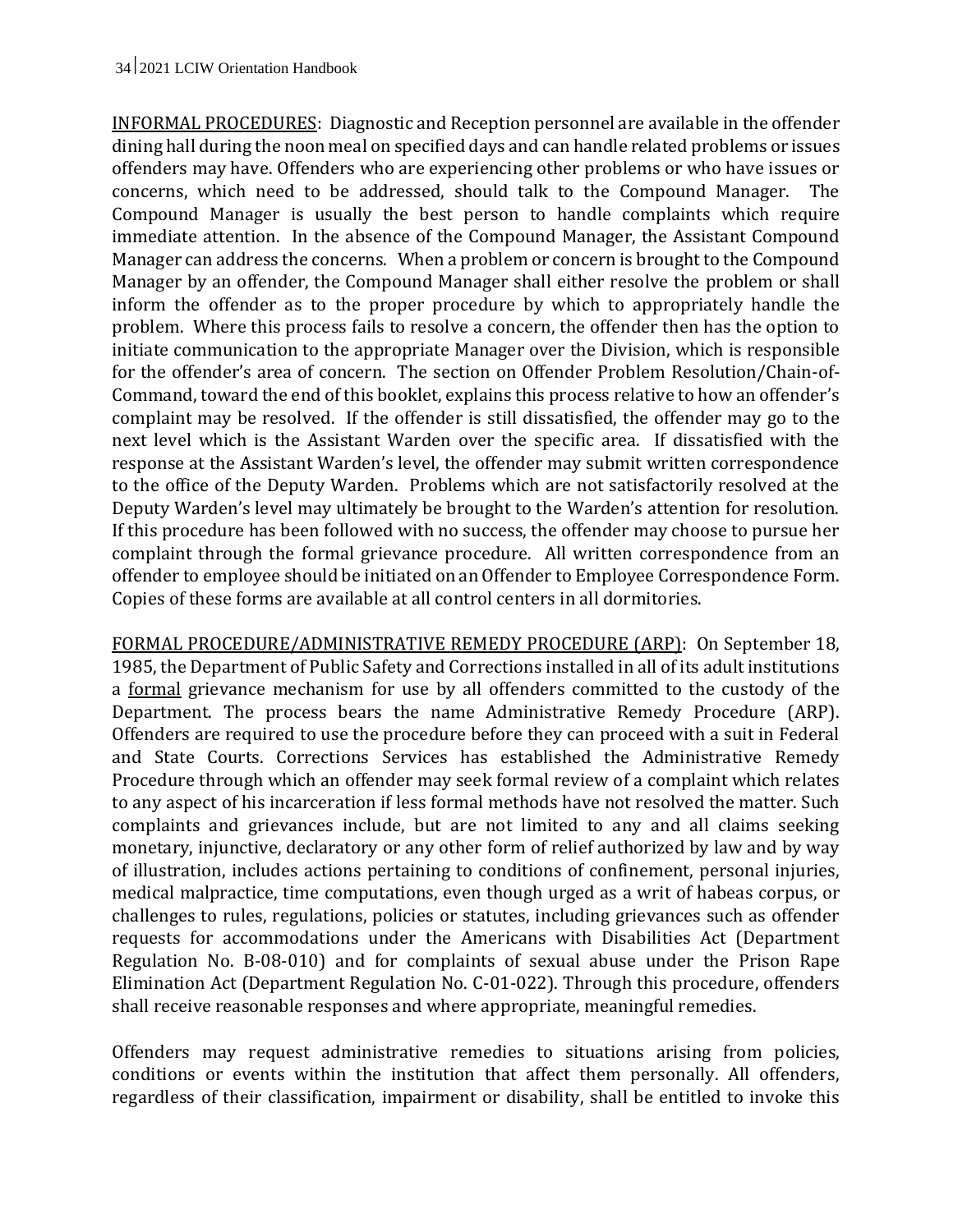INFORMAL PROCEDURES: Diagnostic and Reception personnel are available in the offender dining hall during the noon meal on specified days and can handle related problems or issues offenders may have. Offenders who are experiencing other problems or who have issues or concerns, which need to be addressed, should talk to the Compound Manager. The Compound Manager is usually the best person to handle complaints which require immediate attention. In the absence of the Compound Manager, the Assistant Compound Manager can address the concerns. When a problem or concern is brought to the Compound Manager by an offender, the Compound Manager shall either resolve the problem or shall inform the offender as to the proper procedure by which to appropriately handle the problem. Where this process fails to resolve a concern, the offender then has the option to initiate communication to the appropriate Manager over the Division, which is responsible for the offender's area of concern. The section on Offender Problem Resolution/Chain-of-Command, toward the end of this booklet, explains this process relative to how an offender's complaint may be resolved. If the offender is still dissatisfied, the offender may go to the next level which is the Assistant Warden over the specific area. If dissatisfied with the response at the Assistant Warden's level, the offender may submit written correspondence to the office of the Deputy Warden. Problems which are not satisfactorily resolved at the Deputy Warden's level may ultimately be brought to the Warden's attention for resolution. If this procedure has been followed with no success, the offender may choose to pursue her complaint through the formal grievance procedure. All written correspondence from an offender to employee should be initiated on an Offender to Employee Correspondence Form. Copies of these forms are available at all control centers in all dormitories.

FORMAL PROCEDURE/ADMINISTRATIVE REMEDY PROCEDURE (ARP): On September 18, 1985, the Department of Public Safety and Corrections installed in all of its adult institutions a formal grievance mechanism for use by all offenders committed to the custody of the Department. The process bears the name Administrative Remedy Procedure (ARP). Offenders are required to use the procedure before they can proceed with a suit in Federal and State Courts. Corrections Services has established the Administrative Remedy Procedure through which an offender may seek formal review of a complaint which relates to any aspect of his incarceration if less formal methods have not resolved the matter. Such complaints and grievances include, but are not limited to any and all claims seeking monetary, injunctive, declaratory or any other form of relief authorized by law and by way of illustration, includes actions pertaining to conditions of confinement, personal injuries, medical malpractice, time computations, even though urged as a writ of habeas corpus, or challenges to rules, regulations, policies or statutes, including grievances such as offender requests for accommodations under the Americans with Disabilities Act (Department Regulation No. B-08-010) and for complaints of sexual abuse under the Prison Rape Elimination Act (Department Regulation No. C-01-022). Through this procedure, offenders shall receive reasonable responses and where appropriate, meaningful remedies.

Offenders may request administrative remedies to situations arising from policies, conditions or events within the institution that affect them personally. All offenders, regardless of their classification, impairment or disability, shall be entitled to invoke this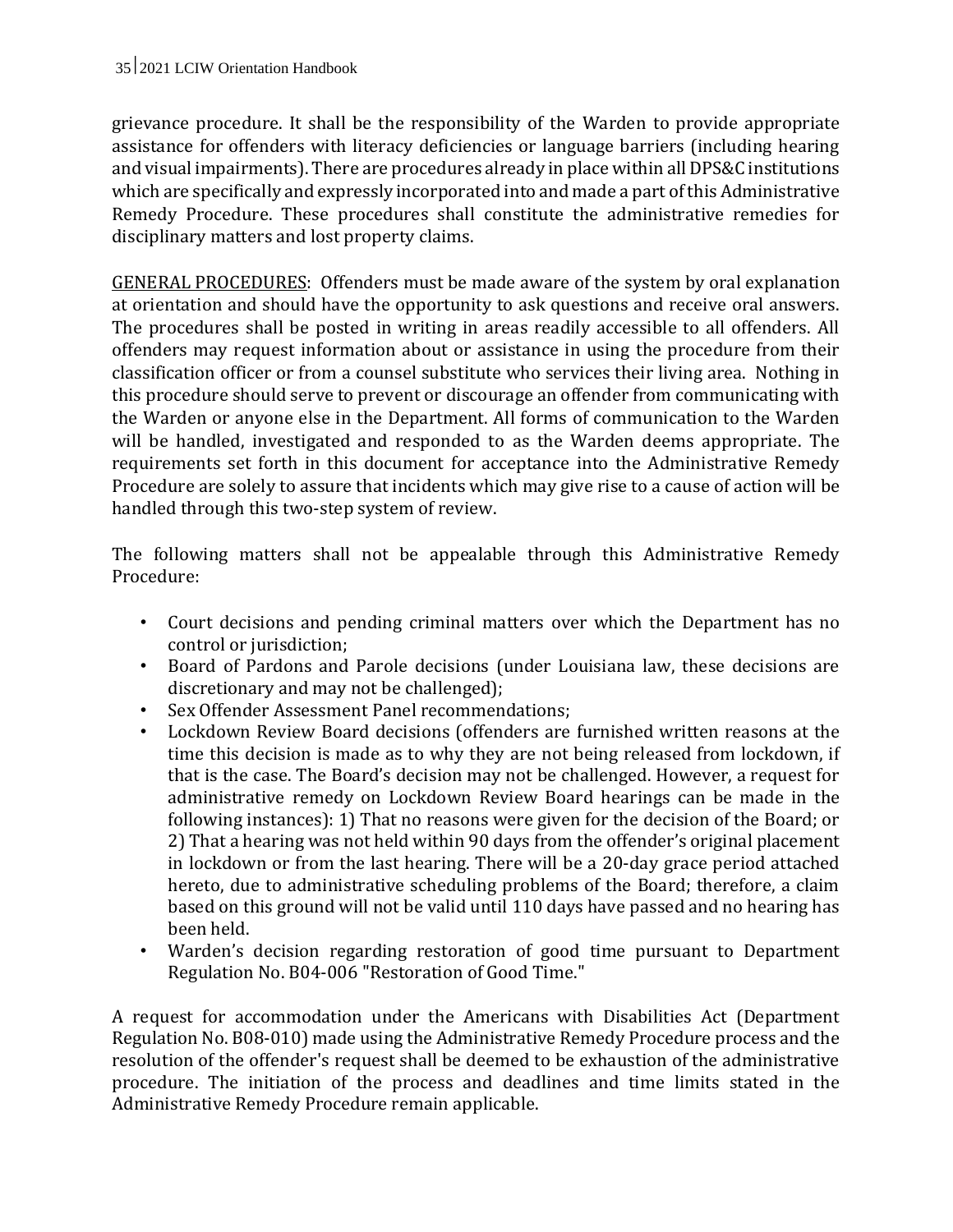grievance procedure. It shall be the responsibility of the Warden to provide appropriate assistance for offenders with literacy deficiencies or language barriers (including hearing and visual impairments). There are procedures already in place within all DPS&C institutions which are specifically and expressly incorporated into and made a part of this Administrative Remedy Procedure. These procedures shall constitute the administrative remedies for disciplinary matters and lost property claims.

GENERAL PROCEDURES: Offenders must be made aware of the system by oral explanation at orientation and should have the opportunity to ask questions and receive oral answers. The procedures shall be posted in writing in areas readily accessible to all offenders. All offenders may request information about or assistance in using the procedure from their classification officer or from a counsel substitute who services their living area. Nothing in this procedure should serve to prevent or discourage an offender from communicating with the Warden or anyone else in the Department. All forms of communication to the Warden will be handled, investigated and responded to as the Warden deems appropriate. The requirements set forth in this document for acceptance into the Administrative Remedy Procedure are solely to assure that incidents which may give rise to a cause of action will be handled through this two-step system of review.

The following matters shall not be appealable through this Administrative Remedy Procedure:

- Court decisions and pending criminal matters over which the Department has no control or jurisdiction;
- Board of Pardons and Parole decisions (under Louisiana law, these decisions are discretionary and may not be challenged);
- Sex Offender Assessment Panel recommendations;
- Lockdown Review Board decisions (offenders are furnished written reasons at the time this decision is made as to why they are not being released from lockdown, if that is the case. The Board's decision may not be challenged. However, a request for administrative remedy on Lockdown Review Board hearings can be made in the following instances): 1) That no reasons were given for the decision of the Board; or 2) That a hearing was not held within 90 days from the offender's original placement in lockdown or from the last hearing. There will be a 20-day grace period attached hereto, due to administrative scheduling problems of the Board; therefore, a claim based on this ground will not be valid until 110 days have passed and no hearing has been held.
- Warden's decision regarding restoration of good time pursuant to Department Regulation No. B04-006 "Restoration of Good Time."

A request for accommodation under the Americans with Disabilities Act (Department Regulation No. B08-010) made using the Administrative Remedy Procedure process and the resolution of the offender's request shall be deemed to be exhaustion of the administrative procedure. The initiation of the process and deadlines and time limits stated in the Administrative Remedy Procedure remain applicable.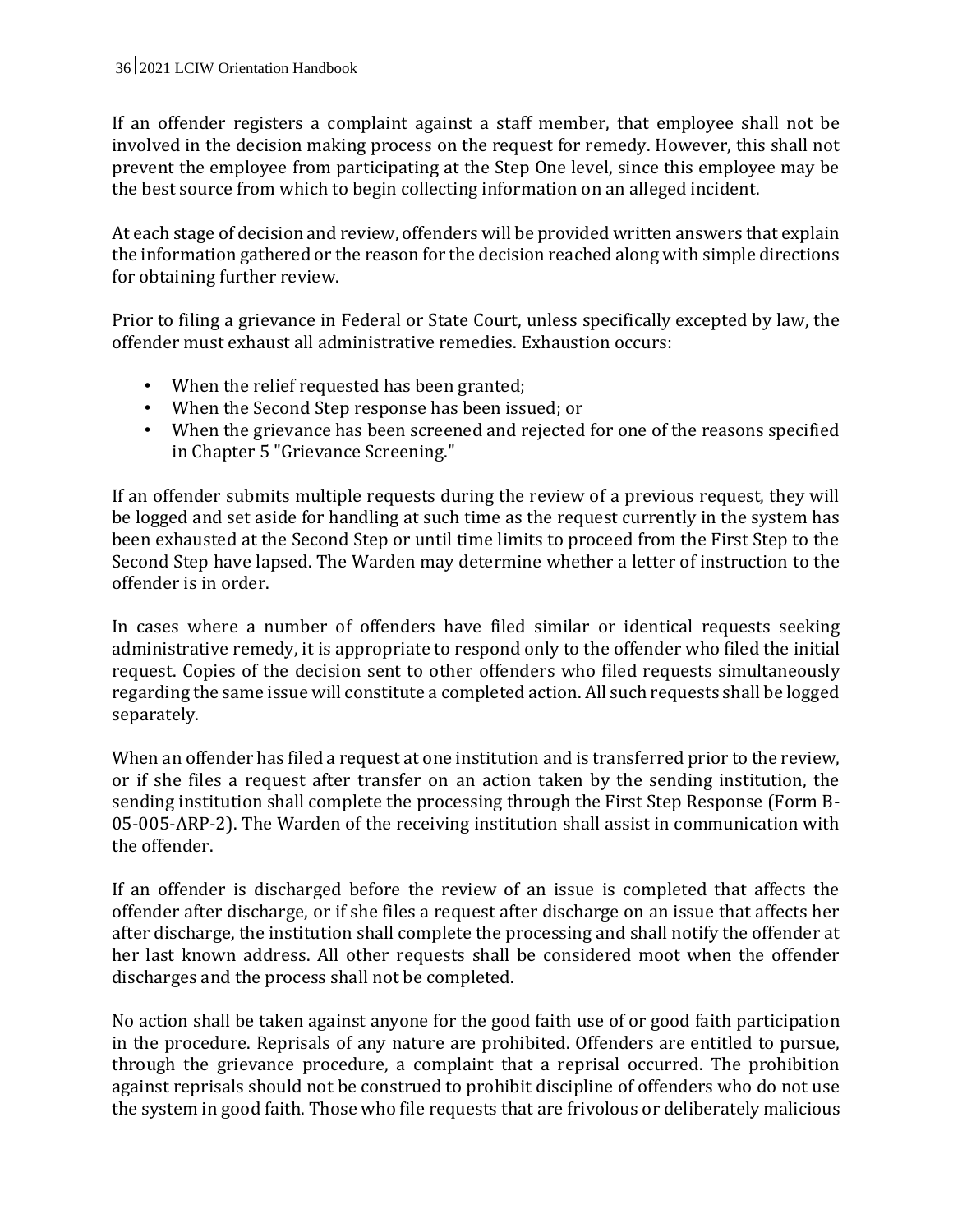If an offender registers a complaint against a staff member, that employee shall not be involved in the decision making process on the request for remedy. However, this shall not prevent the employee from participating at the Step One level, since this employee may be the best source from which to begin collecting information on an alleged incident.

At each stage of decision and review, offenders will be provided written answers that explain the information gathered or the reason for the decision reached along with simple directions for obtaining further review.

Prior to filing a grievance in Federal or State Court, unless specifically excepted by law, the offender must exhaust all administrative remedies. Exhaustion occurs:

- When the relief requested has been granted;
- When the Second Step response has been issued; or
- When the grievance has been screened and rejected for one of the reasons specified in Chapter 5 "Grievance Screening."

If an offender submits multiple requests during the review of a previous request, they will be logged and set aside for handling at such time as the request currently in the system has been exhausted at the Second Step or until time limits to proceed from the First Step to the Second Step have lapsed. The Warden may determine whether a letter of instruction to the offender is in order.

In cases where a number of offenders have filed similar or identical requests seeking administrative remedy, it is appropriate to respond only to the offender who filed the initial request. Copies of the decision sent to other offenders who filed requests simultaneously regarding the same issue will constitute a completed action. All such requests shall be logged separately.

When an offender has filed a request at one institution and is transferred prior to the review, or if she files a request after transfer on an action taken by the sending institution, the sending institution shall complete the processing through the First Step Response (Form B-05-005-ARP-2). The Warden of the receiving institution shall assist in communication with the offender.

If an offender is discharged before the review of an issue is completed that affects the offender after discharge, or if she files a request after discharge on an issue that affects her after discharge, the institution shall complete the processing and shall notify the offender at her last known address. All other requests shall be considered moot when the offender discharges and the process shall not be completed.

No action shall be taken against anyone for the good faith use of or good faith participation in the procedure. Reprisals of any nature are prohibited. Offenders are entitled to pursue, through the grievance procedure, a complaint that a reprisal occurred. The prohibition against reprisals should not be construed to prohibit discipline of offenders who do not use the system in good faith. Those who file requests that are frivolous or deliberately malicious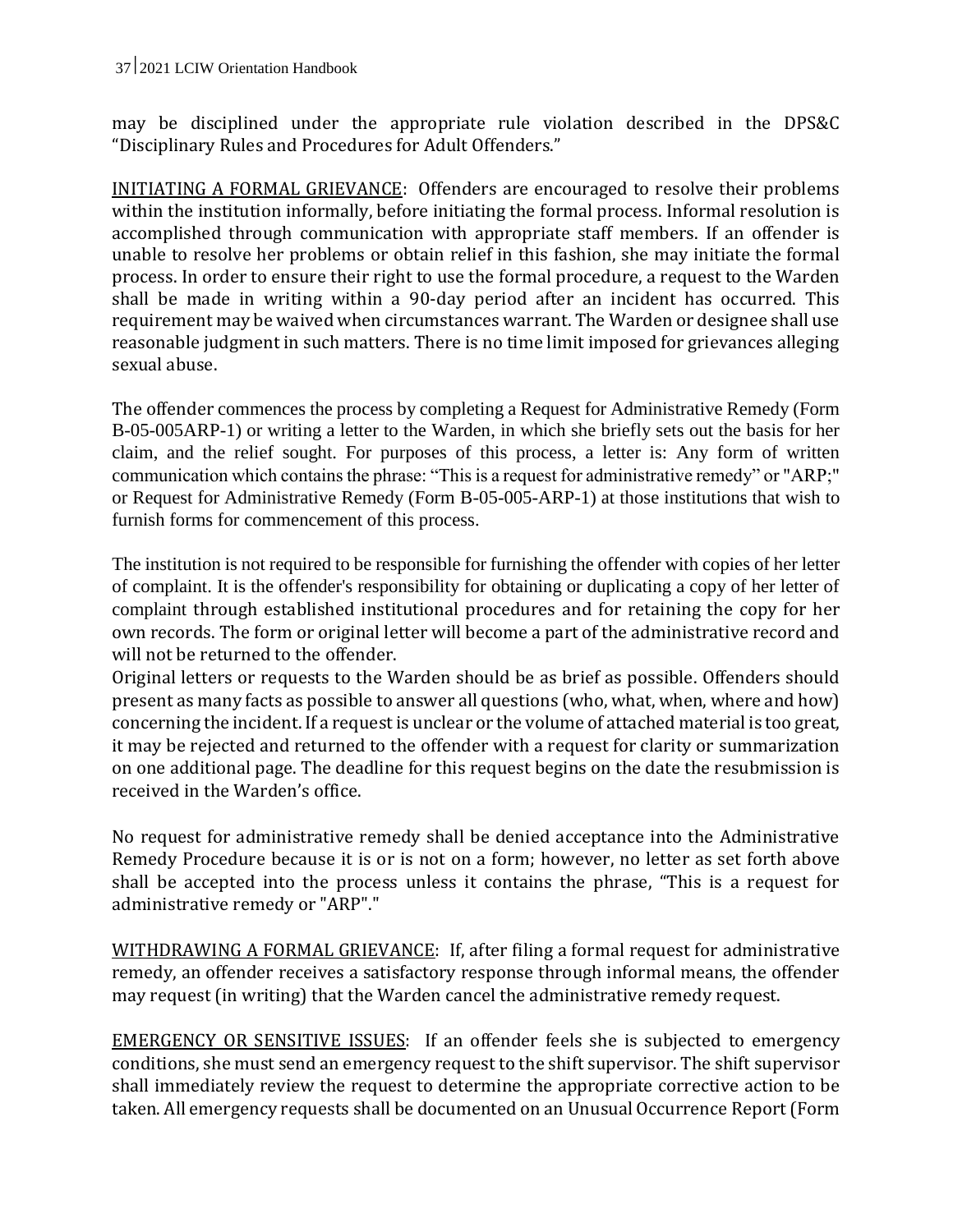may be disciplined under the appropriate rule violation described in the DPS&C "Disciplinary Rules and Procedures for Adult Offenders."

INITIATING A FORMAL GRIEVANCE: Offenders are encouraged to resolve their problems within the institution informally, before initiating the formal process. Informal resolution is accomplished through communication with appropriate staff members. If an offender is unable to resolve her problems or obtain relief in this fashion, she may initiate the formal process. In order to ensure their right to use the formal procedure, a request to the Warden shall be made in writing within a 90-day period after an incident has occurred. This requirement may be waived when circumstances warrant. The Warden or designee shall use reasonable judgment in such matters. There is no time limit imposed for grievances alleging sexual abuse.

The offender commences the process by completing a Request for Administrative Remedy (Form B-05-005ARP-1) or writing a letter to the Warden, in which she briefly sets out the basis for her claim, and the relief sought. For purposes of this process, a letter is: Any form of written communication which contains the phrase: "This is a request for administrative remedy" or "ARP;" or Request for Administrative Remedy (Form B-05-005-ARP-1) at those institutions that wish to furnish forms for commencement of this process.

The institution is not required to be responsible for furnishing the offender with copies of her letter of complaint. It is the offender's responsibility for obtaining or duplicating a copy of her letter of complaint through established institutional procedures and for retaining the copy for her own records. The form or original letter will become a part of the administrative record and will not be returned to the offender.

Original letters or requests to the Warden should be as brief as possible. Offenders should present as many facts as possible to answer all questions (who, what, when, where and how) concerning the incident. If a request is unclear or the volume of attached material is too great, it may be rejected and returned to the offender with a request for clarity or summarization on one additional page. The deadline for this request begins on the date the resubmission is received in the Warden's office.

No request for administrative remedy shall be denied acceptance into the Administrative Remedy Procedure because it is or is not on a form; however, no letter as set forth above shall be accepted into the process unless it contains the phrase, "This is a request for administrative remedy or "ARP"."

WITHDRAWING A FORMAL GRIEVANCE: If, after filing a formal request for administrative remedy, an offender receives a satisfactory response through informal means, the offender may request (in writing) that the Warden cancel the administrative remedy request.

EMERGENCY OR SENSITIVE ISSUES: If an offender feels she is subjected to emergency conditions, she must send an emergency request to the shift supervisor. The shift supervisor shall immediately review the request to determine the appropriate corrective action to be taken. All emergency requests shall be documented on an Unusual Occurrence Report (Form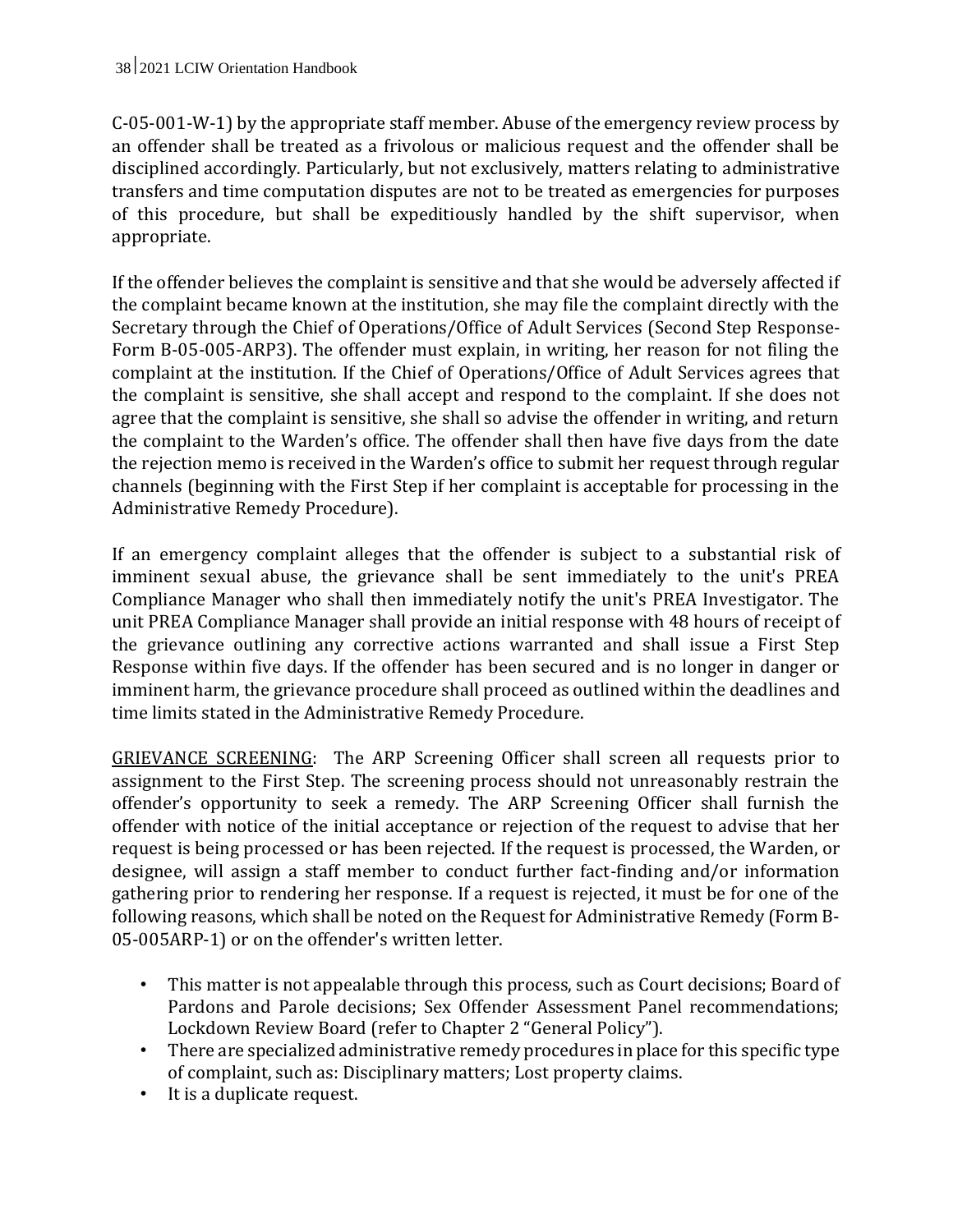C-05-001-W-1) by the appropriate staff member. Abuse of the emergency review process by an offender shall be treated as a frivolous or malicious request and the offender shall be disciplined accordingly. Particularly, but not exclusively, matters relating to administrative transfers and time computation disputes are not to be treated as emergencies for purposes of this procedure, but shall be expeditiously handled by the shift supervisor, when appropriate.

If the offender believes the complaint is sensitive and that she would be adversely affected if the complaint became known at the institution, she may file the complaint directly with the Secretary through the Chief of Operations/Office of Adult Services (Second Step Response-Form B-05-005-ARP3). The offender must explain, in writing, her reason for not filing the complaint at the institution. If the Chief of Operations/Office of Adult Services agrees that the complaint is sensitive, she shall accept and respond to the complaint. If she does not agree that the complaint is sensitive, she shall so advise the offender in writing, and return the complaint to the Warden's office. The offender shall then have five days from the date the rejection memo is received in the Warden's office to submit her request through regular channels (beginning with the First Step if her complaint is acceptable for processing in the Administrative Remedy Procedure).

If an emergency complaint alleges that the offender is subject to a substantial risk of imminent sexual abuse, the grievance shall be sent immediately to the unit's PREA Compliance Manager who shall then immediately notify the unit's PREA Investigator. The unit PREA Compliance Manager shall provide an initial response with 48 hours of receipt of the grievance outlining any corrective actions warranted and shall issue a First Step Response within five days. If the offender has been secured and is no longer in danger or imminent harm, the grievance procedure shall proceed as outlined within the deadlines and time limits stated in the Administrative Remedy Procedure.

GRIEVANCE SCREENING: The ARP Screening Officer shall screen all requests prior to assignment to the First Step. The screening process should not unreasonably restrain the offender's opportunity to seek a remedy. The ARP Screening Officer shall furnish the offender with notice of the initial acceptance or rejection of the request to advise that her request is being processed or has been rejected. If the request is processed, the Warden, or designee, will assign a staff member to conduct further fact-finding and/or information gathering prior to rendering her response. If a request is rejected, it must be for one of the following reasons, which shall be noted on the Request for Administrative Remedy (Form B-05-005ARP-1) or on the offender's written letter.

- This matter is not appealable through this process, such as Court decisions; Board of Pardons and Parole decisions; Sex Offender Assessment Panel recommendations; Lockdown Review Board (refer to Chapter 2 "General Policy").
- There are specialized administrative remedy procedures in place for this specific type of complaint, such as: Disciplinary matters; Lost property claims.
- It is a duplicate request.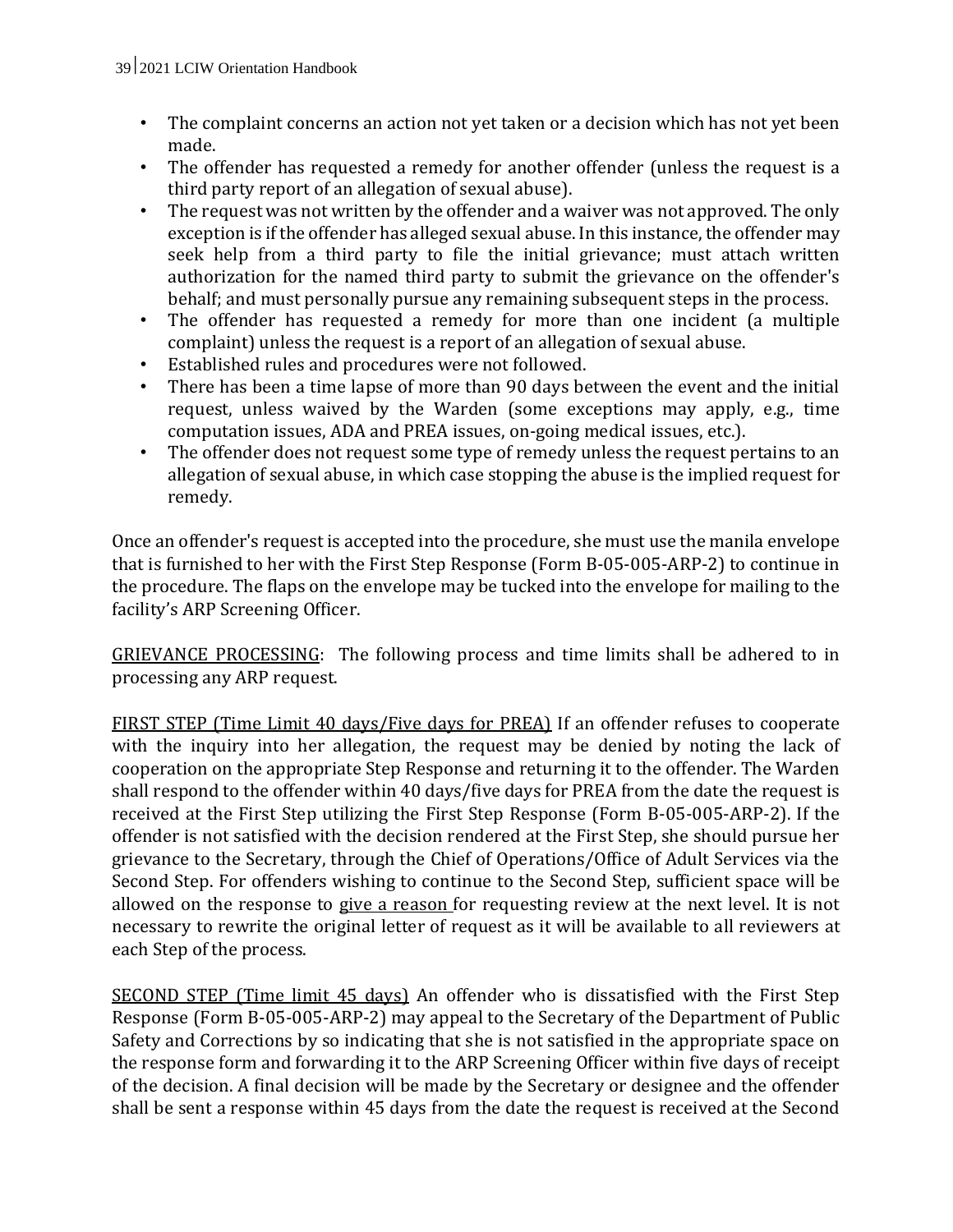- The complaint concerns an action not yet taken or a decision which has not yet been made.
- The offender has requested a remedy for another offender (unless the request is a third party report of an allegation of sexual abuse).
- The request was not written by the offender and a waiver was not approved. The only exception is if the offender has alleged sexual abuse. In this instance, the offender may seek help from a third party to file the initial grievance; must attach written authorization for the named third party to submit the grievance on the offender's behalf; and must personally pursue any remaining subsequent steps in the process.
- The offender has requested a remedy for more than one incident (a multiple complaint) unless the request is a report of an allegation of sexual abuse.
- Established rules and procedures were not followed.
- There has been a time lapse of more than 90 days between the event and the initial request, unless waived by the Warden (some exceptions may apply, e.g., time computation issues, ADA and PREA issues, on-going medical issues, etc.).
- The offender does not request some type of remedy unless the request pertains to an allegation of sexual abuse, in which case stopping the abuse is the implied request for remedy.

Once an offender's request is accepted into the procedure, she must use the manila envelope that is furnished to her with the First Step Response (Form B-05-005-ARP-2) to continue in the procedure. The flaps on the envelope may be tucked into the envelope for mailing to the facility's ARP Screening Officer.

GRIEVANCE PROCESSING: The following process and time limits shall be adhered to in processing any ARP request.

FIRST STEP (Time Limit 40 days/Five days for PREA) If an offender refuses to cooperate with the inquiry into her allegation, the request may be denied by noting the lack of cooperation on the appropriate Step Response and returning it to the offender. The Warden shall respond to the offender within 40 days/five days for PREA from the date the request is received at the First Step utilizing the First Step Response (Form B-05-005-ARP-2). If the offender is not satisfied with the decision rendered at the First Step, she should pursue her grievance to the Secretary, through the Chief of Operations/Office of Adult Services via the Second Step. For offenders wishing to continue to the Second Step, sufficient space will be allowed on the response to give a reason for requesting review at the next level. It is not necessary to rewrite the original letter of request as it will be available to all reviewers at each Step of the process.

SECOND STEP (Time limit 45 days) An offender who is dissatisfied with the First Step Response (Form B-05-005-ARP-2) may appeal to the Secretary of the Department of Public Safety and Corrections by so indicating that she is not satisfied in the appropriate space on the response form and forwarding it to the ARP Screening Officer within five days of receipt of the decision. A final decision will be made by the Secretary or designee and the offender shall be sent a response within 45 days from the date the request is received at the Second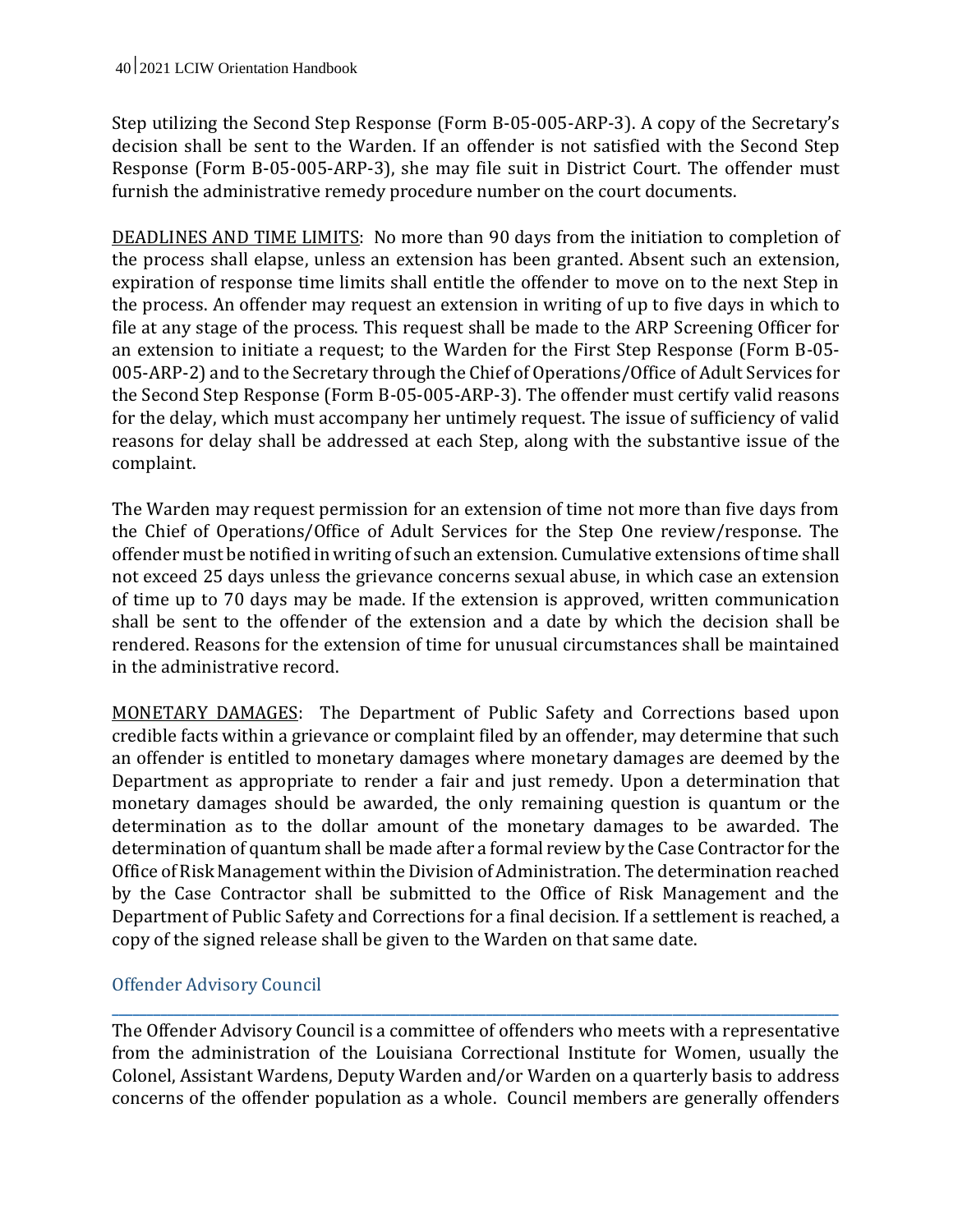Step utilizing the Second Step Response (Form B-05-005-ARP-3). A copy of the Secretary's decision shall be sent to the Warden. If an offender is not satisfied with the Second Step Response (Form B-05-005-ARP-3), she may file suit in District Court. The offender must furnish the administrative remedy procedure number on the court documents.

DEADLINES AND TIME LIMITS: No more than 90 days from the initiation to completion of the process shall elapse, unless an extension has been granted. Absent such an extension, expiration of response time limits shall entitle the offender to move on to the next Step in the process. An offender may request an extension in writing of up to five days in which to file at any stage of the process. This request shall be made to the ARP Screening Officer for an extension to initiate a request; to the Warden for the First Step Response (Form B-05- 005-ARP-2) and to the Secretary through the Chief of Operations/Office of Adult Services for the Second Step Response (Form B-05-005-ARP-3). The offender must certify valid reasons for the delay, which must accompany her untimely request. The issue of sufficiency of valid reasons for delay shall be addressed at each Step, along with the substantive issue of the complaint.

The Warden may request permission for an extension of time not more than five days from the Chief of Operations/Office of Adult Services for the Step One review/response. The offender must be notified in writing of such an extension. Cumulative extensions of time shall not exceed 25 days unless the grievance concerns sexual abuse, in which case an extension of time up to 70 days may be made. If the extension is approved, written communication shall be sent to the offender of the extension and a date by which the decision shall be rendered. Reasons for the extension of time for unusual circumstances shall be maintained in the administrative record.

MONETARY DAMAGES: The Department of Public Safety and Corrections based upon credible facts within a grievance or complaint filed by an offender, may determine that such an offender is entitled to monetary damages where monetary damages are deemed by the Department as appropriate to render a fair and just remedy. Upon a determination that monetary damages should be awarded, the only remaining question is quantum or the determination as to the dollar amount of the monetary damages to be awarded. The determination of quantum shall be made after a formal review by the Case Contractor for the Office of Risk Management within the Division of Administration. The determination reached by the Case Contractor shall be submitted to the Office of Risk Management and the Department of Public Safety and Corrections for a final decision. If a settlement is reached, a copy of the signed release shall be given to the Warden on that same date.

## Offender Advisory Council

The Offender Advisory Council is a committee of offenders who meets with a representative from the administration of the Louisiana Correctional Institute for Women, usually the Colonel, Assistant Wardens, Deputy Warden and/or Warden on a quarterly basis to address concerns of the offender population as a whole. Council members are generally offenders

**\_\_\_\_\_\_\_\_\_\_\_\_\_\_\_\_\_\_\_\_\_\_\_\_\_\_\_\_\_\_\_\_\_\_\_\_\_\_\_\_\_\_\_\_\_\_\_\_\_\_\_\_\_\_\_\_\_\_\_\_\_\_\_\_\_\_\_\_\_\_\_\_\_\_\_\_\_\_\_\_\_\_\_\_\_\_\_\_\_\_\_\_\_\_\_\_\_\_\_\_\_\_\_\_\_**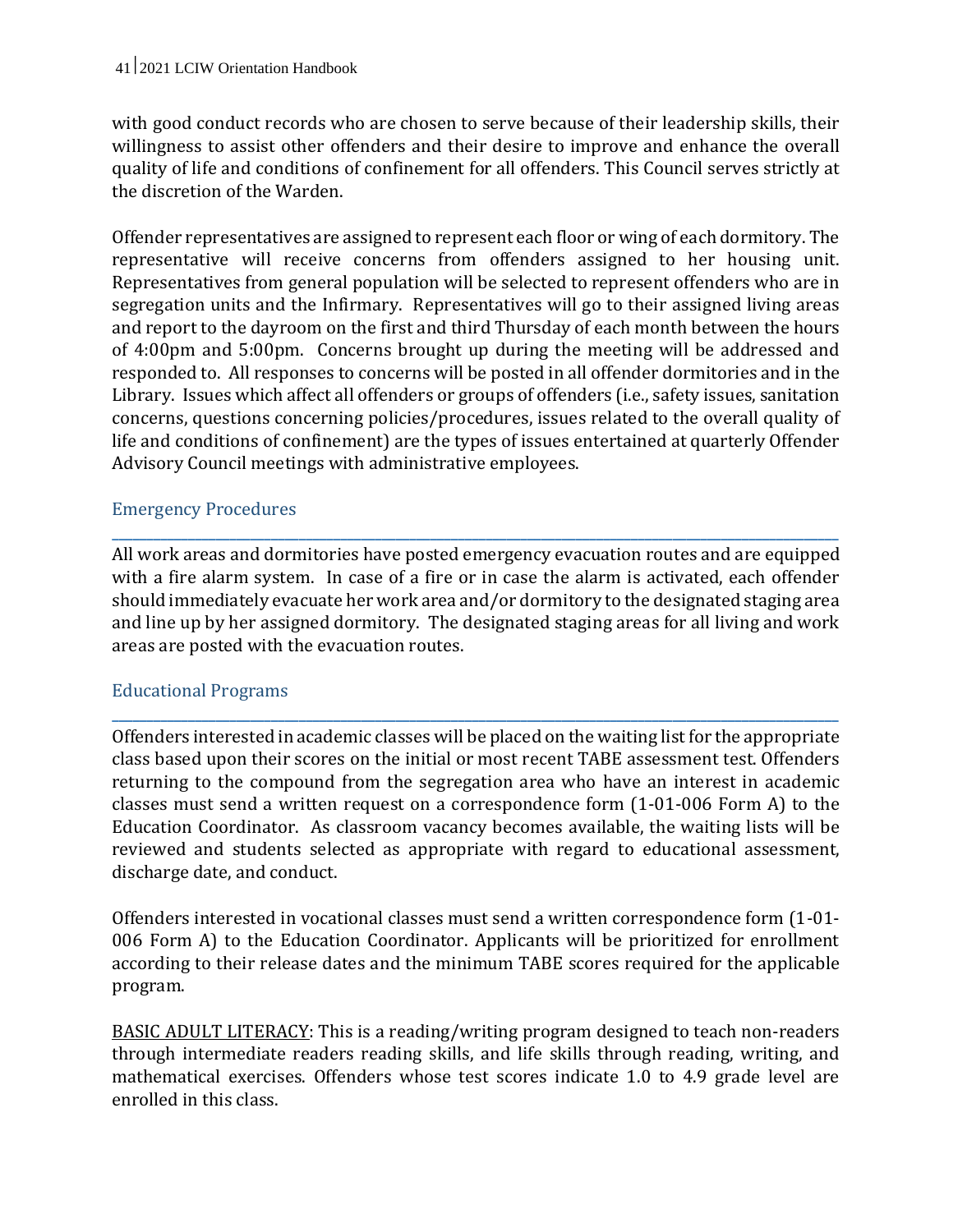with good conduct records who are chosen to serve because of their leadership skills, their willingness to assist other offenders and their desire to improve and enhance the overall quality of life and conditions of confinement for all offenders. This Council serves strictly at the discretion of the Warden.

Offender representatives are assigned to represent each floor or wing of each dormitory. The representative will receive concerns from offenders assigned to her housing unit. Representatives from general population will be selected to represent offenders who are in segregation units and the Infirmary. Representatives will go to their assigned living areas and report to the dayroom on the first and third Thursday of each month between the hours of 4:00pm and 5:00pm. Concerns brought up during the meeting will be addressed and responded to. All responses to concerns will be posted in all offender dormitories and in the Library. Issues which affect all offenders or groups of offenders (i.e., safety issues, sanitation concerns, questions concerning policies/procedures, issues related to the overall quality of life and conditions of confinement) are the types of issues entertained at quarterly Offender Advisory Council meetings with administrative employees.

#### Emergency Procedures

All work areas and dormitories have posted emergency evacuation routes and are equipped with a fire alarm system. In case of a fire or in case the alarm is activated, each offender should immediately evacuate her work area and/or dormitory to the designated staging area and line up by her assigned dormitory. The designated staging areas for all living and work areas are posted with the evacuation routes.

**\_\_\_\_\_\_\_\_\_\_\_\_\_\_\_\_\_\_\_\_\_\_\_\_\_\_\_\_\_\_\_\_\_\_\_\_\_\_\_\_\_\_\_\_\_\_\_\_\_\_\_\_\_\_\_\_\_\_\_\_\_\_\_\_\_\_\_\_\_\_\_\_\_\_\_\_\_\_\_\_\_\_\_\_\_\_\_\_\_\_\_\_\_\_\_\_\_\_\_\_\_\_\_\_\_**

#### Educational Programs

Offenders interested in academic classes will be placed on the waiting list for the appropriate class based upon their scores on the initial or most recent TABE assessment test. Offenders returning to the compound from the segregation area who have an interest in academic classes must send a written request on a correspondence form (1-01-006 Form A) to the Education Coordinator. As classroom vacancy becomes available, the waiting lists will be reviewed and students selected as appropriate with regard to educational assessment, discharge date, and conduct.

**\_\_\_\_\_\_\_\_\_\_\_\_\_\_\_\_\_\_\_\_\_\_\_\_\_\_\_\_\_\_\_\_\_\_\_\_\_\_\_\_\_\_\_\_\_\_\_\_\_\_\_\_\_\_\_\_\_\_\_\_\_\_\_\_\_\_\_\_\_\_\_\_\_\_\_\_\_\_\_\_\_\_\_\_\_\_\_\_\_\_\_\_\_\_\_\_\_\_\_\_\_\_\_\_\_**

Offenders interested in vocational classes must send a written correspondence form (1-01- 006 Form A) to the Education Coordinator. Applicants will be prioritized for enrollment according to their release dates and the minimum TABE scores required for the applicable program.

BASIC ADULT LITERACY: This is a reading/writing program designed to teach non-readers through intermediate readers reading skills, and life skills through reading, writing, and mathematical exercises. Offenders whose test scores indicate 1.0 to 4.9 grade level are enrolled in this class.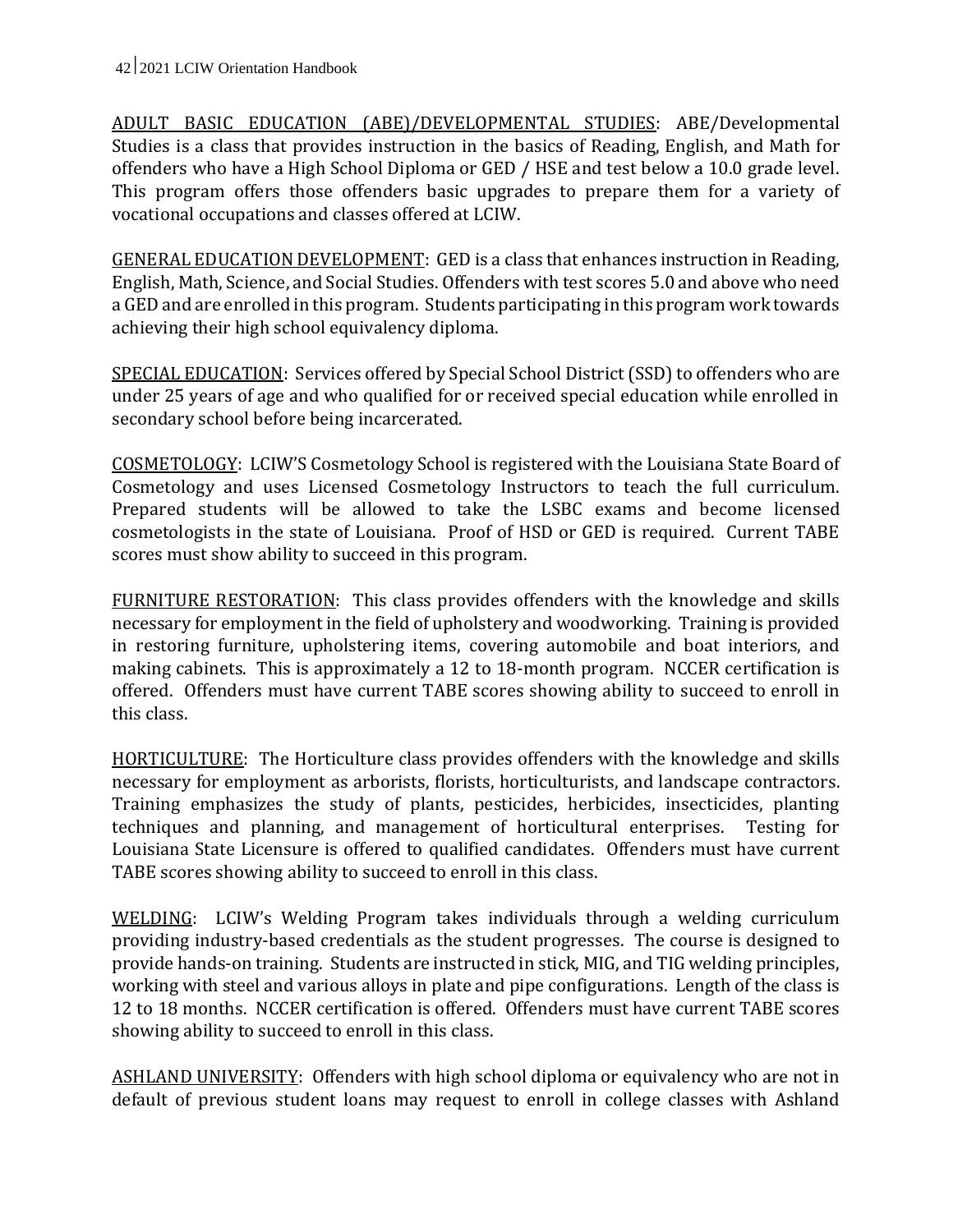ADULT BASIC EDUCATION (ABE)/DEVELOPMENTAL STUDIES: ABE/Developmental Studies is a class that provides instruction in the basics of Reading, English, and Math for offenders who have a High School Diploma or GED / HSE and test below a 10.0 grade level. This program offers those offenders basic upgrades to prepare them for a variety of vocational occupations and classes offered at LCIW.

GENERAL EDUCATION DEVELOPMENT: GED is a class that enhances instruction in Reading, English, Math, Science, and Social Studies. Offenders with test scores 5.0 and above who need a GED and are enrolled in this program. Students participating in this program work towards achieving their high school equivalency diploma.

SPECIAL EDUCATION: Services offered by Special School District (SSD) to offenders who are under 25 years of age and who qualified for or received special education while enrolled in secondary school before being incarcerated.

COSMETOLOGY: LCIW'S Cosmetology School is registered with the Louisiana State Board of Cosmetology and uses Licensed Cosmetology Instructors to teach the full curriculum. Prepared students will be allowed to take the LSBC exams and become licensed cosmetologists in the state of Louisiana. Proof of HSD or GED is required. Current TABE scores must show ability to succeed in this program.

FURNITURE RESTORATION: This class provides offenders with the knowledge and skills necessary for employment in the field of upholstery and woodworking. Training is provided in restoring furniture, upholstering items, covering automobile and boat interiors, and making cabinets. This is approximately a 12 to 18-month program. NCCER certification is offered. Offenders must have current TABE scores showing ability to succeed to enroll in this class.

HORTICULTURE: The Horticulture class provides offenders with the knowledge and skills necessary for employment as arborists, florists, horticulturists, and landscape contractors. Training emphasizes the study of plants, pesticides, herbicides, insecticides, planting techniques and planning, and management of horticultural enterprises. Testing for Louisiana State Licensure is offered to qualified candidates. Offenders must have current TABE scores showing ability to succeed to enroll in this class.

WELDING: LCIW's Welding Program takes individuals through a welding curriculum providing industry-based credentials as the student progresses. The course is designed to provide hands-on training. Students are instructed in stick, MIG, and TIG welding principles, working with steel and various alloys in plate and pipe configurations. Length of the class is 12 to 18 months. NCCER certification is offered. Offenders must have current TABE scores showing ability to succeed to enroll in this class.

ASHLAND UNIVERSITY: Offenders with high school diploma or equivalency who are not in default of previous student loans may request to enroll in college classes with Ashland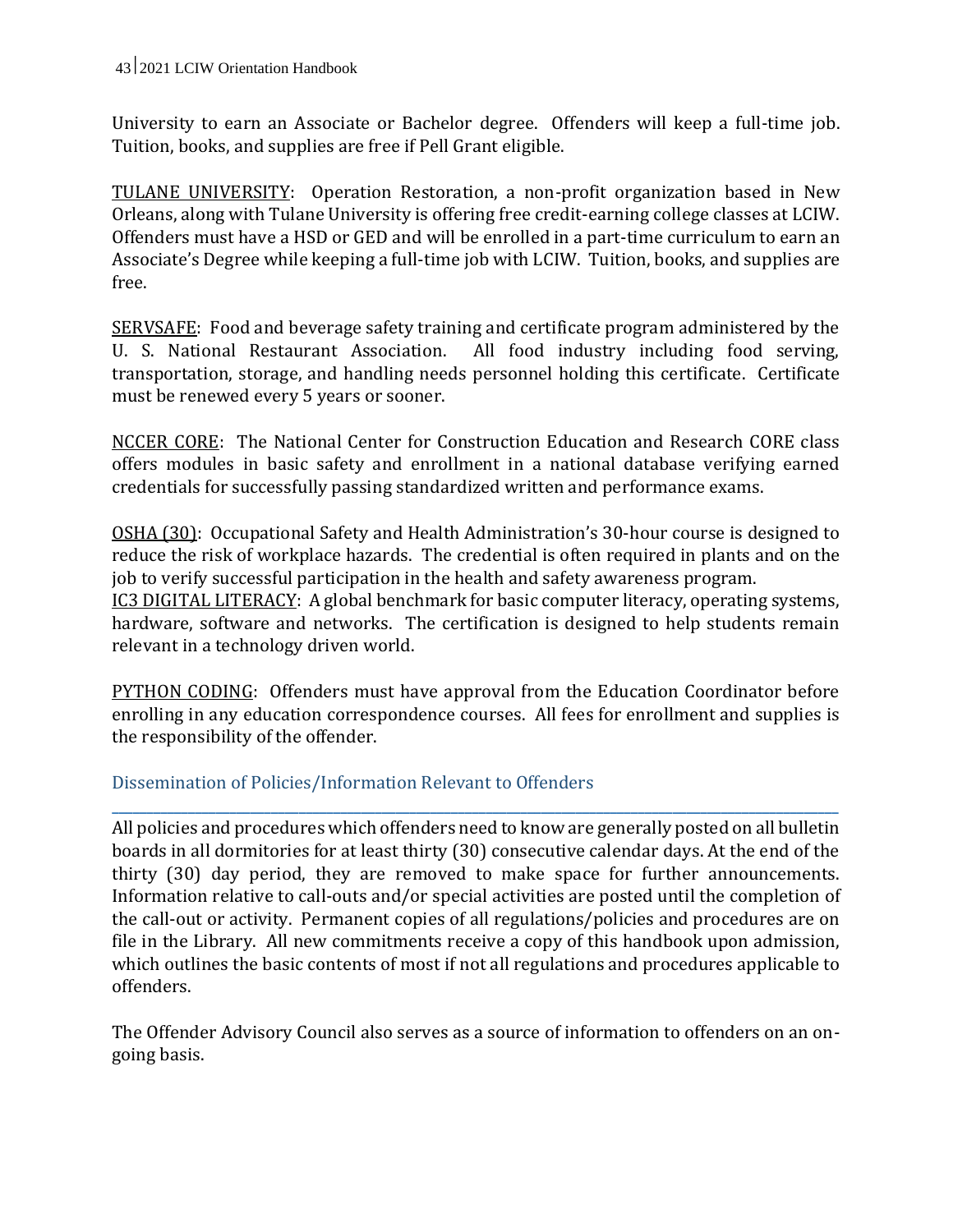University to earn an Associate or Bachelor degree. Offenders will keep a full-time job. Tuition, books, and supplies are free if Pell Grant eligible.

TULANE UNIVERSITY: Operation Restoration, a non-profit organization based in New Orleans, along with Tulane University is offering free credit-earning college classes at LCIW. Offenders must have a HSD or GED and will be enrolled in a part-time curriculum to earn an Associate's Degree while keeping a full-time job with LCIW. Tuition, books, and supplies are free.

SERVSAFE: Food and beverage safety training and certificate program administered by the U. S. National Restaurant Association. All food industry including food serving, transportation, storage, and handling needs personnel holding this certificate. Certificate must be renewed every 5 years or sooner.

NCCER CORE: The National Center for Construction Education and Research CORE class offers modules in basic safety and enrollment in a national database verifying earned credentials for successfully passing standardized written and performance exams.

OSHA (30): Occupational Safety and Health Administration's 30-hour course is designed to reduce the risk of workplace hazards. The credential is often required in plants and on the job to verify successful participation in the health and safety awareness program. IC3 DIGITAL LITERACY: A global benchmark for basic computer literacy, operating systems, hardware, software and networks. The certification is designed to help students remain relevant in a technology driven world.

**PYTHON CODING:** Offenders must have approval from the Education Coordinator before enrolling in any education correspondence courses. All fees for enrollment and supplies is the responsibility of the offender.

**\_\_\_\_\_\_\_\_\_\_\_\_\_\_\_\_\_\_\_\_\_\_\_\_\_\_\_\_\_\_\_\_\_\_\_\_\_\_\_\_\_\_\_\_\_\_\_\_\_\_\_\_\_\_\_\_\_\_\_\_\_\_\_\_\_\_\_\_\_\_\_\_\_\_\_\_\_\_\_\_\_\_\_\_\_\_\_\_\_\_\_\_\_\_\_\_\_\_\_\_\_\_\_\_\_**

## Dissemination of Policies/Information Relevant to Offenders

All policies and procedures which offenders need to know are generally posted on all bulletin boards in all dormitories for at least thirty (30) consecutive calendar days. At the end of the thirty (30) day period, they are removed to make space for further announcements. Information relative to call-outs and/or special activities are posted until the completion of the call-out or activity. Permanent copies of all regulations/policies and procedures are on file in the Library. All new commitments receive a copy of this handbook upon admission, which outlines the basic contents of most if not all regulations and procedures applicable to offenders.

The Offender Advisory Council also serves as a source of information to offenders on an ongoing basis.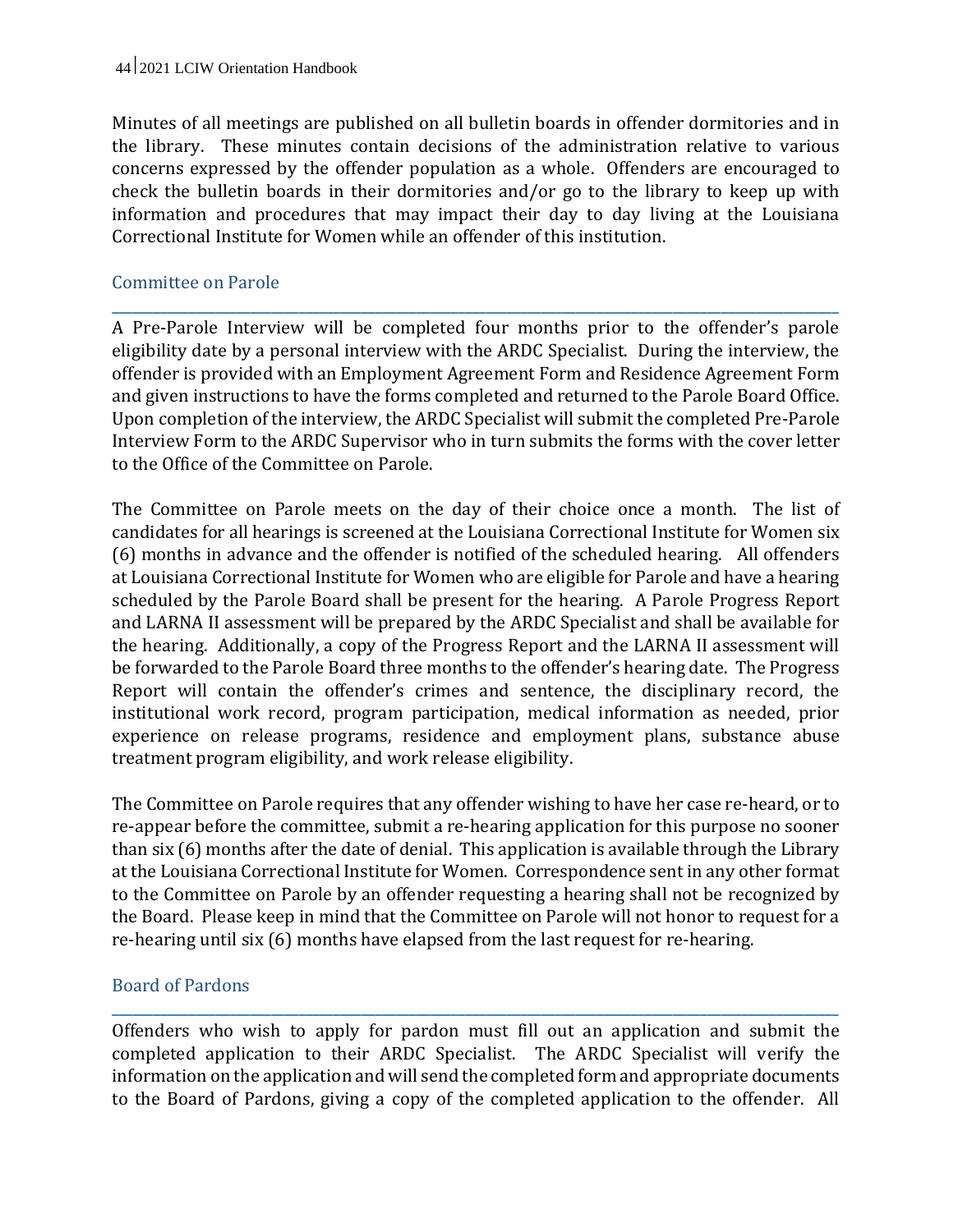Minutes of all meetings are published on all bulletin boards in offender dormitories and in the library. These minutes contain decisions of the administration relative to various concerns expressed by the offender population as a whole. Offenders are encouraged to check the bulletin boards in their dormitories and/or go to the library to keep up with information and procedures that may impact their day to day living at the Louisiana Correctional Institute for Women while an offender of this institution.

## Committee on Parole

A Pre-Parole Interview will be completed four months prior to the offender's parole eligibility date by a personal interview with the ARDC Specialist. During the interview, the offender is provided with an Employment Agreement Form and Residence Agreement Form and given instructions to have the forms completed and returned to the Parole Board Office. Upon completion of the interview, the ARDC Specialist will submit the completed Pre-Parole Interview Form to the ARDC Supervisor who in turn submits the forms with the cover letter to the Office of the Committee on Parole.

**\_\_\_\_\_\_\_\_\_\_\_\_\_\_\_\_\_\_\_\_\_\_\_\_\_\_\_\_\_\_\_\_\_\_\_\_\_\_\_\_\_\_\_\_\_\_\_\_\_\_\_\_\_\_\_\_\_\_\_\_\_\_\_\_\_\_\_\_\_\_\_\_\_\_\_\_\_\_\_\_\_\_\_\_\_\_\_\_\_\_\_\_\_\_\_\_\_\_\_\_\_\_\_\_\_**

The Committee on Parole meets on the day of their choice once a month. The list of candidates for all hearings is screened at the Louisiana Correctional Institute for Women six (6) months in advance and the offender is notified of the scheduled hearing. All offenders at Louisiana Correctional Institute for Women who are eligible for Parole and have a hearing scheduled by the Parole Board shall be present for the hearing. A Parole Progress Report and LARNA II assessment will be prepared by the ARDC Specialist and shall be available for the hearing. Additionally, a copy of the Progress Report and the LARNA II assessment will be forwarded to the Parole Board three months to the offender's hearing date. The Progress Report will contain the offender's crimes and sentence, the disciplinary record, the institutional work record, program participation, medical information as needed, prior experience on release programs, residence and employment plans, substance abuse treatment program eligibility, and work release eligibility.

The Committee on Parole requires that any offender wishing to have her case re-heard, or to re-appear before the committee, submit a re-hearing application for this purpose no sooner than six (6) months after the date of denial. This application is available through the Library at the Louisiana Correctional Institute for Women. Correspondence sent in any other format to the Committee on Parole by an offender requesting a hearing shall not be recognized by the Board. Please keep in mind that the Committee on Parole will not honor to request for a re-hearing until six (6) months have elapsed from the last request for re-hearing.

#### Board of Pardons

Offenders who wish to apply for pardon must fill out an application and submit the completed application to their ARDC Specialist. The ARDC Specialist will verify the information on the application and will send the completed form and appropriate documents to the Board of Pardons, giving a copy of the completed application to the offender. All

**\_\_\_\_\_\_\_\_\_\_\_\_\_\_\_\_\_\_\_\_\_\_\_\_\_\_\_\_\_\_\_\_\_\_\_\_\_\_\_\_\_\_\_\_\_\_\_\_\_\_\_\_\_\_\_\_\_\_\_\_\_\_\_\_\_\_\_\_\_\_\_\_\_\_\_\_\_\_\_\_\_\_\_\_\_\_\_\_\_\_\_\_\_\_\_\_\_\_\_\_\_\_\_\_\_**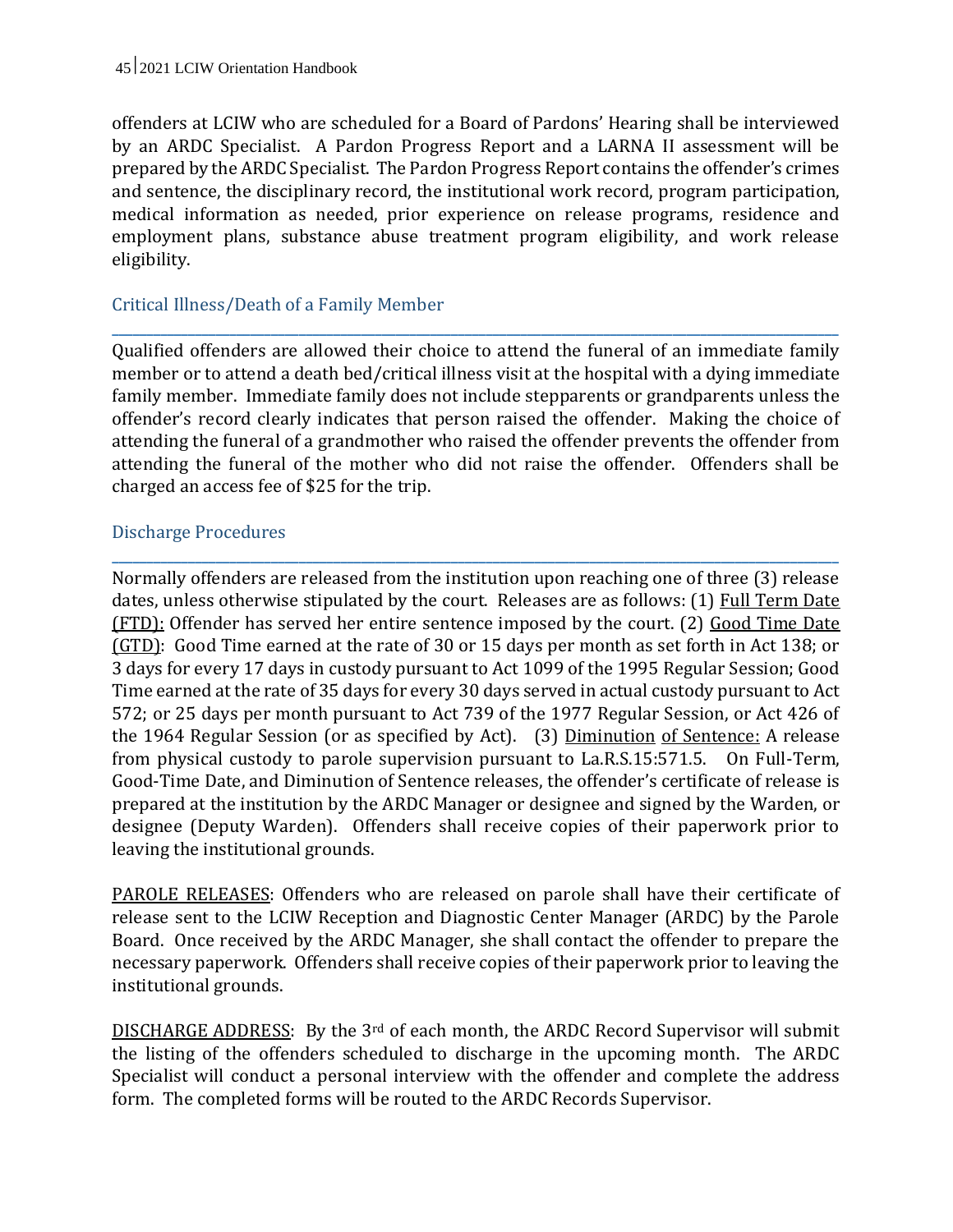offenders at LCIW who are scheduled for a Board of Pardons' Hearing shall be interviewed by an ARDC Specialist. A Pardon Progress Report and a LARNA II assessment will be prepared by the ARDC Specialist. The Pardon Progress Report contains the offender's crimes and sentence, the disciplinary record, the institutional work record, program participation, medical information as needed, prior experience on release programs, residence and employment plans, substance abuse treatment program eligibility, and work release eligibility.

## Critical Illness/Death of a Family Member

Qualified offenders are allowed their choice to attend the funeral of an immediate family member or to attend a death bed/critical illness visit at the hospital with a dying immediate family member. Immediate family does not include stepparents or grandparents unless the offender's record clearly indicates that person raised the offender. Making the choice of attending the funeral of a grandmother who raised the offender prevents the offender from attending the funeral of the mother who did not raise the offender. Offenders shall be charged an access fee of \$25 for the trip.

**\_\_\_\_\_\_\_\_\_\_\_\_\_\_\_\_\_\_\_\_\_\_\_\_\_\_\_\_\_\_\_\_\_\_\_\_\_\_\_\_\_\_\_\_\_\_\_\_\_\_\_\_\_\_\_\_\_\_\_\_\_\_\_\_\_\_\_\_\_\_\_\_\_\_\_\_\_\_\_\_\_\_\_\_\_\_\_\_\_\_\_\_\_\_\_\_\_\_\_\_\_\_\_\_\_**

**\_\_\_\_\_\_\_\_\_\_\_\_\_\_\_\_\_\_\_\_\_\_\_\_\_\_\_\_\_\_\_\_\_\_\_\_\_\_\_\_\_\_\_\_\_\_\_\_\_\_\_\_\_\_\_\_\_\_\_\_\_\_\_\_\_\_\_\_\_\_\_\_\_\_\_\_\_\_\_\_\_\_\_\_\_\_\_\_\_\_\_\_\_\_\_\_\_\_\_\_\_\_\_\_\_**

#### Discharge Procedures

Normally offenders are released from the institution upon reaching one of three (3) release dates, unless otherwise stipulated by the court. Releases are as follows: (1) Full Term Date (FTD): Offender has served her entire sentence imposed by the court. (2) Good Time Date (GTD): Good Time earned at the rate of 30 or 15 days per month as set forth in Act 138; or 3 days for every 17 days in custody pursuant to Act 1099 of the 1995 Regular Session; Good Time earned at the rate of 35 days for every 30 days served in actual custody pursuant to Act 572; or 25 days per month pursuant to Act 739 of the 1977 Regular Session, or Act 426 of the 1964 Regular Session (or as specified by Act). (3) Diminution of Sentence: A release from physical custody to parole supervision pursuant to La.R.S.15:571.5. On Full-Term, Good-Time Date, and Diminution of Sentence releases, the offender's certificate of release is prepared at the institution by the ARDC Manager or designee and signed by the Warden, or designee (Deputy Warden). Offenders shall receive copies of their paperwork prior to leaving the institutional grounds.

PAROLE RELEASES: Offenders who are released on parole shall have their certificate of release sent to the LCIW Reception and Diagnostic Center Manager (ARDC) by the Parole Board. Once received by the ARDC Manager, she shall contact the offender to prepare the necessary paperwork. Offenders shall receive copies of their paperwork prior to leaving the institutional grounds.

DISCHARGE ADDRESS: By the 3rd of each month, the ARDC Record Supervisor will submit the listing of the offenders scheduled to discharge in the upcoming month. The ARDC Specialist will conduct a personal interview with the offender and complete the address form. The completed forms will be routed to the ARDC Records Supervisor.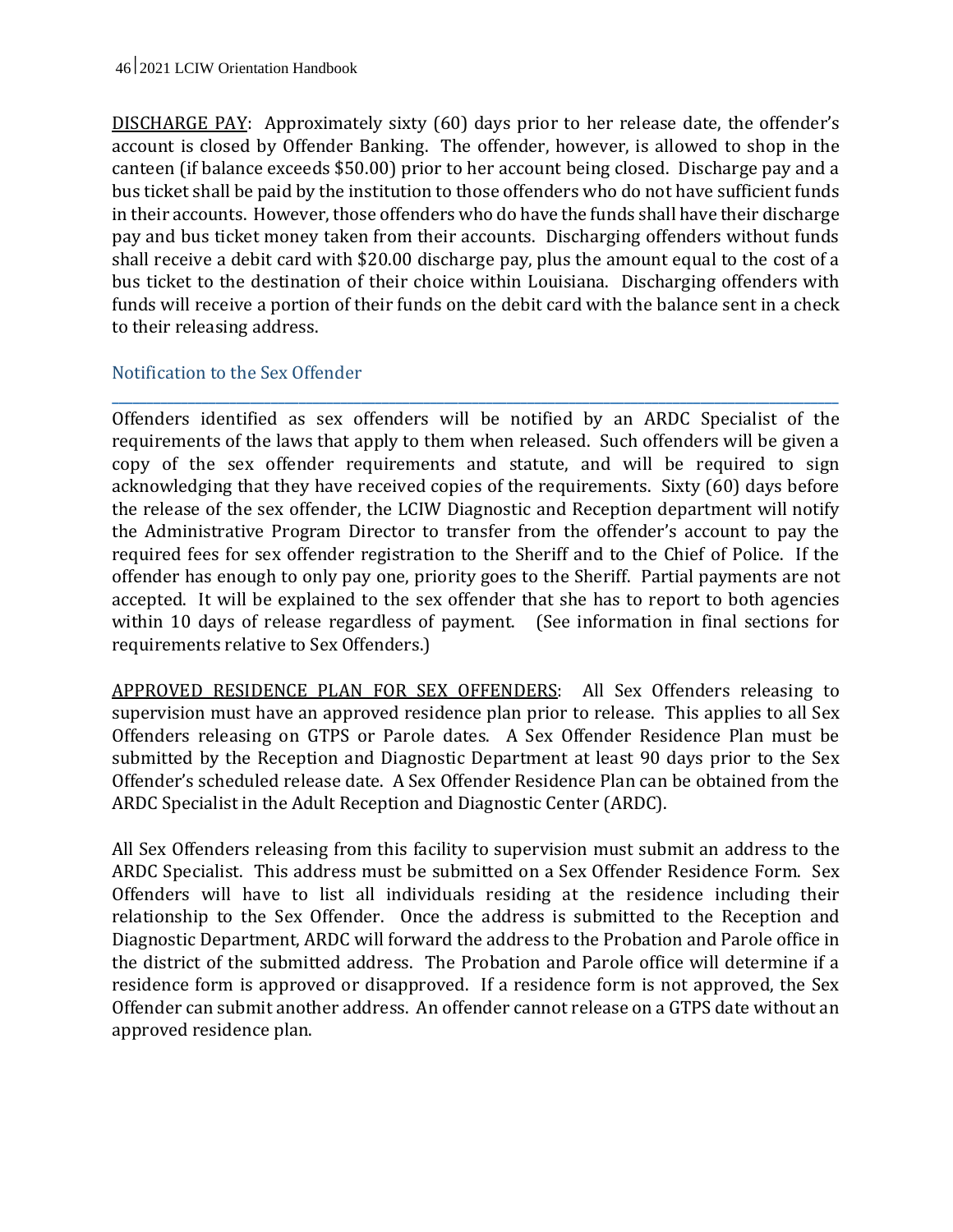DISCHARGE PAY: Approximately sixty (60) days prior to her release date, the offender's account is closed by Offender Banking. The offender, however, is allowed to shop in the canteen (if balance exceeds \$50.00) prior to her account being closed. Discharge pay and a bus ticket shall be paid by the institution to those offenders who do not have sufficient funds in their accounts. However, those offenders who do have the funds shall have their discharge pay and bus ticket money taken from their accounts. Discharging offenders without funds shall receive a debit card with \$20.00 discharge pay, plus the amount equal to the cost of a bus ticket to the destination of their choice within Louisiana. Discharging offenders with funds will receive a portion of their funds on the debit card with the balance sent in a check to their releasing address.

## Notification to the Sex Offender

Offenders identified as sex offenders will be notified by an ARDC Specialist of the requirements of the laws that apply to them when released. Such offenders will be given a copy of the sex offender requirements and statute, and will be required to sign acknowledging that they have received copies of the requirements. Sixty (60) days before the release of the sex offender, the LCIW Diagnostic and Reception department will notify the Administrative Program Director to transfer from the offender's account to pay the required fees for sex offender registration to the Sheriff and to the Chief of Police. If the offender has enough to only pay one, priority goes to the Sheriff. Partial payments are not accepted. It will be explained to the sex offender that she has to report to both agencies within 10 days of release regardless of payment. (See information in final sections for requirements relative to Sex Offenders.)

**\_\_\_\_\_\_\_\_\_\_\_\_\_\_\_\_\_\_\_\_\_\_\_\_\_\_\_\_\_\_\_\_\_\_\_\_\_\_\_\_\_\_\_\_\_\_\_\_\_\_\_\_\_\_\_\_\_\_\_\_\_\_\_\_\_\_\_\_\_\_\_\_\_\_\_\_\_\_\_\_\_\_\_\_\_\_\_\_\_\_\_\_\_\_\_\_\_\_\_\_\_\_\_\_\_**

APPROVED RESIDENCE PLAN FOR SEX OFFENDERS: All Sex Offenders releasing to supervision must have an approved residence plan prior to release. This applies to all Sex Offenders releasing on GTPS or Parole dates. A Sex Offender Residence Plan must be submitted by the Reception and Diagnostic Department at least 90 days prior to the Sex Offender's scheduled release date. A Sex Offender Residence Plan can be obtained from the ARDC Specialist in the Adult Reception and Diagnostic Center (ARDC).

All Sex Offenders releasing from this facility to supervision must submit an address to the ARDC Specialist. This address must be submitted on a Sex Offender Residence Form. Sex Offenders will have to list all individuals residing at the residence including their relationship to the Sex Offender. Once the address is submitted to the Reception and Diagnostic Department, ARDC will forward the address to the Probation and Parole office in the district of the submitted address. The Probation and Parole office will determine if a residence form is approved or disapproved. If a residence form is not approved, the Sex Offender can submit another address. An offender cannot release on a GTPS date without an approved residence plan.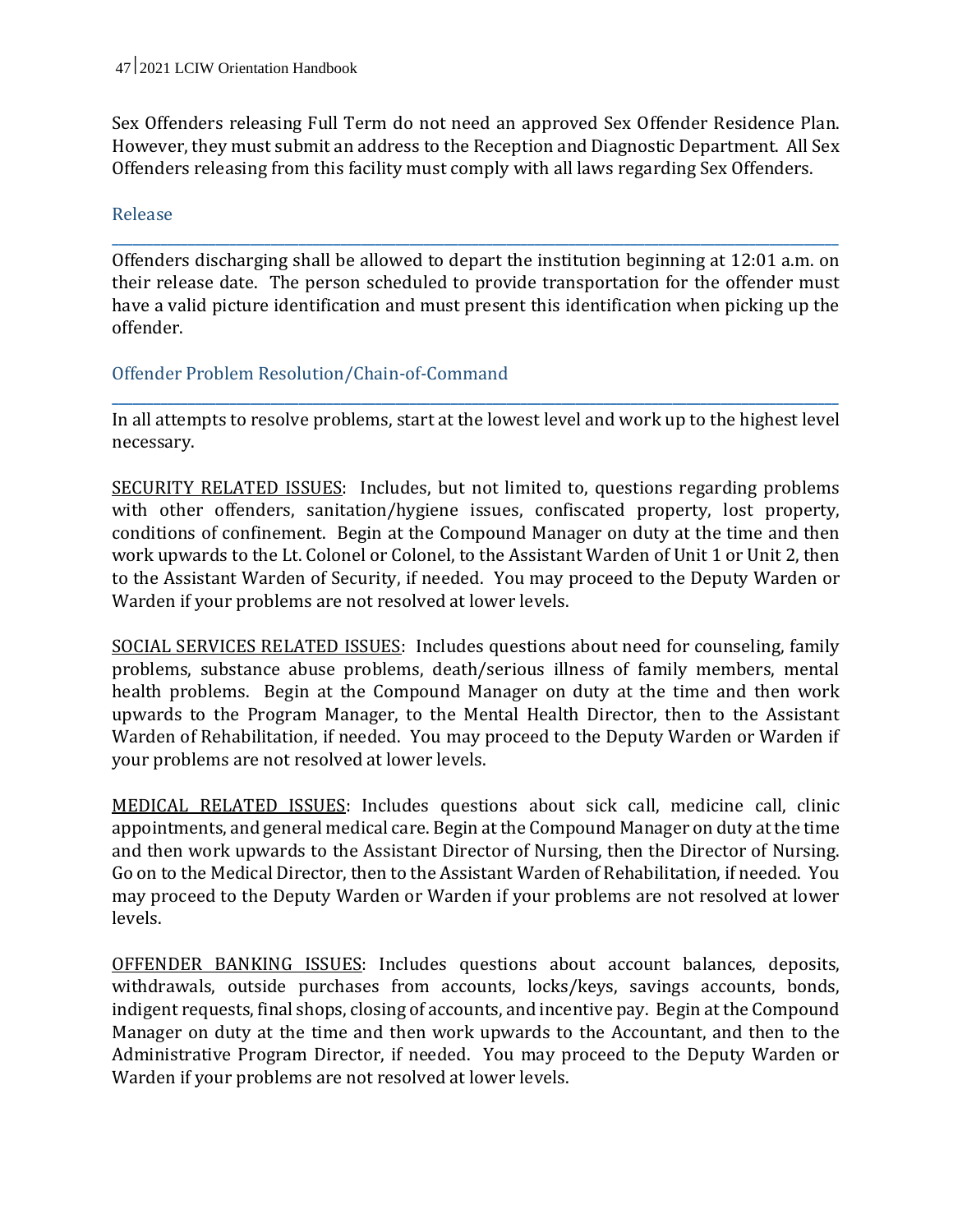Sex Offenders releasing Full Term do not need an approved Sex Offender Residence Plan. However, they must submit an address to the Reception and Diagnostic Department. All Sex Offenders releasing from this facility must comply with all laws regarding Sex Offenders.

#### Release

Offenders discharging shall be allowed to depart the institution beginning at 12:01 a.m. on their release date. The person scheduled to provide transportation for the offender must have a valid picture identification and must present this identification when picking up the offender.

**\_\_\_\_\_\_\_\_\_\_\_\_\_\_\_\_\_\_\_\_\_\_\_\_\_\_\_\_\_\_\_\_\_\_\_\_\_\_\_\_\_\_\_\_\_\_\_\_\_\_\_\_\_\_\_\_\_\_\_\_\_\_\_\_\_\_\_\_\_\_\_\_\_\_\_\_\_\_\_\_\_\_\_\_\_\_\_\_\_\_\_\_\_\_\_\_\_\_\_\_\_\_\_\_\_**

#### Offender Problem Resolution/Chain-of-Command

In all attempts to resolve problems, start at the lowest level and work up to the highest level necessary.

**\_\_\_\_\_\_\_\_\_\_\_\_\_\_\_\_\_\_\_\_\_\_\_\_\_\_\_\_\_\_\_\_\_\_\_\_\_\_\_\_\_\_\_\_\_\_\_\_\_\_\_\_\_\_\_\_\_\_\_\_\_\_\_\_\_\_\_\_\_\_\_\_\_\_\_\_\_\_\_\_\_\_\_\_\_\_\_\_\_\_\_\_\_\_\_\_\_\_\_\_\_\_\_\_\_**

SECURITY RELATED ISSUES: Includes, but not limited to, questions regarding problems with other offenders, sanitation/hygiene issues, confiscated property, lost property, conditions of confinement. Begin at the Compound Manager on duty at the time and then work upwards to the Lt. Colonel or Colonel, to the Assistant Warden of Unit 1 or Unit 2, then to the Assistant Warden of Security, if needed. You may proceed to the Deputy Warden or Warden if your problems are not resolved at lower levels.

SOCIAL SERVICES RELATED ISSUES: Includes questions about need for counseling, family problems, substance abuse problems, death/serious illness of family members, mental health problems. Begin at the Compound Manager on duty at the time and then work upwards to the Program Manager, to the Mental Health Director, then to the Assistant Warden of Rehabilitation, if needed. You may proceed to the Deputy Warden or Warden if your problems are not resolved at lower levels.

MEDICAL RELATED ISSUES: Includes questions about sick call, medicine call, clinic appointments, and general medical care. Begin at the Compound Manager on duty at the time and then work upwards to the Assistant Director of Nursing, then the Director of Nursing. Go on to the Medical Director, then to the Assistant Warden of Rehabilitation, if needed. You may proceed to the Deputy Warden or Warden if your problems are not resolved at lower levels.

OFFENDER BANKING ISSUES: Includes questions about account balances, deposits, withdrawals, outside purchases from accounts, locks/keys, savings accounts, bonds, indigent requests, final shops, closing of accounts, and incentive pay. Begin at the Compound Manager on duty at the time and then work upwards to the Accountant, and then to the Administrative Program Director, if needed. You may proceed to the Deputy Warden or Warden if your problems are not resolved at lower levels.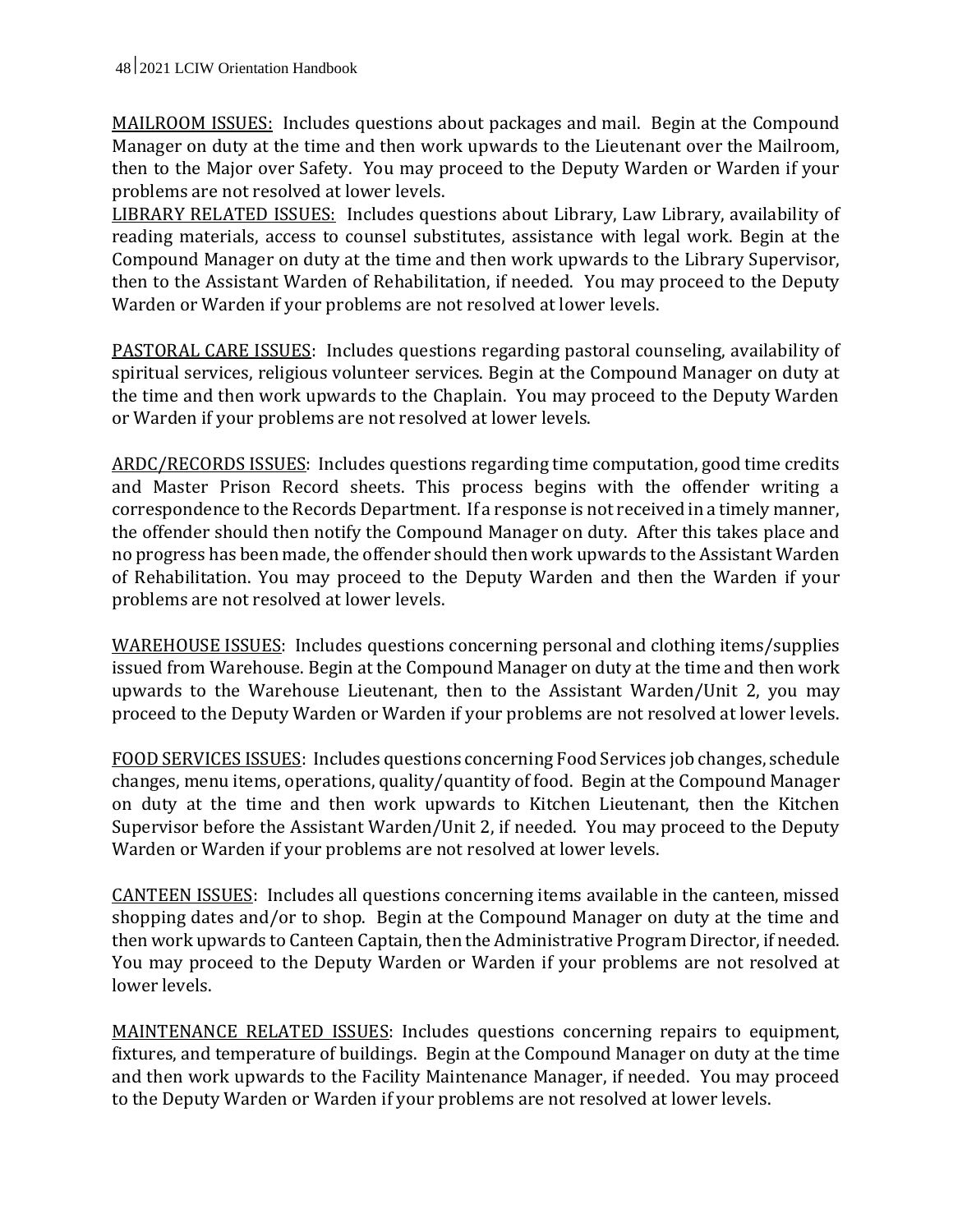MAILROOM ISSUES: Includes questions about packages and mail. Begin at the Compound Manager on duty at the time and then work upwards to the Lieutenant over the Mailroom, then to the Major over Safety. You may proceed to the Deputy Warden or Warden if your problems are not resolved at lower levels.

LIBRARY RELATED ISSUES: Includes questions about Library, Law Library, availability of reading materials, access to counsel substitutes, assistance with legal work. Begin at the Compound Manager on duty at the time and then work upwards to the Library Supervisor, then to the Assistant Warden of Rehabilitation, if needed. You may proceed to the Deputy Warden or Warden if your problems are not resolved at lower levels.

PASTORAL CARE ISSUES: Includes questions regarding pastoral counseling, availability of spiritual services, religious volunteer services. Begin at the Compound Manager on duty at the time and then work upwards to the Chaplain. You may proceed to the Deputy Warden or Warden if your problems are not resolved at lower levels.

ARDC/RECORDS ISSUES: Includes questions regarding time computation, good time credits and Master Prison Record sheets. This process begins with the offender writing a correspondence to the Records Department. If a response is not received in a timely manner, the offender should then notify the Compound Manager on duty. After this takes place and no progress has been made, the offender should then work upwards to the Assistant Warden of Rehabilitation. You may proceed to the Deputy Warden and then the Warden if your problems are not resolved at lower levels.

WAREHOUSE ISSUES: Includes questions concerning personal and clothing items/supplies issued from Warehouse. Begin at the Compound Manager on duty at the time and then work upwards to the Warehouse Lieutenant, then to the Assistant Warden/Unit 2, you may proceed to the Deputy Warden or Warden if your problems are not resolved at lower levels.

FOOD SERVICES ISSUES: Includes questions concerning Food Services job changes, schedule changes, menu items, operations, quality/quantity of food. Begin at the Compound Manager on duty at the time and then work upwards to Kitchen Lieutenant, then the Kitchen Supervisor before the Assistant Warden/Unit 2, if needed. You may proceed to the Deputy Warden or Warden if your problems are not resolved at lower levels.

CANTEEN ISSUES: Includes all questions concerning items available in the canteen, missed shopping dates and/or to shop. Begin at the Compound Manager on duty at the time and then work upwards to Canteen Captain, then the Administrative Program Director, if needed. You may proceed to the Deputy Warden or Warden if your problems are not resolved at lower levels.

MAINTENANCE RELATED ISSUES: Includes questions concerning repairs to equipment, fixtures, and temperature of buildings. Begin at the Compound Manager on duty at the time and then work upwards to the Facility Maintenance Manager, if needed. You may proceed to the Deputy Warden or Warden if your problems are not resolved at lower levels.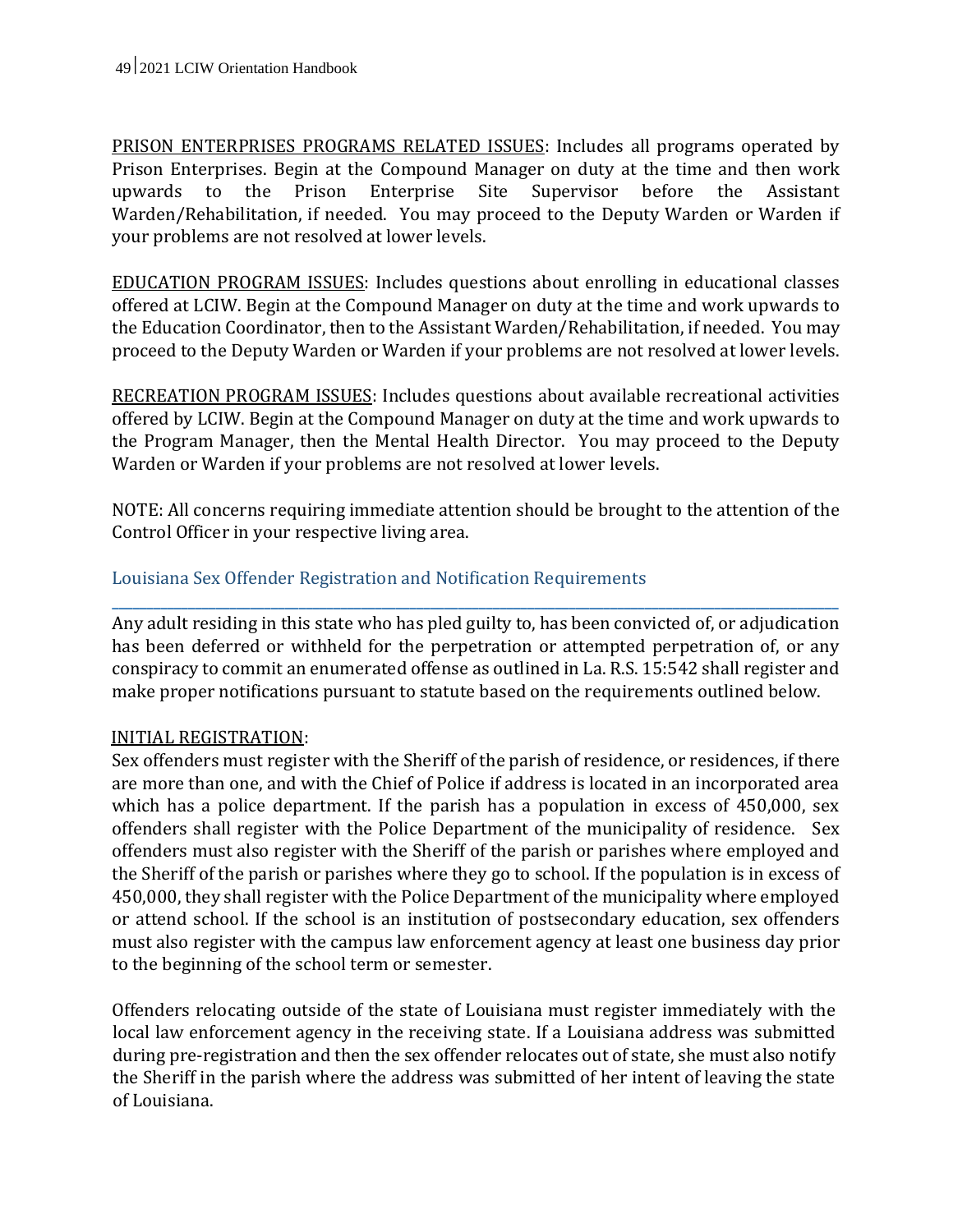PRISON ENTERPRISES PROGRAMS RELATED ISSUES: Includes all programs operated by Prison Enterprises. Begin at the Compound Manager on duty at the time and then work upwards to the Prison Enterprise Site Supervisor before the Assistant Warden/Rehabilitation, if needed. You may proceed to the Deputy Warden or Warden if your problems are not resolved at lower levels.

EDUCATION PROGRAM ISSUES: Includes questions about enrolling in educational classes offered at LCIW. Begin at the Compound Manager on duty at the time and work upwards to the Education Coordinator, then to the Assistant Warden/Rehabilitation, if needed. You may proceed to the Deputy Warden or Warden if your problems are not resolved at lower levels.

RECREATION PROGRAM ISSUES: Includes questions about available recreational activities offered by LCIW. Begin at the Compound Manager on duty at the time and work upwards to the Program Manager, then the Mental Health Director. You may proceed to the Deputy Warden or Warden if your problems are not resolved at lower levels.

NOTE: All concerns requiring immediate attention should be brought to the attention of the Control Officer in your respective living area.

## Louisiana Sex Offender Registration and Notification Requirements

Any adult residing in this state who has pled guilty to, has been convicted of, or adjudication has been deferred or withheld for the perpetration or attempted perpetration of, or any conspiracy to commit an enumerated offense as outlined in La. R.S. 15:542 shall register and make proper notifications pursuant to statute based on the requirements outlined below.

**\_\_\_\_\_\_\_\_\_\_\_\_\_\_\_\_\_\_\_\_\_\_\_\_\_\_\_\_\_\_\_\_\_\_\_\_\_\_\_\_\_\_\_\_\_\_\_\_\_\_\_\_\_\_\_\_\_\_\_\_\_\_\_\_\_\_\_\_\_\_\_\_\_\_\_\_\_\_\_\_\_\_\_\_\_\_\_\_\_\_\_\_\_\_\_\_\_\_\_\_\_\_\_\_\_**

## INITIAL REGISTRATION:

Sex offenders must register with the Sheriff of the parish of residence, or residences, if there are more than one, and with the Chief of Police if address is located in an incorporated area which has a police department. If the parish has a population in excess of 450,000, sex offenders shall register with the Police Department of the municipality of residence. Sex offenders must also register with the Sheriff of the parish or parishes where employed and the Sheriff of the parish or parishes where they go to school. If the population is in excess of 450,000, they shall register with the Police Department of the municipality where employed or attend school. If the school is an institution of postsecondary education, sex offenders must also register with the campus law enforcement agency at least one business day prior to the beginning of the school term or semester.

Offenders relocating outside of the state of Louisiana must register immediately with the local law enforcement agency in the receiving state. If a Louisiana address was submitted during pre-registration and then the sex offender relocates out of state, she must also notify the Sheriff in the parish where the address was submitted of her intent of leaving the state of Louisiana.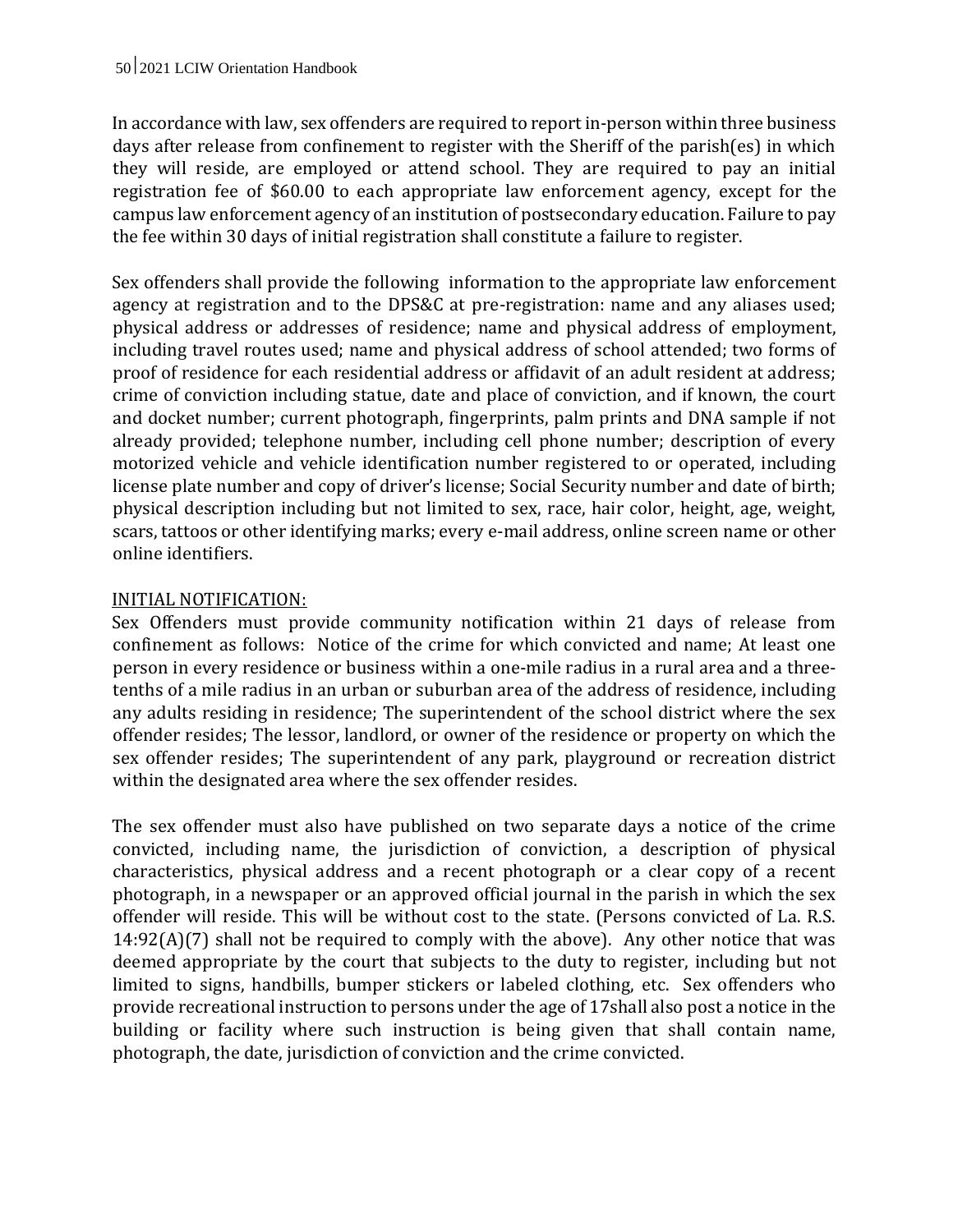In accordance with law, sex offenders are required to report in-person within three business days after release from confinement to register with the Sheriff of the parish(es) in which they will reside, are employed or attend school. They are required to pay an initial registration fee of \$60.00 to each appropriate law enforcement agency, except for the campus law enforcement agency of an institution of postsecondary education. Failure to pay the fee within 30 days of initial registration shall constitute a failure to register.

Sex offenders shall provide the following information to the appropriate law enforcement agency at registration and to the DPS&C at pre-registration: name and any aliases used; physical address or addresses of residence; name and physical address of employment, including travel routes used; name and physical address of school attended; two forms of proof of residence for each residential address or affidavit of an adult resident at address; crime of conviction including statue, date and place of conviction, and if known, the court and docket number; current photograph, fingerprints, palm prints and DNA sample if not already provided; telephone number, including cell phone number; description of every motorized vehicle and vehicle identification number registered to or operated, including license plate number and copy of driver's license; Social Security number and date of birth; physical description including but not limited to sex, race, hair color, height, age, weight, scars, tattoos or other identifying marks; every e-mail address, online screen name or other online identifiers.

#### INITIAL NOTIFICATION:

Sex Offenders must provide community notification within 21 days of release from confinement as follows: Notice of the crime for which convicted and name; At least one person in every residence or business within a one-mile radius in a rural area and a threetenths of a mile radius in an urban or suburban area of the address of residence, including any adults residing in residence; The superintendent of the school district where the sex offender resides; The lessor, landlord, or owner of the residence or property on which the sex offender resides; The superintendent of any park, playground or recreation district within the designated area where the sex offender resides.

The sex offender must also have published on two separate days a notice of the crime convicted, including name, the jurisdiction of conviction, a description of physical characteristics, physical address and a recent photograph or a clear copy of a recent photograph, in a newspaper or an approved official journal in the parish in which the sex offender will reside. This will be without cost to the state. (Persons convicted of La. R.S.  $14:92(A)(7)$  shall not be required to comply with the above). Any other notice that was deemed appropriate by the court that subjects to the duty to register, including but not limited to signs, handbills, bumper stickers or labeled clothing, etc. Sex offenders who provide recreational instruction to persons under the age of 17shall also post a notice in the building or facility where such instruction is being given that shall contain name, photograph, the date, jurisdiction of conviction and the crime convicted.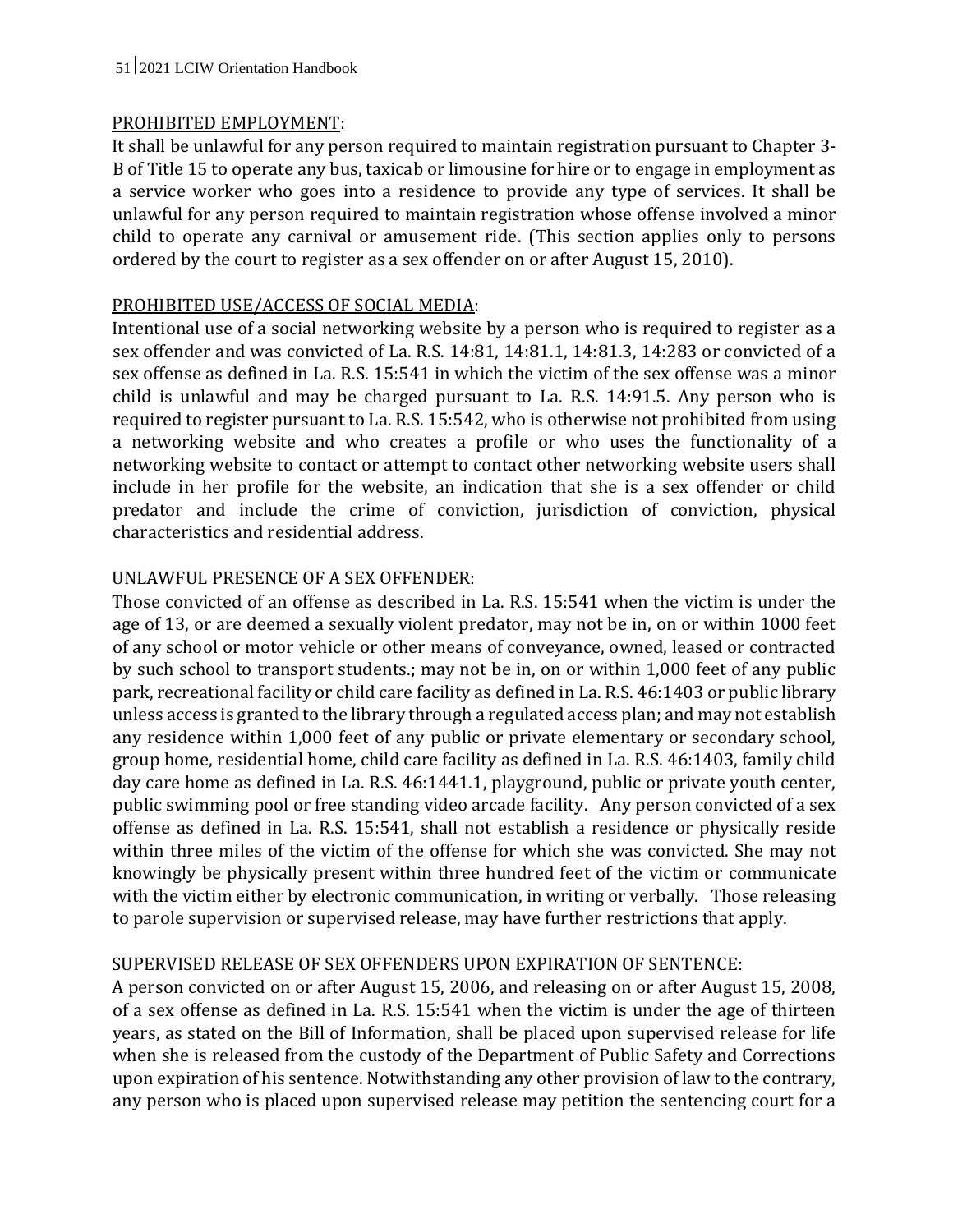#### PROHIBITED EMPLOYMENT:

It shall be unlawful for any person required to maintain registration pursuant to Chapter 3- B of Title 15 to operate any bus, taxicab or limousine for hire or to engage in employment as a service worker who goes into a residence to provide any type of services. It shall be unlawful for any person required to maintain registration whose offense involved a minor child to operate any carnival or amusement ride. (This section applies only to persons ordered by the court to register as a sex offender on or after August 15, 2010).

## PROHIBITED USE/ACCESS OF SOCIAL MEDIA:

Intentional use of a social networking website by a person who is required to register as a sex offender and was convicted of La. R.S. 14:81, 14:81.1, 14:81.3, 14:283 or convicted of a sex offense as defined in La. R.S. 15:541 in which the victim of the sex offense was a minor child is unlawful and may be charged pursuant to La. R.S. 14:91.5. Any person who is required to register pursuant to La. R.S. 15:542, who is otherwise not prohibited from using a networking website and who creates a profile or who uses the functionality of a networking website to contact or attempt to contact other networking website users shall include in her profile for the website, an indication that she is a sex offender or child predator and include the crime of conviction, jurisdiction of conviction, physical characteristics and residential address.

## UNLAWFUL PRESENCE OF A SEX OFFENDER:

Those convicted of an offense as described in La. R.S. 15:541 when the victim is under the age of 13, or are deemed a sexually violent predator, may not be in, on or within 1000 feet of any school or motor vehicle or other means of conveyance, owned, leased or contracted by such school to transport students.; may not be in, on or within 1,000 feet of any public park, recreational facility or child care facility as defined in La. R.S. 46:1403 or public library unless access is granted to the library through a regulated access plan; and may not establish any residence within 1,000 feet of any public or private elementary or secondary school, group home, residential home, child care facility as defined in La. R.S. 46:1403, family child day care home as defined in La. R.S. 46:1441.1, playground, public or private youth center, public swimming pool or free standing video arcade facility. Any person convicted of a sex offense as defined in La. R.S. 15:541, shall not establish a residence or physically reside within three miles of the victim of the offense for which she was convicted. She may not knowingly be physically present within three hundred feet of the victim or communicate with the victim either by electronic communication, in writing or verbally. Those releasing to parole supervision or supervised release, may have further restrictions that apply.

## SUPERVISED RELEASE OF SEX OFFENDERS UPON EXPIRATION OF SENTENCE:

A person convicted on or after August 15, 2006, and releasing on or after August 15, 2008, of a sex offense as defined in La. R.S. 15:541 when the victim is under the age of thirteen years, as stated on the Bill of Information, shall be placed upon supervised release for life when she is released from the custody of the Department of Public Safety and Corrections upon expiration of his sentence. Notwithstanding any other provision of law to the contrary, any person who is placed upon supervised release may petition the sentencing court for a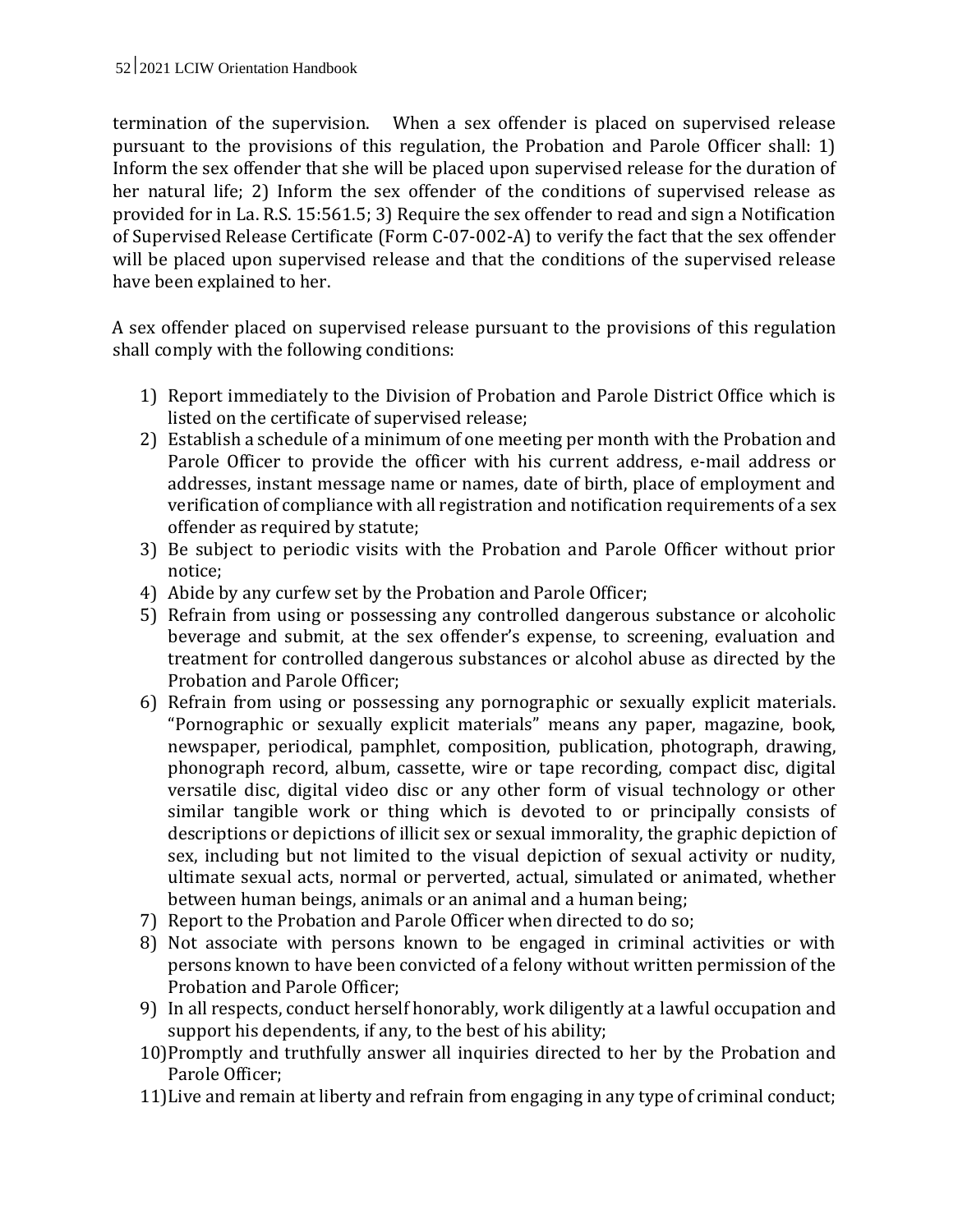termination of the supervision. When a sex offender is placed on supervised release pursuant to the provisions of this regulation, the Probation and Parole Officer shall: 1) Inform the sex offender that she will be placed upon supervised release for the duration of her natural life; 2) Inform the sex offender of the conditions of supervised release as provided for in La. R.S. 15:561.5; 3) Require the sex offender to read and sign a Notification of Supervised Release Certificate (Form C-07-002-A) to verify the fact that the sex offender will be placed upon supervised release and that the conditions of the supervised release have been explained to her.

A sex offender placed on supervised release pursuant to the provisions of this regulation shall comply with the following conditions:

- 1) Report immediately to the Division of Probation and Parole District Office which is listed on the certificate of supervised release;
- 2) Establish a schedule of a minimum of one meeting per month with the Probation and Parole Officer to provide the officer with his current address, e-mail address or addresses, instant message name or names, date of birth, place of employment and verification of compliance with all registration and notification requirements of a sex offender as required by statute;
- 3) Be subject to periodic visits with the Probation and Parole Officer without prior notice;
- 4) Abide by any curfew set by the Probation and Parole Officer;
- 5) Refrain from using or possessing any controlled dangerous substance or alcoholic beverage and submit, at the sex offender's expense, to screening, evaluation and treatment for controlled dangerous substances or alcohol abuse as directed by the Probation and Parole Officer;
- 6) Refrain from using or possessing any pornographic or sexually explicit materials. "Pornographic or sexually explicit materials" means any paper, magazine, book, newspaper, periodical, pamphlet, composition, publication, photograph, drawing, phonograph record, album, cassette, wire or tape recording, compact disc, digital versatile disc, digital video disc or any other form of visual technology or other similar tangible work or thing which is devoted to or principally consists of descriptions or depictions of illicit sex or sexual immorality, the graphic depiction of sex, including but not limited to the visual depiction of sexual activity or nudity, ultimate sexual acts, normal or perverted, actual, simulated or animated, whether between human beings, animals or an animal and a human being;
- 7) Report to the Probation and Parole Officer when directed to do so;
- 8) Not associate with persons known to be engaged in criminal activities or with persons known to have been convicted of a felony without written permission of the Probation and Parole Officer;
- 9) In all respects, conduct herself honorably, work diligently at a lawful occupation and support his dependents, if any, to the best of his ability;
- 10)Promptly and truthfully answer all inquiries directed to her by the Probation and Parole Officer;
- 11)Live and remain at liberty and refrain from engaging in any type of criminal conduct;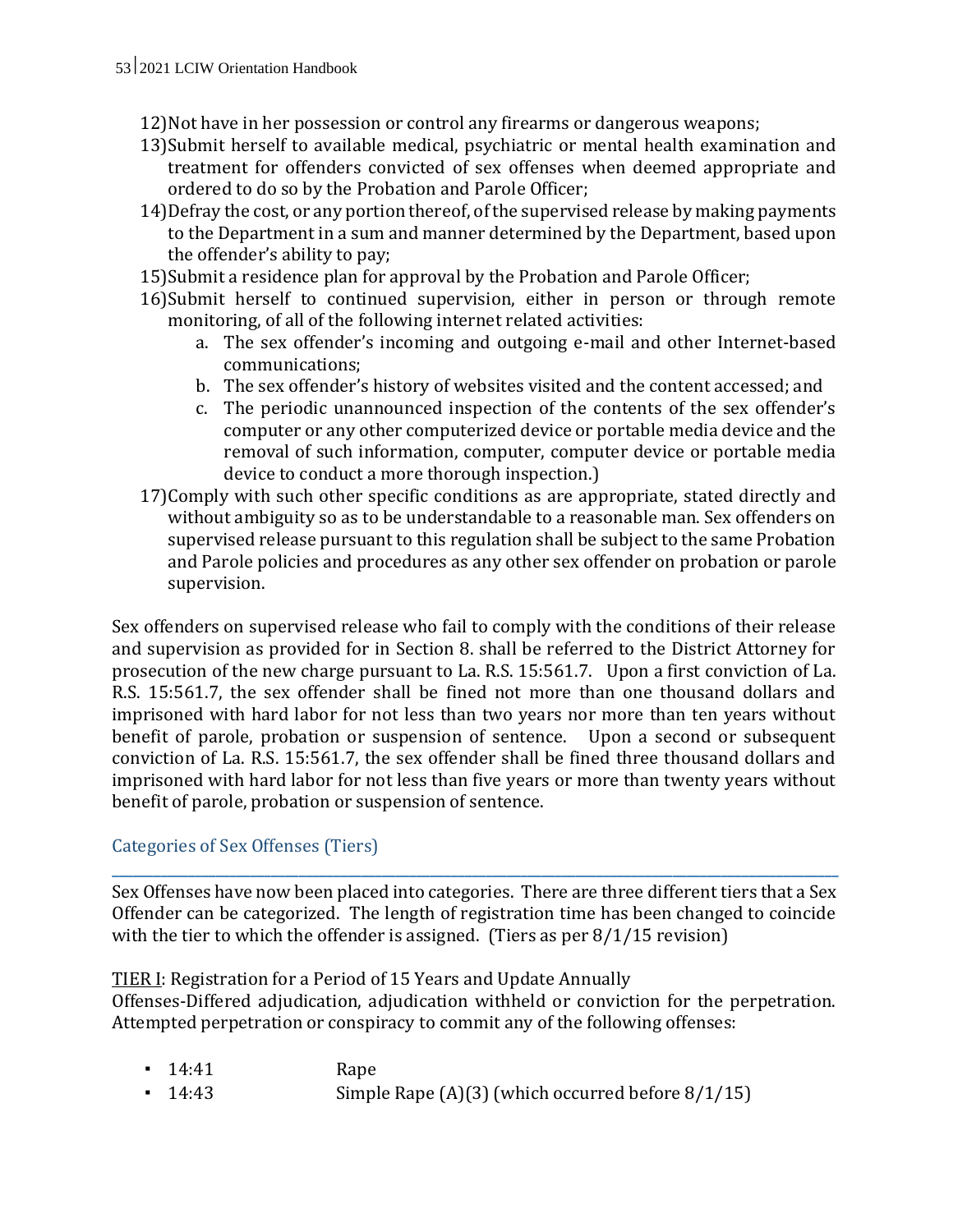- 12)Not have in her possession or control any firearms or dangerous weapons;
- 13)Submit herself to available medical, psychiatric or mental health examination and treatment for offenders convicted of sex offenses when deemed appropriate and ordered to do so by the Probation and Parole Officer;
- 14)Defray the cost, or any portion thereof, of the supervised release by making payments to the Department in a sum and manner determined by the Department, based upon the offender's ability to pay;
- 15)Submit a residence plan for approval by the Probation and Parole Officer;
- 16)Submit herself to continued supervision, either in person or through remote monitoring, of all of the following internet related activities:
	- a. The sex offender's incoming and outgoing e-mail and other Internet-based communications;
	- b. The sex offender's history of websites visited and the content accessed; and
	- c. The periodic unannounced inspection of the contents of the sex offender's computer or any other computerized device or portable media device and the removal of such information, computer, computer device or portable media device to conduct a more thorough inspection.)
- 17)Comply with such other specific conditions as are appropriate, stated directly and without ambiguity so as to be understandable to a reasonable man. Sex offenders on supervised release pursuant to this regulation shall be subject to the same Probation and Parole policies and procedures as any other sex offender on probation or parole supervision.

Sex offenders on supervised release who fail to comply with the conditions of their release and supervision as provided for in Section 8. shall be referred to the District Attorney for prosecution of the new charge pursuant to La. R.S. 15:561.7. Upon a first conviction of La. R.S. 15:561.7, the sex offender shall be fined not more than one thousand dollars and imprisoned with hard labor for not less than two years nor more than ten years without benefit of parole, probation or suspension of sentence. Upon a second or subsequent conviction of La. R.S. 15:561.7, the sex offender shall be fined three thousand dollars and imprisoned with hard labor for not less than five years or more than twenty years without benefit of parole, probation or suspension of sentence.

## Categories of Sex Offenses (Tiers)

Sex Offenses have now been placed into categories. There are three different tiers that a Sex Offender can be categorized. The length of registration time has been changed to coincide with the tier to which the offender is assigned. (Tiers as per 8/1/15 revision)

**\_\_\_\_\_\_\_\_\_\_\_\_\_\_\_\_\_\_\_\_\_\_\_\_\_\_\_\_\_\_\_\_\_\_\_\_\_\_\_\_\_\_\_\_\_\_\_\_\_\_\_\_\_\_\_\_\_\_\_\_\_\_\_\_\_\_\_\_\_\_\_\_\_\_\_\_\_\_\_\_\_\_\_\_\_\_\_\_\_\_\_\_\_\_\_\_\_\_\_\_\_\_\_\_\_**

# TIER I: Registration for a Period of 15 Years and Update Annually

Offenses-Differed adjudication, adjudication withheld or conviction for the perpetration. Attempted perpetration or conspiracy to commit any of the following offenses:

- 14:41 Rape
- $\blacksquare$  14:43 Simple Rape (A)(3) (which occurred before  $8/1/15$ )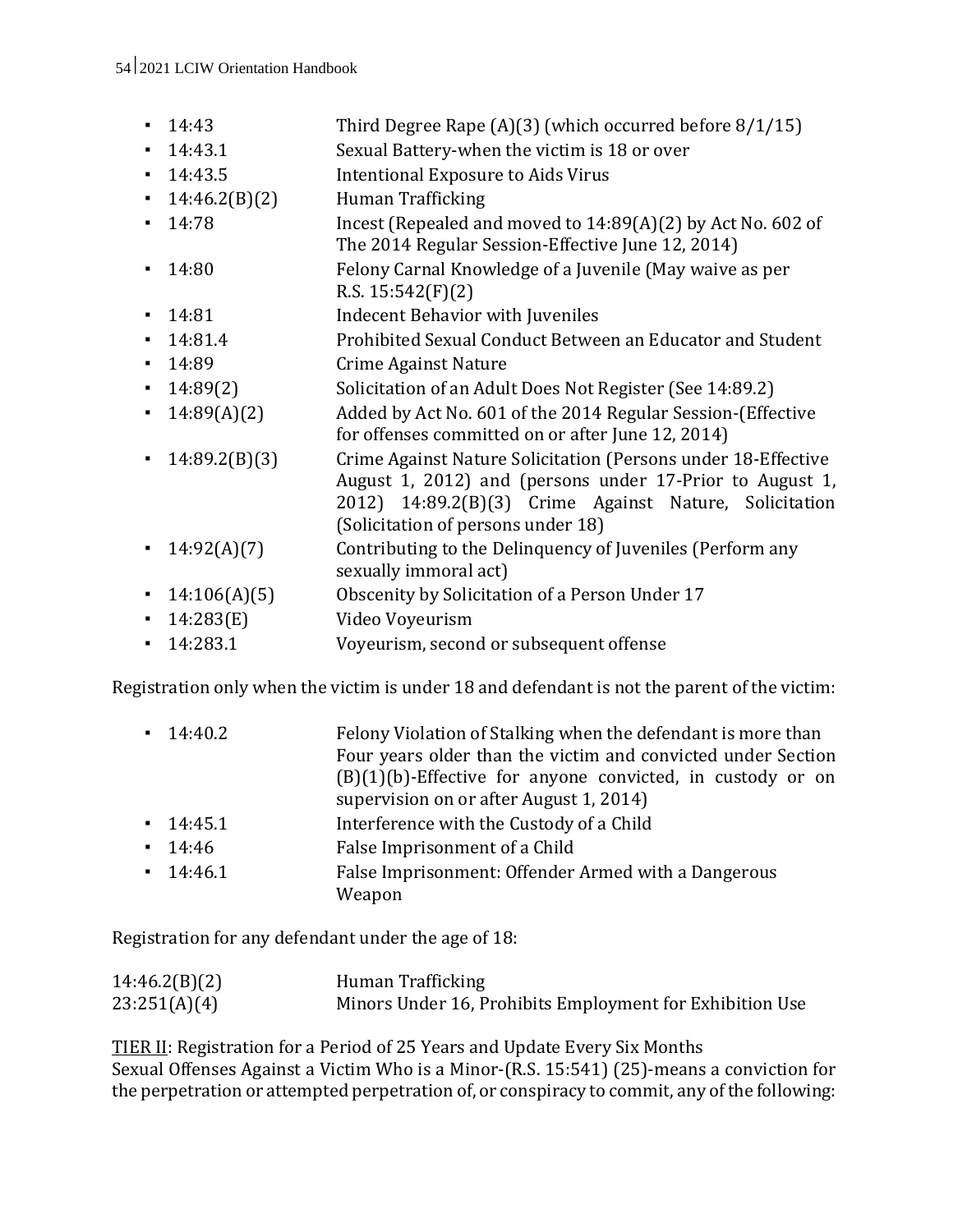#### 54 2021 LCIW Orientation Handbook

- $\blacksquare$  14:43 Third Degree Rape (A)(3) (which occurred before  $8/1/15$ )
- 14:43.1 Sexual Battery-when the victim is 18 or over
- 14:43.5 Intentional Exposure to Aids Virus
- 14:46.2(B)(2) Human Trafficking
- 14:78 Incest (Repealed and moved to 14:89(A)(2) by Act No. 602 of The 2014 Regular Session-Effective June 12, 2014)
- 14:80 Felony Carnal Knowledge of a Juvenile (May waive as per R.S. 15:542(F)(2)
- **•** 14:81 Indecent Behavior with Juveniles
- 14:81.4 Prohibited Sexual Conduct Between an Educator and Student
- 14:89 Crime Against Nature
- 14:89(2) Solicitation of an Adult Does Not Register (See 14:89.2)
- 14:89(A)(2) Added by Act No. 601 of the 2014 Regular Session-(Effective for offenses committed on or after June 12, 2014)
- 14:89.2(B)(3) Crime Against Nature Solicitation (Persons under 18-Effective August 1, 2012) and (persons under 17-Prior to August 1, 2012) 14:89.2(B)(3) Crime Against Nature, Solicitation (Solicitation of persons under 18)
- 14:92(A)(7) Contributing to the Delinquency of Juveniles (Perform any sexually immoral act)
- 14:106(A)(5) Obscenity by Solicitation of a Person Under 17
- 14:283(E) Video Voyeurism
- 14:283.1 Voyeurism, second or subsequent offense

Registration only when the victim is under 18 and defendant is not the parent of the victim:

| $-14:40.2$ | Felony Violation of Stalking when the defendant is more than<br>Four years older than the victim and convicted under Section<br>$(B)(1)(b)$ -Effective for anyone convicted, in custody or on<br>supervision on or after August 1, 2014) |
|------------|------------------------------------------------------------------------------------------------------------------------------------------------------------------------------------------------------------------------------------------|
| $-14:45.1$ | Interference with the Custody of a Child                                                                                                                                                                                                 |
| $-14:46$   | False Imprisonment of a Child                                                                                                                                                                                                            |
| $-14:46.1$ | False Imprisonment: Offender Armed with a Dangerous<br>Weapon                                                                                                                                                                            |

Registration for any defendant under the age of 18:

| 14:46.2(B)(2) | Human Trafficking                                        |
|---------------|----------------------------------------------------------|
| 23:251(A)(4)  | Minors Under 16, Prohibits Employment for Exhibition Use |

TIER II: Registration for a Period of 25 Years and Update Every Six Months Sexual Offenses Against a Victim Who is a Minor-(R.S. 15:541) (25)-means a conviction for the perpetration or attempted perpetration of, or conspiracy to commit, any of the following: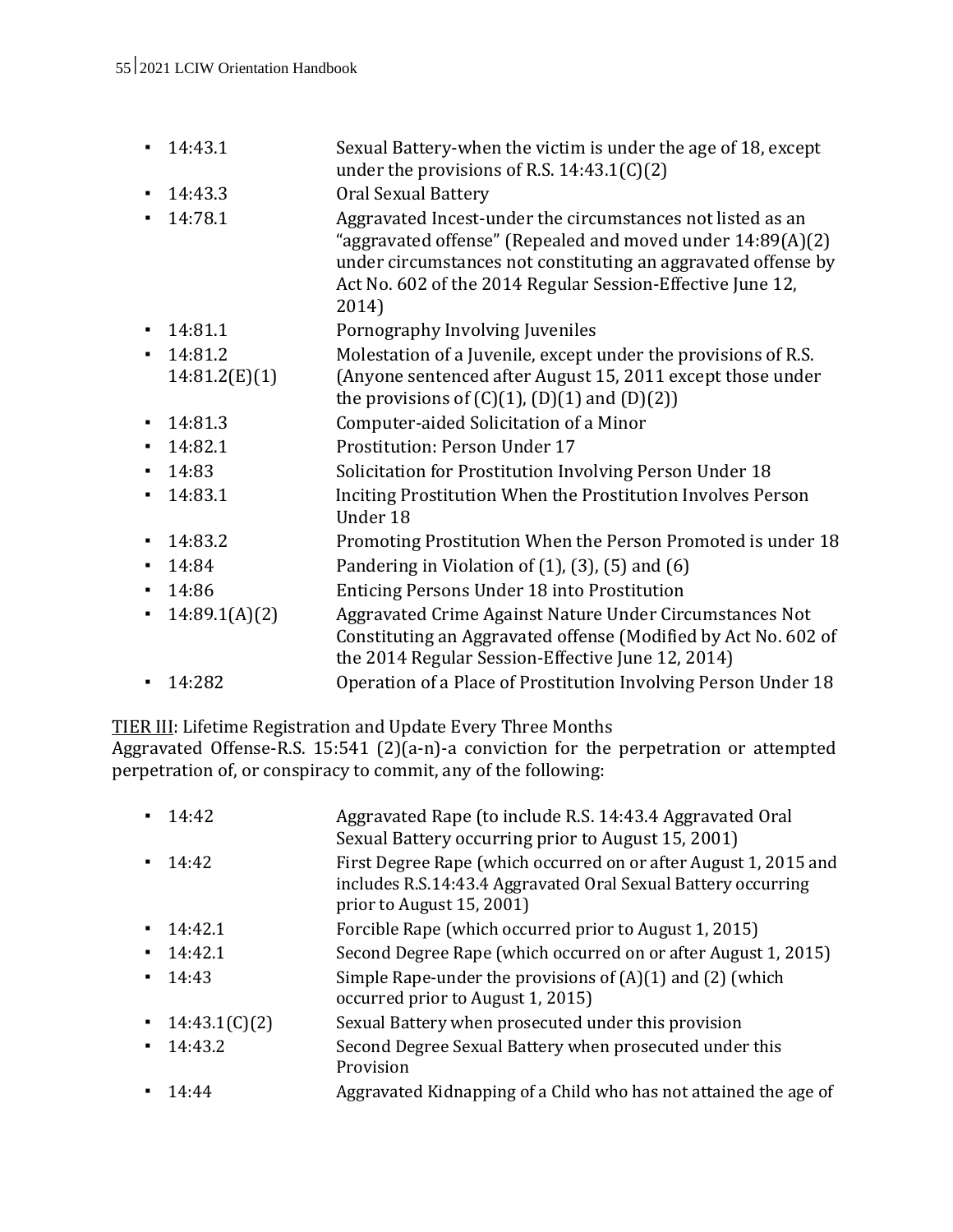|                | 14:43.1       | Sexual Battery-when the victim is under the age of 18, except<br>under the provisions of R.S. $14:43.1(C)(2)$                                                                                                                                                    |
|----------------|---------------|------------------------------------------------------------------------------------------------------------------------------------------------------------------------------------------------------------------------------------------------------------------|
| ٠              | 14:43.3       | Oral Sexual Battery                                                                                                                                                                                                                                              |
| $\blacksquare$ | 14:78.1       | Aggravated Incest-under the circumstances not listed as an<br>"aggravated offense" (Repealed and moved under 14:89(A)(2)<br>under circumstances not constituting an aggravated offense by<br>Act No. 602 of the 2014 Regular Session-Effective June 12,<br>2014) |
| ٠              | 14:81.1       | Pornography Involving Juveniles                                                                                                                                                                                                                                  |
| ٠              | 14:81.2       | Molestation of a Juvenile, except under the provisions of R.S.                                                                                                                                                                                                   |
|                | 14:81.2(E)(1) | (Anyone sentenced after August 15, 2011 except those under<br>the provisions of $(C)(1)$ , $(D)(1)$ and $(D)(2)$                                                                                                                                                 |
| ٠              | 14:81.3       | Computer-aided Solicitation of a Minor                                                                                                                                                                                                                           |
|                | 14:82.1       | Prostitution: Person Under 17                                                                                                                                                                                                                                    |
| ٠              | 14:83         | Solicitation for Prostitution Involving Person Under 18                                                                                                                                                                                                          |
| $\blacksquare$ | 14:83.1       | Inciting Prostitution When the Prostitution Involves Person<br>Under 18                                                                                                                                                                                          |
| ٠              | 14:83.2       | Promoting Prostitution When the Person Promoted is under 18                                                                                                                                                                                                      |
| ٠              | 14:84         | Pandering in Violation of $(1)$ , $(3)$ , $(5)$ and $(6)$                                                                                                                                                                                                        |
| ٠              | 14:86         | <b>Enticing Persons Under 18 into Prostitution</b>                                                                                                                                                                                                               |
|                | 14:89.1(A)(2) | Aggravated Crime Against Nature Under Circumstances Not<br>Constituting an Aggravated offense (Modified by Act No. 602 of<br>the 2014 Regular Session-Effective June 12, 2014)                                                                                   |
| ٠              | 14:282        | Operation of a Place of Prostitution Involving Person Under 18                                                                                                                                                                                                   |

TIER III: Lifetime Registration and Update Every Three Months

Aggravated Offense-R.S. 15:541 (2)(a-n)-a conviction for the perpetration or attempted perpetration of, or conspiracy to commit, any of the following:

|    | 14:42         | Aggravated Rape (to include R.S. 14:43.4 Aggravated Oral<br>Sexual Battery occurring prior to August 15, 2001)                                                 |
|----|---------------|----------------------------------------------------------------------------------------------------------------------------------------------------------------|
| ٠  | 14:42         | First Degree Rape (which occurred on or after August 1, 2015 and<br>includes R.S.14:43.4 Aggravated Oral Sexual Battery occurring<br>prior to August 15, 2001) |
| ٠  | 14:42.1       | Forcible Rape (which occurred prior to August 1, 2015)                                                                                                         |
| ٠  | 14:42.1       | Second Degree Rape (which occurred on or after August 1, 2015)                                                                                                 |
| ۰. | 14:43         | Simple Rape-under the provisions of $(A)(1)$ and $(2)$ (which<br>occurred prior to August 1, 2015)                                                             |
| ٠  | 14:43.1(C)(2) | Sexual Battery when prosecuted under this provision                                                                                                            |
| ٠  | 14:43.2       | Second Degree Sexual Battery when prosecuted under this<br>Provision                                                                                           |
|    | 14:44         | Aggravated Kidnapping of a Child who has not attained the age of                                                                                               |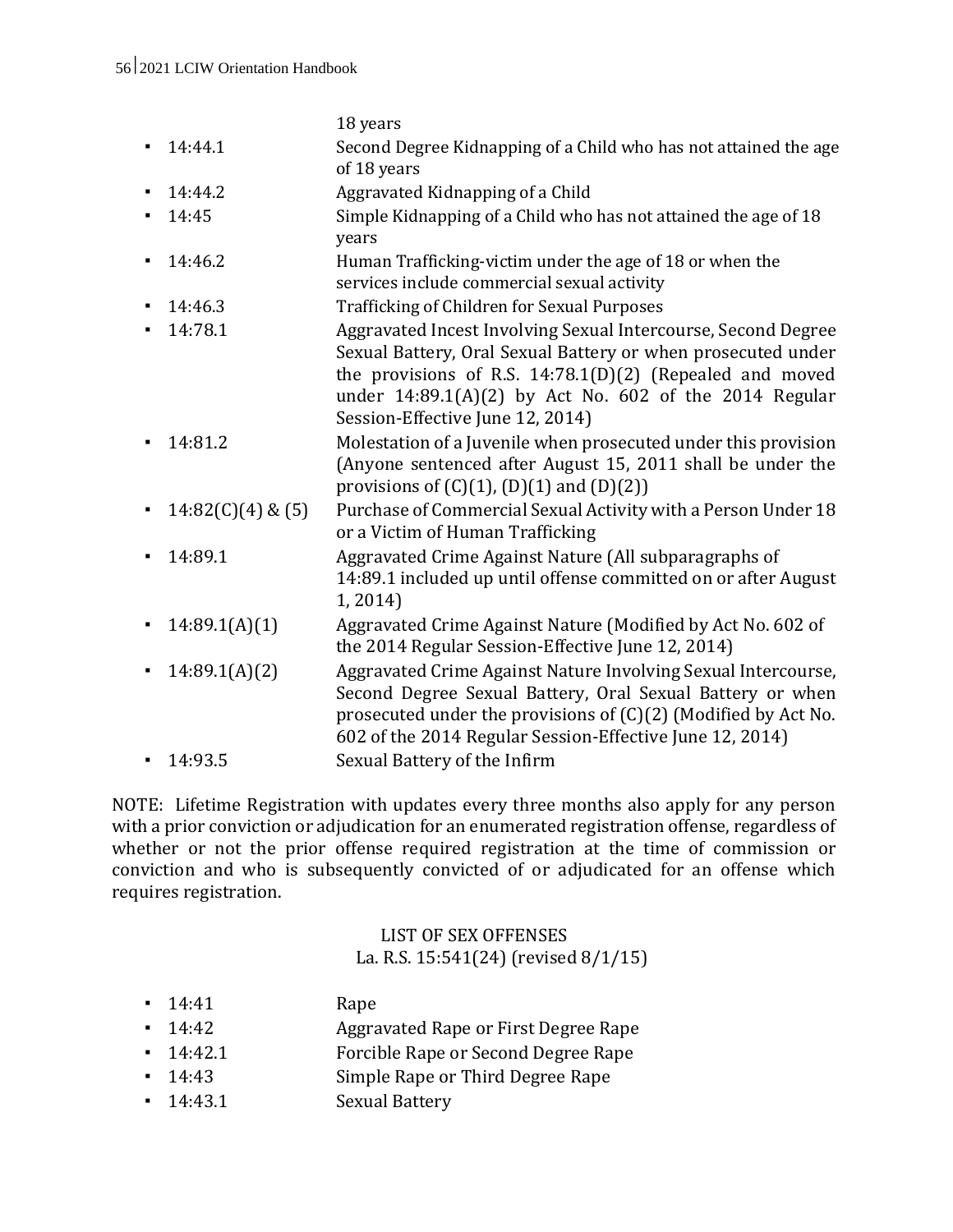|   |                     | 18 years                                                                                                                                                                                                                                                                                  |
|---|---------------------|-------------------------------------------------------------------------------------------------------------------------------------------------------------------------------------------------------------------------------------------------------------------------------------------|
|   | 14:44.1             | Second Degree Kidnapping of a Child who has not attained the age<br>of 18 years                                                                                                                                                                                                           |
|   | 14:44.2             | Aggravated Kidnapping of a Child                                                                                                                                                                                                                                                          |
|   | 14:45               | Simple Kidnapping of a Child who has not attained the age of 18<br>years                                                                                                                                                                                                                  |
|   | 14:46.2             | Human Trafficking-victim under the age of 18 or when the<br>services include commercial sexual activity                                                                                                                                                                                   |
|   | 14:46.3             | Trafficking of Children for Sexual Purposes                                                                                                                                                                                                                                               |
|   | 14:78.1             | Aggravated Incest Involving Sexual Intercourse, Second Degree<br>Sexual Battery, Oral Sexual Battery or when prosecuted under<br>the provisions of R.S. $14:78.1(D)(2)$ (Repealed and moved<br>under 14:89.1(A)(2) by Act No. 602 of the 2014 Regular<br>Session-Effective June 12, 2014) |
|   | 14:81.2             | Molestation of a Juvenile when prosecuted under this provision<br>(Anyone sentenced after August 15, 2011 shall be under the<br>provisions of $(C)(1)$ , $(D)(1)$ and $(D)(2)$ )                                                                                                          |
| ٠ | $14:82(C)(4)$ & (5) | Purchase of Commercial Sexual Activity with a Person Under 18<br>or a Victim of Human Trafficking                                                                                                                                                                                         |
|   | 14:89.1             | Aggravated Crime Against Nature (All subparagraphs of<br>14:89.1 included up until offense committed on or after August<br>1, 2014)                                                                                                                                                       |
|   | 14:89.1(A)(1)       | Aggravated Crime Against Nature (Modified by Act No. 602 of<br>the 2014 Regular Session-Effective June 12, 2014)                                                                                                                                                                          |
|   | 14:89.1(A)(2)       | Aggravated Crime Against Nature Involving Sexual Intercourse,<br>Second Degree Sexual Battery, Oral Sexual Battery or when<br>prosecuted under the provisions of (C)(2) (Modified by Act No.<br>602 of the 2014 Regular Session-Effective June 12, 2014)                                  |
|   | 14:93.5             | Sexual Battery of the Infirm                                                                                                                                                                                                                                                              |

NOTE: Lifetime Registration with updates every three months also apply for any person with a prior conviction or adjudication for an enumerated registration offense, regardless of whether or not the prior offense required registration at the time of commission or conviction and who is subsequently convicted of or adjudicated for an offense which requires registration.

## LIST OF SEX OFFENSES La. R.S. 15:541(24) (revised 8/1/15)

| $-14.41$   | Rape                                 |
|------------|--------------------------------------|
| $-14.42$   | Aggravated Rape or First Degree Rape |
| $-14:42.1$ | Forcible Rape or Second Degree Rape  |
| $-14.43$   | Simple Rape or Third Degree Rape     |
| $-14:43.1$ | <b>Sexual Battery</b>                |
|            |                                      |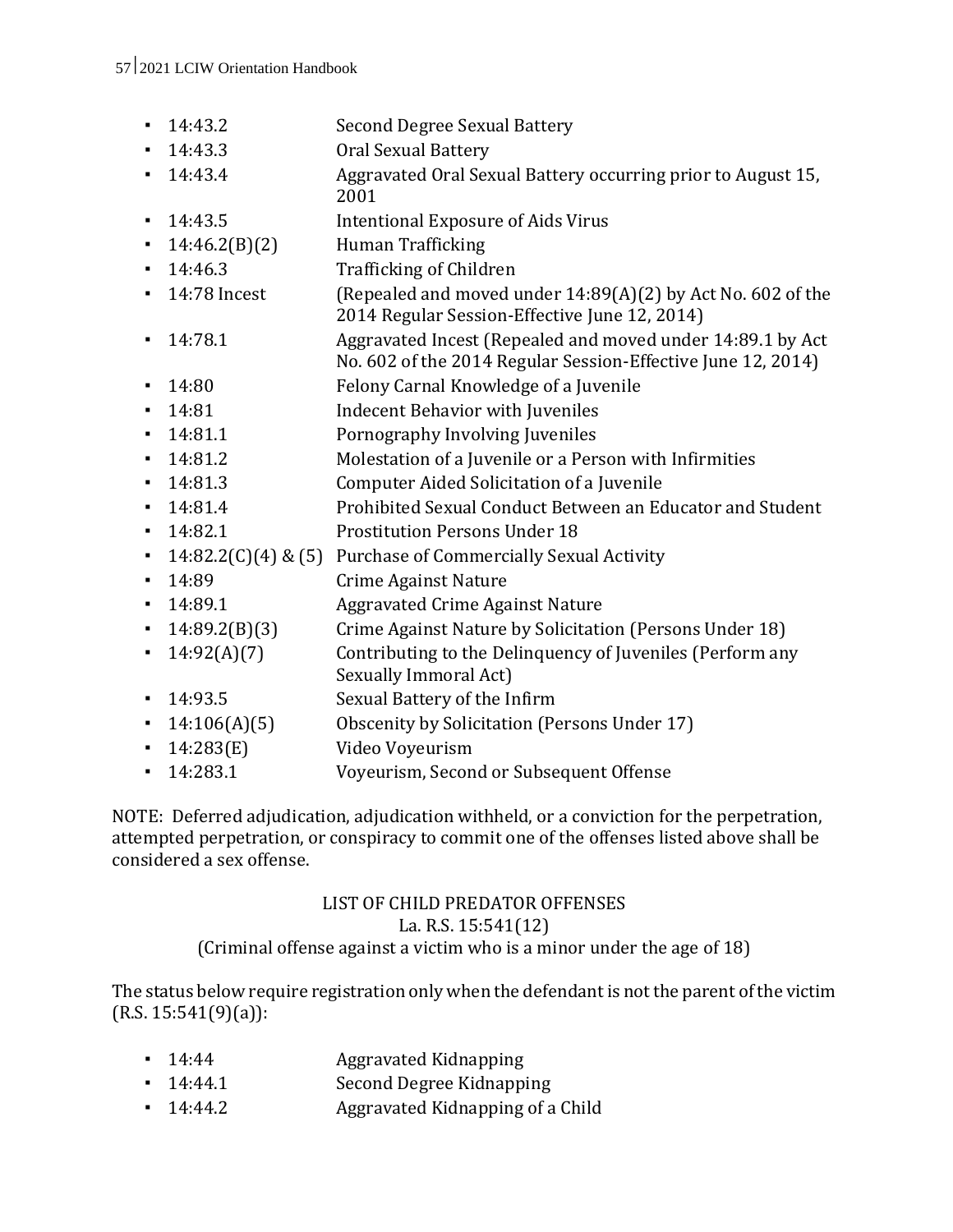- 14:43.2 Second Degree Sexual Battery
- 14:43.3 Oral Sexual Battery
- 14:43.4 Aggravated Oral Sexual Battery occurring prior to August 15, 2001
- 14:43.5 Intentional Exposure of Aids Virus
- 14:46.2(B)(2) Human Trafficking
- 14:46.3 Trafficking of Children
- 14:78 Incest (Repealed and moved under 14:89(A)(2) by Act No. 602 of the 2014 Regular Session-Effective June 12, 2014)
- 14:78.1 Aggravated Incest (Repealed and moved under 14:89.1 by Act No. 602 of the 2014 Regular Session-Effective June 12, 2014)
- 
- 14:80 Felony Carnal Knowledge of a Juvenile
- **•** 14:81 Indecent Behavior with Juveniles
- 14:81.1 Pornography Involving Juveniles
- 14:81.2 Molestation of a Juvenile or a Person with Infirmities
- 14:81.3 Computer Aided Solicitation of a Juvenile
- 14:81.4 Prohibited Sexual Conduct Between an Educator and Student
- 14:82.1 Prostitution Persons Under 18
- 14:82.2(C)(4) & (5) Purchase of Commercially Sexual Activity
- 14:89 Crime Against Nature
- 14:89.1 Aggravated Crime Against Nature
- 14:89.2(B)(3) Crime Against Nature by Solicitation (Persons Under 18)
- 14:92(A)(7) Contributing to the Delinquency of Juveniles (Perform any Sexually Immoral Act)
- 14:93.5 Sexual Battery of the Infirm
- 14:106(A)(5) Obscenity by Solicitation (Persons Under 17)
- 14:283(E) Video Voyeurism
- 14:283.1 Voyeurism, Second or Subsequent Offense

NOTE: Deferred adjudication, adjudication withheld, or a conviction for the perpetration, attempted perpetration, or conspiracy to commit one of the offenses listed above shall be considered a sex offense.

#### LIST OF CHILD PREDATOR OFFENSES La. R.S. 15:541(12) (Criminal offense against a victim who is a minor under the age of 18)

The status below require registration only when the defendant is not the parent of the victim (R.S. 15:541(9)(a)):

- 14:44 **Aggravated Kidnapping**
- 14:44.1 Second Degree Kidnapping
- 14:44.2 Aggravated Kidnapping of a Child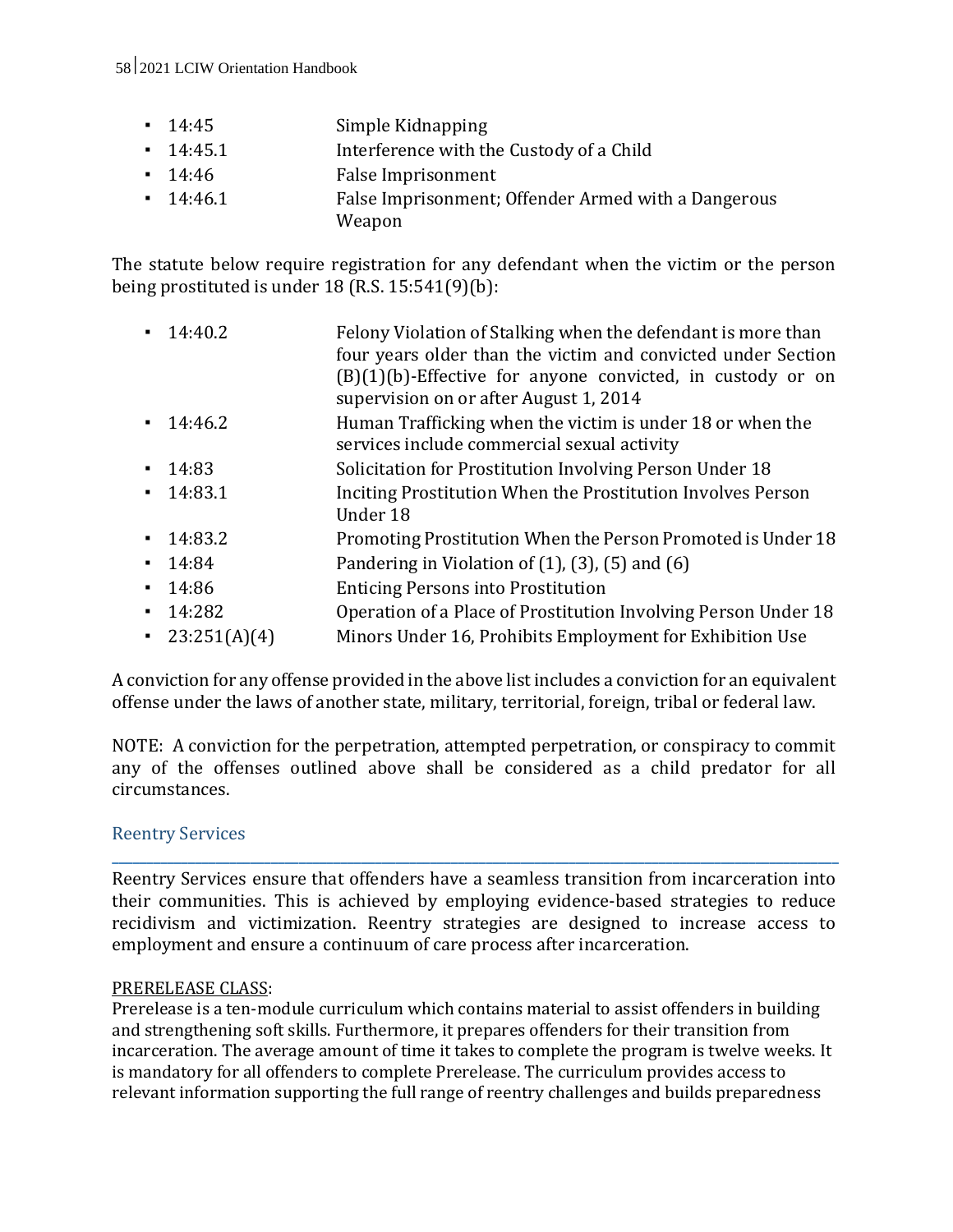#### 58 2021 LCIW Orientation Handbook

- 14:45 Simple Kidnapping
- 14:45.1 Interference with the Custody of a Child
- 14:46 False Imprisonment
- 14:46.1 False Imprisonment; Offender Armed with a Dangerous Weapon

The statute below require registration for any defendant when the victim or the person being prostituted is under 18 (R.S. 15:541(9)(b):

|                | 14:40.2              | Felony Violation of Stalking when the defendant is more than<br>four years older than the victim and convicted under Section<br>$(B)(1)(b)$ -Effective for anyone convicted, in custody or on<br>supervision on or after August 1, 2014 |
|----------------|----------------------|-----------------------------------------------------------------------------------------------------------------------------------------------------------------------------------------------------------------------------------------|
|                | $-14:46.2$           | Human Trafficking when the victim is under 18 or when the<br>services include commercial sexual activity                                                                                                                                |
| $\blacksquare$ | 14:83                | Solicitation for Prostitution Involving Person Under 18                                                                                                                                                                                 |
|                | $-14:83.1$           | Inciting Prostitution When the Prostitution Involves Person<br>Under 18                                                                                                                                                                 |
|                | $-14:83.2$           | Promoting Prostitution When the Person Promoted is Under 18                                                                                                                                                                             |
|                | $-14:84$             | Pandering in Violation of $(1)$ , $(3)$ , $(5)$ and $(6)$                                                                                                                                                                               |
| ٠.             | 14:86                | <b>Enticing Persons into Prostitution</b>                                                                                                                                                                                               |
| $\blacksquare$ | 14:282               | Operation of a Place of Prostitution Involving Person Under 18                                                                                                                                                                          |
|                | $\cdot$ 23:251(A)(4) | Minors Under 16, Prohibits Employment for Exhibition Use                                                                                                                                                                                |

A conviction for any offense provided in the above list includes a conviction for an equivalent offense under the laws of another state, military, territorial, foreign, tribal or federal law.

NOTE: A conviction for the perpetration, attempted perpetration, or conspiracy to commit any of the offenses outlined above shall be considered as a child predator for all circumstances.

## Reentry Services

Reentry Services ensure that offenders have a seamless transition from incarceration into their communities. This is achieved by employing evidence-based strategies to reduce recidivism and victimization. Reentry strategies are designed to increase access to employment and ensure a continuum of care process after incarceration.

**\_\_\_\_\_\_\_\_\_\_\_\_\_\_\_\_\_\_\_\_\_\_\_\_\_\_\_\_\_\_\_\_\_\_\_\_\_\_\_\_\_\_\_\_\_\_\_\_\_\_\_\_\_\_\_\_\_\_\_\_\_\_\_\_\_\_\_\_\_\_\_\_\_\_\_\_\_\_\_\_\_\_\_\_\_\_\_\_\_\_\_\_\_\_\_\_\_\_\_\_\_\_\_\_\_**

#### PRERELEASE CLASS:

Prerelease is a ten-module curriculum which contains material to assist offenders in building and strengthening soft skills. Furthermore, it prepares offenders for their transition from incarceration. The average amount of time it takes to complete the program is twelve weeks. It is mandatory for all offenders to complete Prerelease. The curriculum provides access to relevant information supporting the full range of reentry challenges and builds preparedness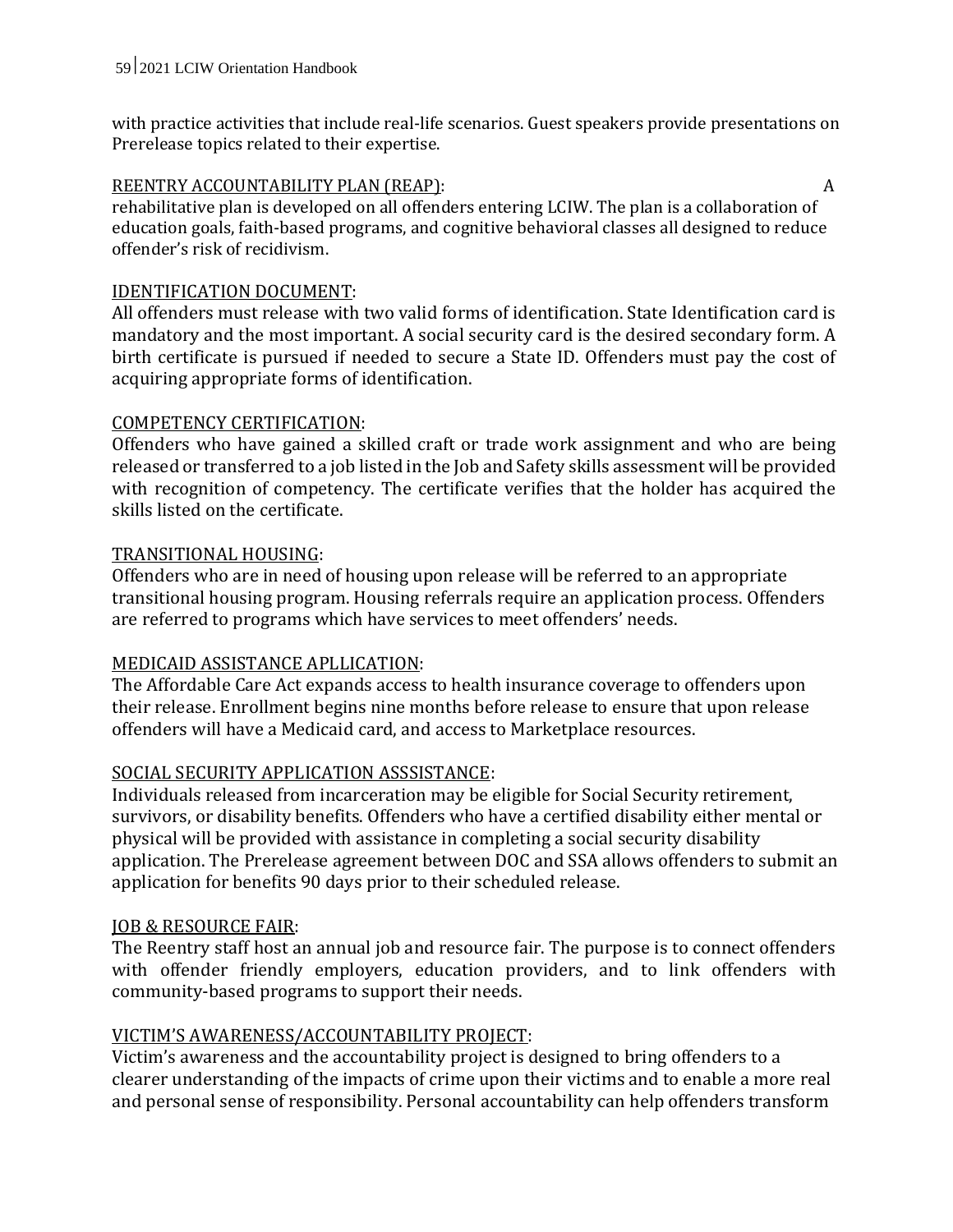with practice activities that include real-life scenarios. Guest speakers provide presentations on Prerelease topics related to their expertise.

#### REENTRY ACCOUNTABILITY PLAN (REAP): A

rehabilitative plan is developed on all offenders entering LCIW. The plan is a collaboration of education goals, faith-based programs, and cognitive behavioral classes all designed to reduce offender's risk of recidivism.

#### IDENTIFICATION DOCUMENT:

All offenders must release with two valid forms of identification. State Identification card is mandatory and the most important. A social security card is the desired secondary form. A birth certificate is pursued if needed to secure a State ID. Offenders must pay the cost of acquiring appropriate forms of identification.

#### COMPETENCY CERTIFICATION:

Offenders who have gained a skilled craft or trade work assignment and who are being released or transferred to a job listed in the Job and Safety skills assessment will be provided with recognition of competency. The certificate verifies that the holder has acquired the skills listed on the certificate.

#### TRANSITIONAL HOUSING:

Offenders who are in need of housing upon release will be referred to an appropriate transitional housing program. Housing referrals require an application process. Offenders are referred to programs which have services to meet offenders' needs.

#### MEDICAID ASSISTANCE APLLICATION:

The Affordable Care Act expands access to health insurance coverage to offenders upon their release. Enrollment begins nine months before release to ensure that upon release offenders will have a Medicaid card, and access to Marketplace resources.

#### SOCIAL SECURITY APPLICATION ASSSISTANCE:

Individuals released from incarceration may be eligible for Social Security retirement, survivors, or disability benefits. Offenders who have a certified disability either mental or physical will be provided with assistance in completing a social security disability application. The Prerelease agreement between DOC and SSA allows offenders to submit an application for benefits 90 days prior to their scheduled release.

#### JOB & RESOURCE FAIR:

The Reentry staff host an annual job and resource fair. The purpose is to connect offenders with offender friendly employers, education providers, and to link offenders with community-based programs to support their needs.

#### VICTIM'S AWARENESS/ACCOUNTABILITY PROJECT:

Victim's awareness and the accountability project is designed to bring offenders to a clearer understanding of the impacts of crime upon their victims and to enable a more real and personal sense of responsibility. Personal accountability can help offenders transform